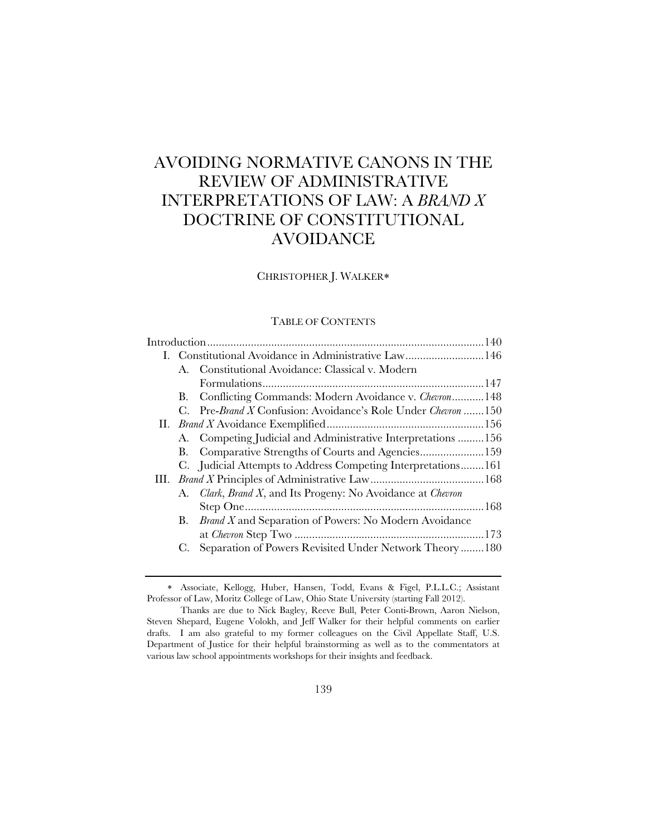# AVOIDING NORMATIVE CANONS IN THE REVIEW OF ADMINISTRATIVE INTERPRETATIONS OF LAW: A *BRAND X* DOCTRINE OF CONSTITUTIONAL AVOIDANCE

# CHRISTOPHER J. WALKER

# TABLE OF CONTENTS

|             | I. Constitutional Avoidance in Administrative Law146         |
|-------------|--------------------------------------------------------------|
|             | A. Constitutional Avoidance: Classical v. Modern             |
|             |                                                              |
| В.          | Conflicting Commands: Modern Avoidance v. Chevron 148        |
| $C_{\cdot}$ | Pre-Brand X Confusion: Avoidance's Role Under Chevron 150    |
|             |                                                              |
|             | A. Competing Judicial and Administrative Interpretations 156 |
| В.          |                                                              |
|             | C. Judicial Attempts to Address Competing Interpretations161 |
|             |                                                              |
|             | A. Clark, Brand X, and Its Progeny: No Avoidance at Chevron  |
|             |                                                              |
| В.          | <b>Brand X</b> and Separation of Powers: No Modern Avoidance |
|             |                                                              |
|             | Separation of Powers Revisited Under Network Theory180       |
|             |                                                              |

Associate, Kellogg, Huber, Hansen, Todd, Evans & Figel, P.L.L.C.; Assistant Professor of Law, Moritz College of Law, Ohio State University (starting Fall 2012).

Thanks are due to Nick Bagley, Reeve Bull, Peter Conti-Brown, Aaron Nielson, Steven Shepard, Eugene Volokh, and Jeff Walker for their helpful comments on earlier drafts. I am also grateful to my former colleagues on the Civil Appellate Staff, U.S. Department of Justice for their helpful brainstorming as well as to the commentators at various law school appointments workshops for their insights and feedback.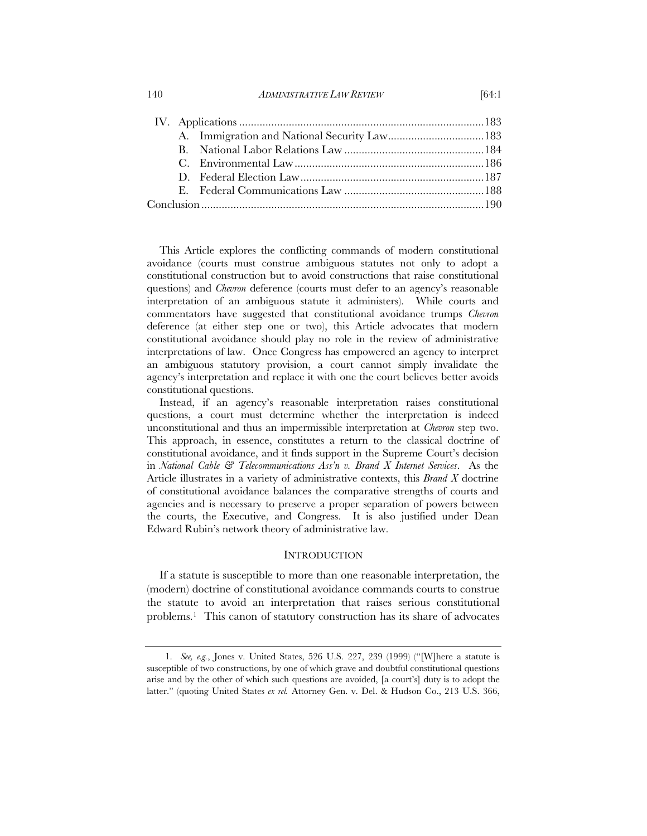This Article explores the conflicting commands of modern constitutional avoidance (courts must construe ambiguous statutes not only to adopt a constitutional construction but to avoid constructions that raise constitutional questions) and *Chevron* deference (courts must defer to an agency's reasonable interpretation of an ambiguous statute it administers). While courts and commentators have suggested that constitutional avoidance trumps *Chevron* deference (at either step one or two), this Article advocates that modern constitutional avoidance should play no role in the review of administrative interpretations of law. Once Congress has empowered an agency to interpret an ambiguous statutory provision, a court cannot simply invalidate the agency's interpretation and replace it with one the court believes better avoids constitutional questions.

 Instead, if an agency's reasonable interpretation raises constitutional questions, a court must determine whether the interpretation is indeed unconstitutional and thus an impermissible interpretation at *Chevron* step two. This approach, in essence, constitutes a return to the classical doctrine of constitutional avoidance, and it finds support in the Supreme Court's decision in *National Cable & Telecommunications Ass'n v. Brand X Internet Services*. As the Article illustrates in a variety of administrative contexts, this *Brand X* doctrine of constitutional avoidance balances the comparative strengths of courts and agencies and is necessary to preserve a proper separation of powers between the courts, the Executive, and Congress. It is also justified under Dean Edward Rubin's network theory of administrative law.

#### **INTRODUCTION**

If a statute is susceptible to more than one reasonable interpretation, the (modern) doctrine of constitutional avoidance commands courts to construe the statute to avoid an interpretation that raises serious constitutional problems.1 This canon of statutory construction has its share of advocates

<sup>1.</sup> *See, e.g.*, Jones v. United States, 526 U.S. 227, 239 (1999) ("[W]here a statute is susceptible of two constructions, by one of which grave and doubtful constitutional questions arise and by the other of which such questions are avoided, [a court's] duty is to adopt the latter." (quoting United States *ex rel.* Attorney Gen. v. Del. & Hudson Co., 213 U.S. 366,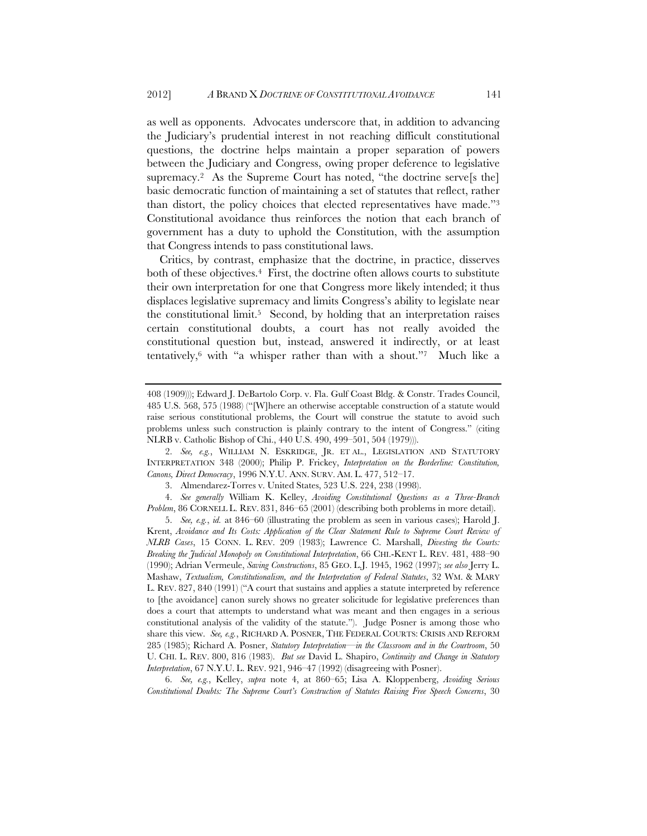as well as opponents. Advocates underscore that, in addition to advancing the Judiciary's prudential interest in not reaching difficult constitutional questions, the doctrine helps maintain a proper separation of powers between the Judiciary and Congress, owing proper deference to legislative supremacy.<sup>2</sup> As the Supreme Court has noted, "the doctrine serve<sup>[sthe]</sup> basic democratic function of maintaining a set of statutes that reflect, rather than distort, the policy choices that elected representatives have made."3 Constitutional avoidance thus reinforces the notion that each branch of government has a duty to uphold the Constitution, with the assumption that Congress intends to pass constitutional laws.

Critics, by contrast, emphasize that the doctrine, in practice, disserves both of these objectives.<sup>4</sup> First, the doctrine often allows courts to substitute their own interpretation for one that Congress more likely intended; it thus displaces legislative supremacy and limits Congress's ability to legislate near the constitutional limit.5 Second, by holding that an interpretation raises certain constitutional doubts, a court has not really avoided the constitutional question but, instead, answered it indirectly, or at least tentatively,<sup>6</sup> with "a whisper rather than with a shout."<sup>7</sup> Much like a

4. *See generally* William K. Kelley, *Avoiding Constitutional Questions as a Three-Branch Problem*, 86 CORNELL L. REV. 831, 846–65 (2001) (describing both problems in more detail).

5. *See, e.g.*, *id.* at 846–60 (illustrating the problem as seen in various cases); Harold J. Krent, *Avoidance and Its Costs: Application of the Clear Statement Rule to Supreme Court Review of NLRB Cases*, 15 CONN. L. REV. 209 (1983); Lawrence C. Marshall, *Divesting the Courts: Breaking the Judicial Monopoly on Constitutional Interpretation*, 66 CHI.-KENT L. REV. 481, 488–90 (1990); Adrian Vermeule, *Saving Constructions*, 85 GEO. L.J. 1945, 1962 (1997); *see also* Jerry L. Mashaw, *Textualism, Constitutionalism, and the Interpretation of Federal Statutes*, 32 WM. & MARY L. REV. 827, 840 (1991) ("A court that sustains and applies a statute interpreted by reference to [the avoidance] canon surely shows no greater solicitude for legislative preferences than does a court that attempts to understand what was meant and then engages in a serious constitutional analysis of the validity of the statute."). Judge Posner is among those who share this view. *See, e.g.*, RICHARD A. POSNER, THE FEDERAL COURTS: CRISIS AND REFORM 285 (1985); Richard A. Posner, *Statutory Interpretation—in the Classroom and in the Courtroom*, 50 U. CHI. L. REV. 800, 816 (1983). *But see* David L. Shapiro, *Continuity and Change in Statutory Interpretation*, 67 N.Y.U. L. REV. 921, 946–47 (1992) (disagreeing with Posner).

6. *See, e.g.*, Kelley, *supra* note 4, at 860–65; Lisa A. Kloppenberg, *Avoiding Serious Constitutional Doubts: The Supreme Court's Construction of Statutes Raising Free Speech Concerns*, 30

<sup>408 (1909)));</sup> Edward J. DeBartolo Corp. v. Fla. Gulf Coast Bldg. & Constr. Trades Council, 485 U.S. 568, 575 (1988) ("[W]here an otherwise acceptable construction of a statute would raise serious constitutional problems, the Court will construe the statute to avoid such problems unless such construction is plainly contrary to the intent of Congress." (citing NLRB v. Catholic Bishop of Chi., 440 U.S. 490, 499–501, 504 (1979))).

<sup>2.</sup> *See, e.g.*, WILLIAM N. ESKRIDGE, JR. ET AL., LEGISLATION AND STATUTORY INTERPRETATION 348 (2000); Philip P. Frickey, *Interpretation on the Borderline: Constitution, Canons, Direct Democracy*, 1996 N.Y.U. ANN. SURV. AM. L. 477, 512–17.

<sup>3.</sup> Almendarez-Torres v. United States, 523 U.S. 224, 238 (1998).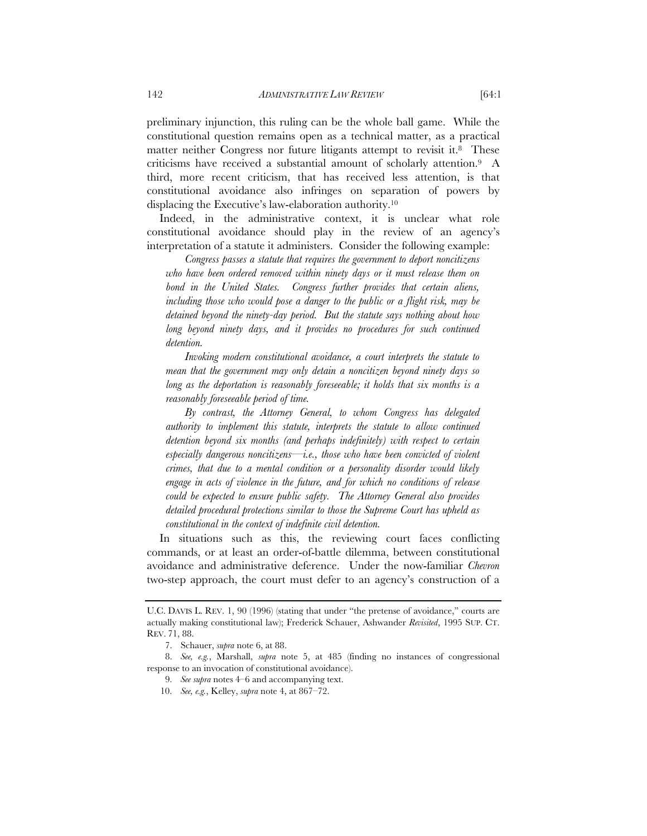preliminary injunction, this ruling can be the whole ball game. While the constitutional question remains open as a technical matter, as a practical matter neither Congress nor future litigants attempt to revisit it.<sup>8</sup> These criticisms have received a substantial amount of scholarly attention.9 A third, more recent criticism, that has received less attention, is that constitutional avoidance also infringes on separation of powers by displacing the Executive's law-elaboration authority.10

Indeed, in the administrative context, it is unclear what role constitutional avoidance should play in the review of an agency's interpretation of a statute it administers. Consider the following example:

*Congress passes a statute that requires the government to deport noncitizens who have been ordered removed within ninety days or it must release them on bond in the United States. Congress further provides that certain aliens,*  including those who would pose a danger to the public or a flight risk, may be *detained beyond the ninety-day period. But the statute says nothing about how*  long beyond ninety days, and it provides no procedures for such continued *detention.* 

 *Invoking modern constitutional avoidance, a court interprets the statute to mean that the government may only detain a noncitizen beyond ninety days so long as the deportation is reasonably foreseeable; it holds that six months is a reasonably foreseeable period of time.* 

*By contrast, the Attorney General, to whom Congress has delegated authority to implement this statute, interprets the statute to allow continued detention beyond six months (and perhaps indefinitely) with respect to certain especially dangerous noncitizens—i.e., those who have been convicted of violent crimes, that due to a mental condition or a personality disorder would likely*  engage in acts of violence in the future, and for which no conditions of release *could be expected to ensure public safety. The Attorney General also provides detailed procedural protections similar to those the Supreme Court has upheld as constitutional in the context of indefinite civil detention.* 

In situations such as this, the reviewing court faces conflicting commands, or at least an order-of-battle dilemma, between constitutional avoidance and administrative deference. Under the now-familiar *Chevron*  two-step approach, the court must defer to an agency's construction of a

- 9. *See supra* notes 4–6 and accompanying text.
- 10. *See, e.g.*, Kelley, *supra* note 4, at 867–72.

U.C. DAVIS L. REV. 1, 90 (1996) (stating that under "the pretense of avoidance," courts are actually making constitutional law); Frederick Schauer, Ashwander *Revisited*, 1995 SUP. CT. REV. 71, 88.

<sup>7.</sup> Schauer, *supra* note 6, at 88.

<sup>8.</sup> *See, e.g.*, Marshall, *supra* note 5, at 485 (finding no instances of congressional response to an invocation of constitutional avoidance).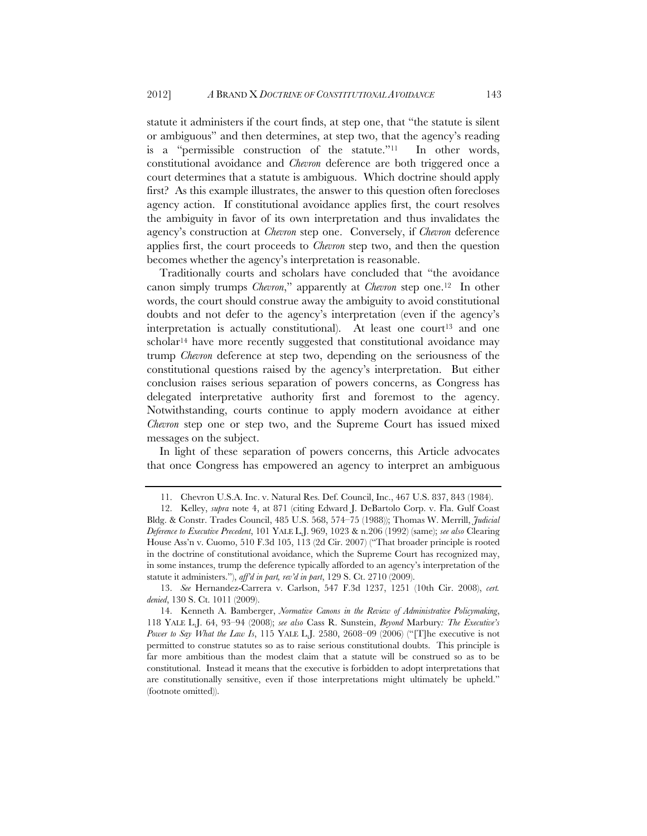statute it administers if the court finds, at step one, that "the statute is silent or ambiguous" and then determines, at step two, that the agency's reading is a "permissible construction of the statute."11 In other words, constitutional avoidance and *Chevron* deference are both triggered once a court determines that a statute is ambiguous. Which doctrine should apply first? As this example illustrates, the answer to this question often forecloses agency action. If constitutional avoidance applies first, the court resolves the ambiguity in favor of its own interpretation and thus invalidates the agency's construction at *Chevron* step one. Conversely, if *Chevron* deference applies first, the court proceeds to *Chevron* step two, and then the question becomes whether the agency's interpretation is reasonable.

Traditionally courts and scholars have concluded that "the avoidance canon simply trumps *Chevron*," apparently at *Chevron* step one.12 In other words, the court should construe away the ambiguity to avoid constitutional doubts and not defer to the agency's interpretation (even if the agency's interpretation is actually constitutional). At least one court<sup>13</sup> and one scholar<sup>14</sup> have more recently suggested that constitutional avoidance may trump *Chevron* deference at step two, depending on the seriousness of the constitutional questions raised by the agency's interpretation. But either conclusion raises serious separation of powers concerns, as Congress has delegated interpretative authority first and foremost to the agency. Notwithstanding, courts continue to apply modern avoidance at either *Chevron* step one or step two, and the Supreme Court has issued mixed messages on the subject.

In light of these separation of powers concerns, this Article advocates that once Congress has empowered an agency to interpret an ambiguous

<sup>11.</sup> Chevron U.S.A. Inc. v. Natural Res. Def. Council, Inc., 467 U.S. 837, 843 (1984).

<sup>12.</sup> Kelley, *supra* note 4, at 871 (citing Edward J. DeBartolo Corp. v. Fla. Gulf Coast Bldg. & Constr. Trades Council, 485 U.S. 568, 574–75 (1988)); Thomas W. Merrill, *Judicial Deference to Executive Precedent*, 101 YALE L.J. 969, 1023 & n.206 (1992) (same); *see also* Clearing House Ass'n v. Cuomo, 510 F.3d 105, 113 (2d Cir. 2007) ("That broader principle is rooted in the doctrine of constitutional avoidance, which the Supreme Court has recognized may, in some instances, trump the deference typically afforded to an agency's interpretation of the statute it administers."), *aff'd in part, rev'd in part*, 129 S. Ct. 2710 (2009).

<sup>13.</sup> *See* Hernandez-Carrera v. Carlson, 547 F.3d 1237, 1251 (10th Cir. 2008), *cert. denied*, 130 S. Ct. 1011 (2009).

<sup>14.</sup> Kenneth A. Bamberger, *Normative Canons in the Review of Administrative Policymaking*, 118 YALE L.J. 64, 93–94 (2008); *see also* Cass R. Sunstein, *Beyond* Marbury*: The Executive's Power to Say What the Law Is*, 115 YALE L.J. 2580, 2608–09 (2006) ("[T]he executive is not permitted to construe statutes so as to raise serious constitutional doubts. This principle is far more ambitious than the modest claim that a statute will be construed so as to be constitutional. Instead it means that the executive is forbidden to adopt interpretations that are constitutionally sensitive, even if those interpretations might ultimately be upheld." (footnote omitted)).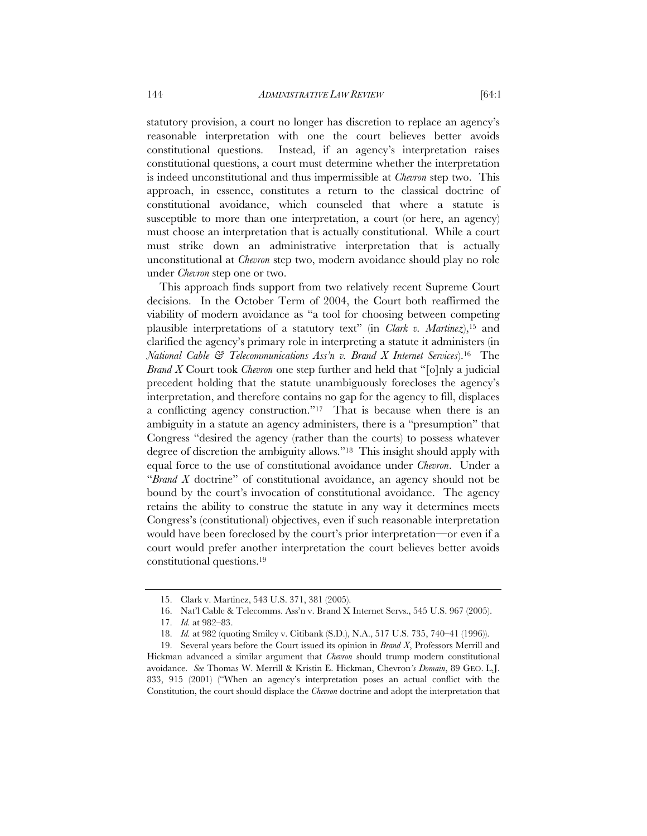statutory provision, a court no longer has discretion to replace an agency's reasonable interpretation with one the court believes better avoids constitutional questions. Instead, if an agency's interpretation raises

constitutional questions, a court must determine whether the interpretation is indeed unconstitutional and thus impermissible at *Chevron* step two. This approach, in essence, constitutes a return to the classical doctrine of constitutional avoidance, which counseled that where a statute is susceptible to more than one interpretation, a court (or here, an agency) must choose an interpretation that is actually constitutional. While a court must strike down an administrative interpretation that is actually unconstitutional at *Chevron* step two, modern avoidance should play no role under *Chevron* step one or two.

This approach finds support from two relatively recent Supreme Court decisions. In the October Term of 2004, the Court both reaffirmed the viability of modern avoidance as "a tool for choosing between competing plausible interpretations of a statutory text" (in *Clark v. Martinez*),15 and clarified the agency's primary role in interpreting a statute it administers (in *National Cable & Telecommunications Ass'n v. Brand X Internet Services*).16 The *Brand X* Court took *Chevron* one step further and held that "[o]nly a judicial precedent holding that the statute unambiguously forecloses the agency's interpretation, and therefore contains no gap for the agency to fill, displaces a conflicting agency construction."17 That is because when there is an ambiguity in a statute an agency administers, there is a "presumption" that Congress "desired the agency (rather than the courts) to possess whatever degree of discretion the ambiguity allows."18 This insight should apply with equal force to the use of constitutional avoidance under *Chevron*. Under a "*Brand X* doctrine" of constitutional avoidance, an agency should not be bound by the court's invocation of constitutional avoidance. The agency retains the ability to construe the statute in any way it determines meets Congress's (constitutional) objectives, even if such reasonable interpretation would have been foreclosed by the court's prior interpretation—or even if a court would prefer another interpretation the court believes better avoids constitutional questions.19

<sup>15.</sup> Clark v. Martinez, 543 U.S. 371, 381 (2005).

<sup>16.</sup> Nat'l Cable & Telecomms. Ass'n v. Brand X Internet Servs., 545 U.S. 967 (2005).

<sup>17.</sup> *Id.* at 982–83.

<sup>18.</sup> *Id.* at 982 (quoting Smiley v. Citibank (S.D.), N.A., 517 U.S. 735, 740–41 (1996)).

<sup>19.</sup> Several years before the Court issued its opinion in *Brand X*, Professors Merrill and Hickman advanced a similar argument that *Chevron* should trump modern constitutional avoidance. *See* Thomas W. Merrill & Kristin E. Hickman, Chevron*'s Domain*, 89 GEO. L.J. 833, 915 (2001) ("When an agency's interpretation poses an actual conflict with the Constitution, the court should displace the *Chevron* doctrine and adopt the interpretation that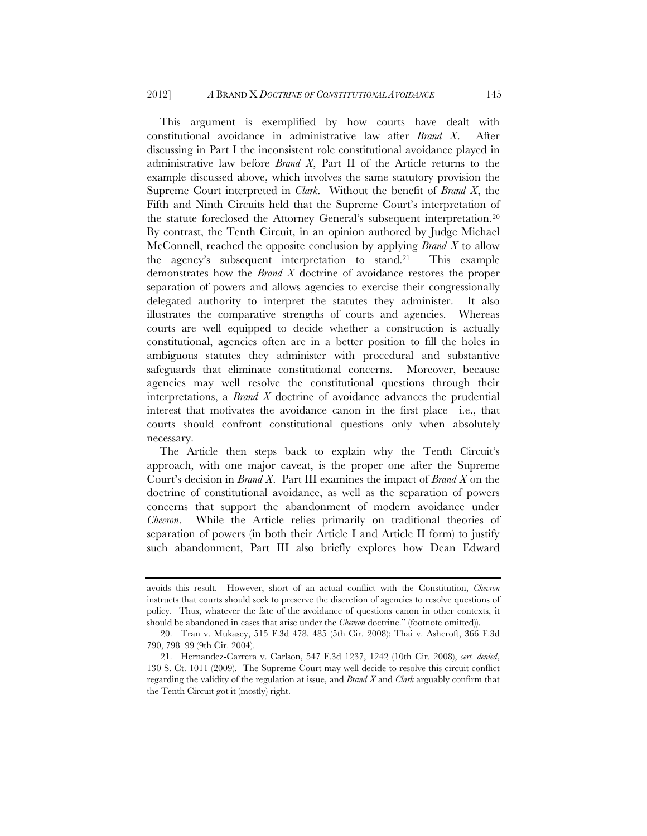This argument is exemplified by how courts have dealt with constitutional avoidance in administrative law after *Brand X*. After discussing in Part I the inconsistent role constitutional avoidance played in administrative law before *Brand X*, Part II of the Article returns to the example discussed above, which involves the same statutory provision the Supreme Court interpreted in *Clark*. Without the benefit of *Brand X*, the Fifth and Ninth Circuits held that the Supreme Court's interpretation of the statute foreclosed the Attorney General's subsequent interpretation.20 By contrast, the Tenth Circuit, in an opinion authored by Judge Michael McConnell, reached the opposite conclusion by applying *Brand X* to allow the agency's subsequent interpretation to stand.21 This example demonstrates how the *Brand X* doctrine of avoidance restores the proper separation of powers and allows agencies to exercise their congressionally delegated authority to interpret the statutes they administer. It also illustrates the comparative strengths of courts and agencies. Whereas courts are well equipped to decide whether a construction is actually constitutional, agencies often are in a better position to fill the holes in ambiguous statutes they administer with procedural and substantive safeguards that eliminate constitutional concerns. Moreover, because agencies may well resolve the constitutional questions through their interpretations, a *Brand X* doctrine of avoidance advances the prudential interest that motivates the avoidance canon in the first place—i.e., that courts should confront constitutional questions only when absolutely necessary.

The Article then steps back to explain why the Tenth Circuit's approach, with one major caveat, is the proper one after the Supreme Court's decision in *Brand X*. Part III examines the impact of *Brand X* on the doctrine of constitutional avoidance, as well as the separation of powers concerns that support the abandonment of modern avoidance under *Chevron*. While the Article relies primarily on traditional theories of separation of powers (in both their Article I and Article II form) to justify such abandonment, Part III also briefly explores how Dean Edward

avoids this result. However, short of an actual conflict with the Constitution, *Chevron* instructs that courts should seek to preserve the discretion of agencies to resolve questions of policy. Thus, whatever the fate of the avoidance of questions canon in other contexts, it should be abandoned in cases that arise under the *Chevron* doctrine." (footnote omitted)).

<sup>20.</sup> Tran v. Mukasey, 515 F.3d 478, 485 (5th Cir. 2008); Thai v. Ashcroft, 366 F.3d 790, 798–99 (9th Cir. 2004).

<sup>21.</sup> Hernandez-Carrera v. Carlson, 547 F.3d 1237, 1242 (10th Cir. 2008), *cert. denied*, 130 S. Ct. 1011 (2009). The Supreme Court may well decide to resolve this circuit conflict regarding the validity of the regulation at issue, and *Brand X* and *Clark* arguably confirm that the Tenth Circuit got it (mostly) right.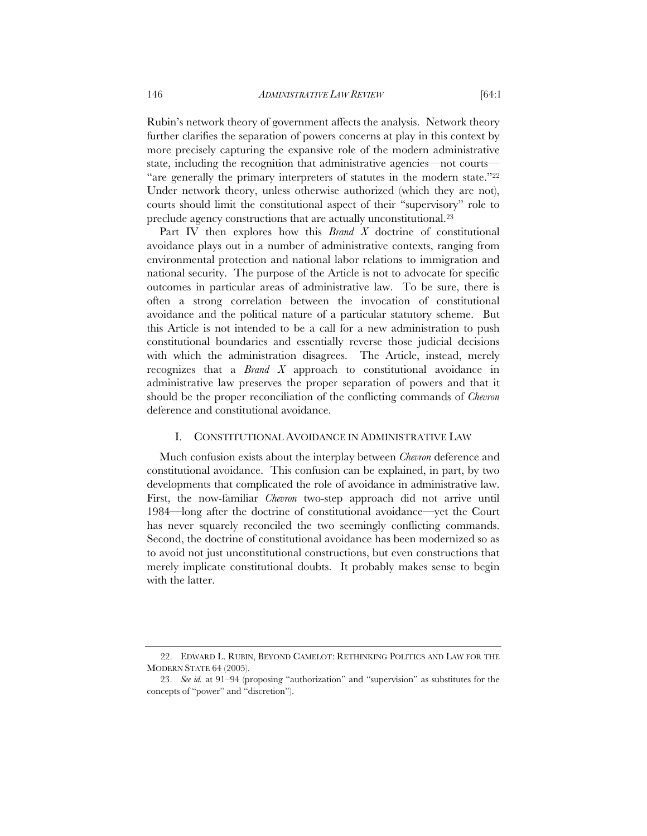Rubin's network theory of government affects the analysis. Network theory further clarifies the separation of powers concerns at play in this context by more precisely capturing the expansive role of the modern administrative state, including the recognition that administrative agencies—not courts— "are generally the primary interpreters of statutes in the modern state."22 Under network theory, unless otherwise authorized (which they are not), courts should limit the constitutional aspect of their "supervisory" role to preclude agency constructions that are actually unconstitutional.23

Part IV then explores how this *Brand X* doctrine of constitutional avoidance plays out in a number of administrative contexts, ranging from environmental protection and national labor relations to immigration and national security. The purpose of the Article is not to advocate for specific outcomes in particular areas of administrative law. To be sure, there is often a strong correlation between the invocation of constitutional avoidance and the political nature of a particular statutory scheme. But this Article is not intended to be a call for a new administration to push constitutional boundaries and essentially reverse those judicial decisions with which the administration disagrees. The Article, instead, merely recognizes that a *Brand X* approach to constitutional avoidance in administrative law preserves the proper separation of powers and that it should be the proper reconciliation of the conflicting commands of *Chevron* deference and constitutional avoidance.

#### I. CONSTITUTIONAL AVOIDANCE IN ADMINISTRATIVE LAW

Much confusion exists about the interplay between *Chevron* deference and constitutional avoidance. This confusion can be explained, in part, by two developments that complicated the role of avoidance in administrative law. First, the now-familiar *Chevron* two-step approach did not arrive until 1984—long after the doctrine of constitutional avoidance—yet the Court has never squarely reconciled the two seemingly conflicting commands. Second, the doctrine of constitutional avoidance has been modernized so as to avoid not just unconstitutional constructions, but even constructions that merely implicate constitutional doubts. It probably makes sense to begin with the latter.

<sup>22.</sup> EDWARD L. RUBIN, BEYOND CAMELOT: RETHINKING POLITICS AND LAW FOR THE MODERN STATE 64 (2005).

<sup>23.</sup> *See id.* at 91–94 (proposing "authorization" and "supervision" as substitutes for the concepts of "power" and "discretion").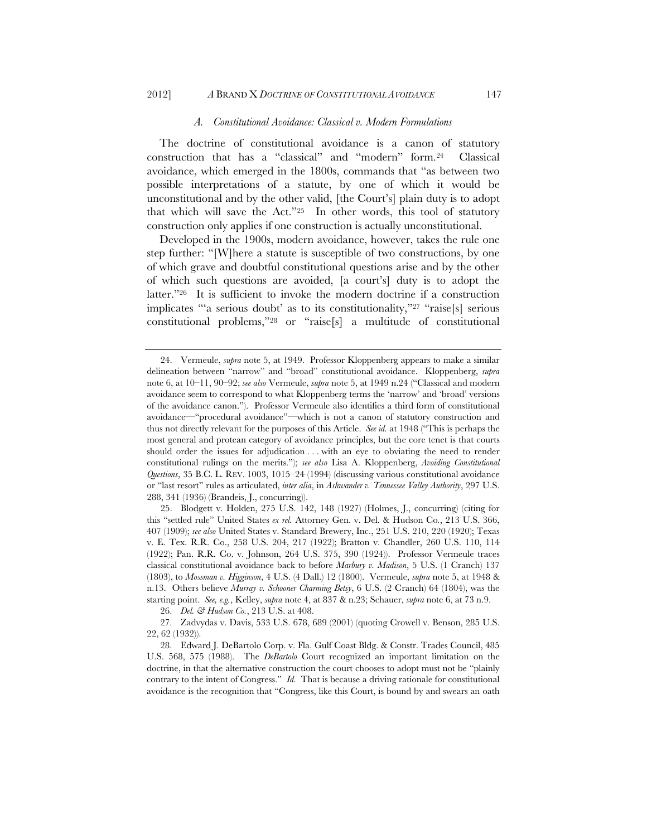#### *A. Constitutional Avoidance: Classical v. Modern Formulations*

The doctrine of constitutional avoidance is a canon of statutory construction that has a "classical" and "modern" form.24 Classical avoidance, which emerged in the 1800s, commands that "as between two possible interpretations of a statute, by one of which it would be unconstitutional and by the other valid, [the Court's] plain duty is to adopt that which will save the Act."25 In other words, this tool of statutory construction only applies if one construction is actually unconstitutional.

Developed in the 1900s, modern avoidance, however, takes the rule one step further: "[W]here a statute is susceptible of two constructions, by one of which grave and doubtful constitutional questions arise and by the other of which such questions are avoided, [a court's] duty is to adopt the latter."26 It is sufficient to invoke the modern doctrine if a construction implicates "'a serious doubt' as to its constitutionality,"27 "raise[s] serious constitutional problems,"28 or "raise[s] a multitude of constitutional

25. Blodgett v. Holden, 275 U.S. 142, 148 (1927) (Holmes, J., concurring) (citing for this "settled rule" United States *ex rel.* Attorney Gen. v. Del. & Hudson Co*.*, 213 U.S. 366, 407 (1909); *see also* United States v. Standard Brewery, Inc., 251 U.S. 210, 220 (1920); Texas v. E. Tex. R.R. Co., 258 U.S. 204, 217 (1922); Bratton v. Chandler, 260 U.S. 110, 114 (1922); Pan. R.R. Co. v. Johnson, 264 U.S. 375, 390 (1924)). Professor Vermeule traces classical constitutional avoidance back to before *Marbury v. Madison*, 5 U.S. (1 Cranch) 137 (1803), to *Mossman v. Higginson*, 4 U.S. (4 Dall.) 12 (1800). Vermeule, *supra* note 5, at 1948 & n.13. Others believe *Murray v. Schooner Charming Betsy*, 6 U.S. (2 Cranch) 64 (1804), was the starting point. *See, e.g.*, Kelley, *supra* note 4, at 837 & n.23; Schauer, *supra* note 6, at 73 n.9.

26. *Del. & Hudson Co.*, 213 U.S. at 408.

<sup>24.</sup> Vermeule, *supra* note 5, at 1949. Professor Kloppenberg appears to make a similar delineation between "narrow" and "broad" constitutional avoidance. Kloppenberg, *supra* note 6, at 10–11, 90–92; *see also* Vermeule, *supra* note 5, at 1949 n.24 ("Classical and modern avoidance seem to correspond to what Kloppenberg terms the 'narrow' and 'broad' versions of the avoidance canon."). Professor Vermeule also identifies a third form of constitutional avoidance—"procedural avoidance"—which is not a canon of statutory construction and thus not directly relevant for the purposes of this Article. *See id.* at 1948 ("This is perhaps the most general and protean category of avoidance principles, but the core tenet is that courts should order the issues for adjudication . . . with an eye to obviating the need to render constitutional rulings on the merits."); *see also* Lisa A. Kloppenberg, *Avoiding Constitutional Questions*, 35 B.C. L. REV. 1003, 1015–24 (1994) (discussing various constitutional avoidance or "last resort" rules as articulated, *inter alia*, in *Ashwander v. Tennessee Valley Authority*, 297 U.S. 288, 341 (1936) (Brandeis, J., concurring)).

<sup>27.</sup> Zadvydas v. Davis, 533 U.S. 678, 689 (2001) (quoting Crowell v. Benson, 285 U.S. 22, 62 (1932)).

<sup>28.</sup> Edward J. DeBartolo Corp. v. Fla. Gulf Coast Bldg. & Constr. Trades Council, 485 U.S. 568, 575 (1988). The *DeBartolo* Court recognized an important limitation on the doctrine, in that the alternative construction the court chooses to adopt must not be "plainly contrary to the intent of Congress." *Id.* That is because a driving rationale for constitutional avoidance is the recognition that "Congress, like this Court, is bound by and swears an oath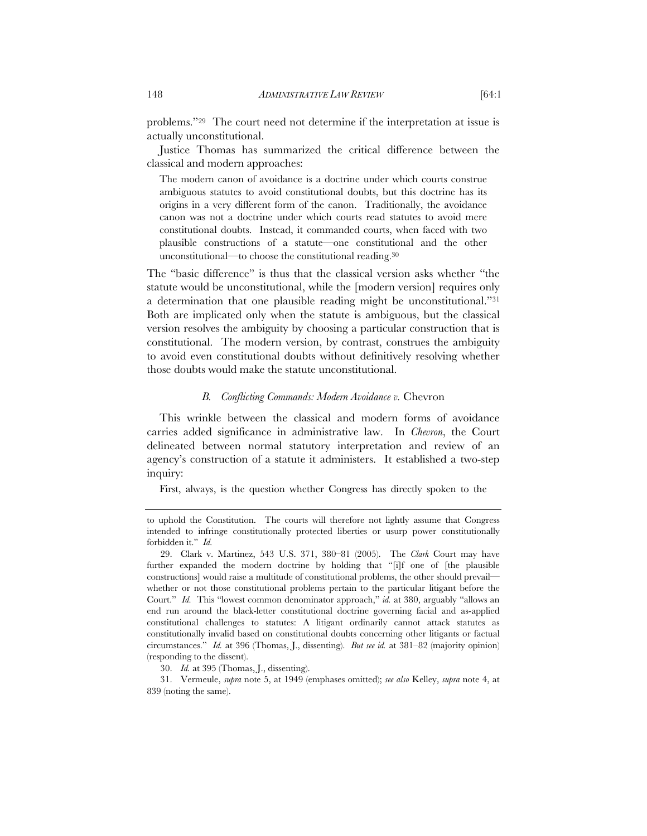problems."29 The court need not determine if the interpretation at issue is actually unconstitutional.

Justice Thomas has summarized the critical difference between the classical and modern approaches:

The modern canon of avoidance is a doctrine under which courts construe ambiguous statutes to avoid constitutional doubts, but this doctrine has its origins in a very different form of the canon. Traditionally, the avoidance canon was not a doctrine under which courts read statutes to avoid mere constitutional doubts. Instead, it commanded courts, when faced with two plausible constructions of a statute—one constitutional and the other unconstitutional—to choose the constitutional reading.30

The "basic difference" is thus that the classical version asks whether "the statute would be unconstitutional, while the [modern version] requires only a determination that one plausible reading might be unconstitutional."31 Both are implicated only when the statute is ambiguous, but the classical version resolves the ambiguity by choosing a particular construction that is constitutional. The modern version, by contrast, construes the ambiguity to avoid even constitutional doubts without definitively resolving whether those doubts would make the statute unconstitutional.

#### *B. Conflicting Commands: Modern Avoidance v.* Chevron

This wrinkle between the classical and modern forms of avoidance carries added significance in administrative law. In *Chevron*, the Court delineated between normal statutory interpretation and review of an agency's construction of a statute it administers. It established a two-step inquiry:

First, always, is the question whether Congress has directly spoken to the

30. *Id.* at 395 (Thomas, J., dissenting).

31. Vermeule, *supra* note 5, at 1949 (emphases omitted); *see also* Kelley, *supra* note 4, at 839 (noting the same).

to uphold the Constitution. The courts will therefore not lightly assume that Congress intended to infringe constitutionally protected liberties or usurp power constitutionally forbidden it." *Id.*

<sup>29.</sup> Clark v. Martinez, 543 U.S. 371, 380–81 (2005). The *Clark* Court may have further expanded the modern doctrine by holding that "[i]f one of [the plausible constructions] would raise a multitude of constitutional problems, the other should prevail whether or not those constitutional problems pertain to the particular litigant before the Court." *Id.* This "lowest common denominator approach," *id.* at 380, arguably "allows an end run around the black-letter constitutional doctrine governing facial and as-applied constitutional challenges to statutes: A litigant ordinarily cannot attack statutes as constitutionally invalid based on constitutional doubts concerning other litigants or factual circumstances." *Id.* at 396 (Thomas, J., dissenting). *But see id.* at 381–82 (majority opinion) (responding to the dissent).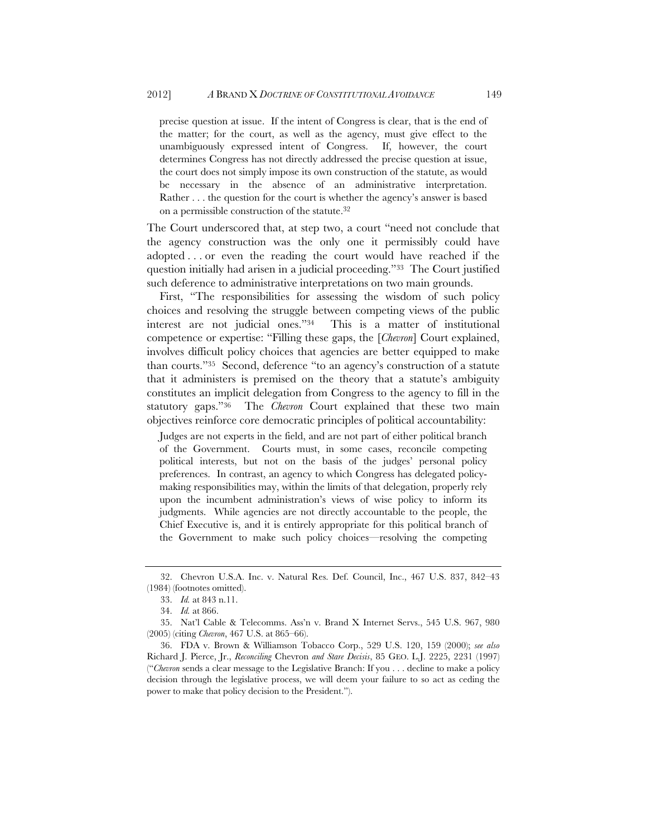precise question at issue. If the intent of Congress is clear, that is the end of the matter; for the court, as well as the agency, must give effect to the unambiguously expressed intent of Congress. If, however, the court determines Congress has not directly addressed the precise question at issue, the court does not simply impose its own construction of the statute, as would be necessary in the absence of an administrative interpretation. Rather . . . the question for the court is whether the agency's answer is based on a permissible construction of the statute.32

The Court underscored that, at step two, a court "need not conclude that the agency construction was the only one it permissibly could have adopted . . . or even the reading the court would have reached if the question initially had arisen in a judicial proceeding."33 The Court justified such deference to administrative interpretations on two main grounds.

First, "The responsibilities for assessing the wisdom of such policy choices and resolving the struggle between competing views of the public interest are not judicial ones."34 This is a matter of institutional competence or expertise: "Filling these gaps, the [*Chevron*] Court explained, involves difficult policy choices that agencies are better equipped to make than courts."35 Second, deference "to an agency's construction of a statute that it administers is premised on the theory that a statute's ambiguity constitutes an implicit delegation from Congress to the agency to fill in the statutory gaps."36 The *Chevron* Court explained that these two main objectives reinforce core democratic principles of political accountability:

Judges are not experts in the field, and are not part of either political branch of the Government. Courts must, in some cases, reconcile competing political interests, but not on the basis of the judges' personal policy preferences. In contrast, an agency to which Congress has delegated policymaking responsibilities may, within the limits of that delegation, properly rely upon the incumbent administration's views of wise policy to inform its judgments. While agencies are not directly accountable to the people, the Chief Executive is, and it is entirely appropriate for this political branch of the Government to make such policy choices—resolving the competing

<sup>32.</sup> Chevron U.S.A. Inc. v. Natural Res. Def. Council, Inc., 467 U.S. 837, 842–43 (1984) (footnotes omitted).

<sup>33.</sup> *Id.* at 843 n.11.

<sup>34.</sup> *Id.* at 866.

<sup>35.</sup> Nat'l Cable & Telecomms. Ass'n v. Brand X Internet Servs., 545 U.S. 967, 980 (2005) (citing *Chevron*, 467 U.S. at 865–66).

<sup>36.</sup> FDA v. Brown & Williamson Tobacco Corp., 529 U.S. 120, 159 (2000); *see also* Richard J. Pierce, Jr., *Reconciling* Chevron *and Stare Decisis*, 85 GEO. L.J. 2225, 2231 (1997) ("*Chevron* sends a clear message to the Legislative Branch: If you . . . decline to make a policy decision through the legislative process, we will deem your failure to so act as ceding the power to make that policy decision to the President.").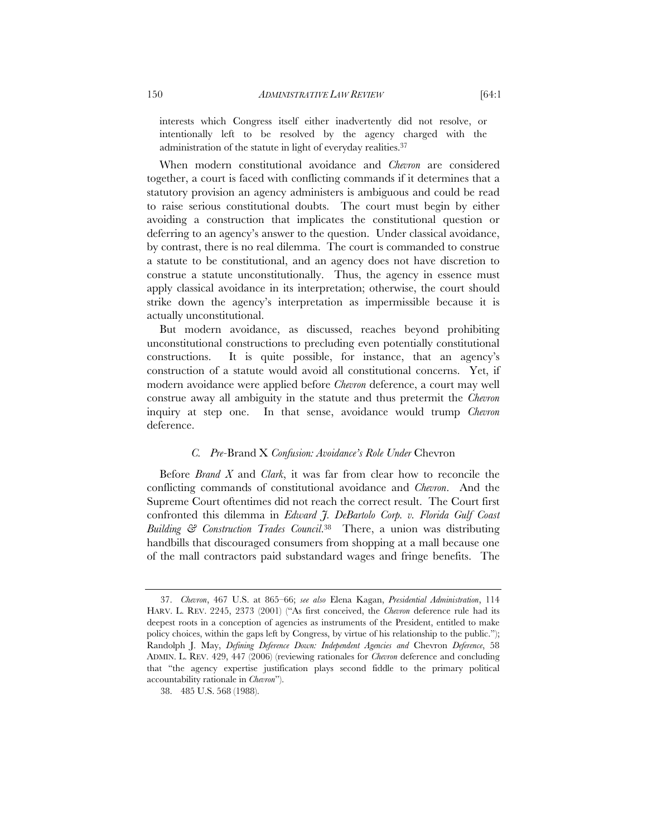interests which Congress itself either inadvertently did not resolve, or intentionally left to be resolved by the agency charged with the administration of the statute in light of everyday realities.37

When modern constitutional avoidance and *Chevron* are considered together, a court is faced with conflicting commands if it determines that a statutory provision an agency administers is ambiguous and could be read to raise serious constitutional doubts. The court must begin by either avoiding a construction that implicates the constitutional question or deferring to an agency's answer to the question. Under classical avoidance, by contrast, there is no real dilemma. The court is commanded to construe a statute to be constitutional, and an agency does not have discretion to construe a statute unconstitutionally. Thus, the agency in essence must apply classical avoidance in its interpretation; otherwise, the court should strike down the agency's interpretation as impermissible because it is actually unconstitutional.

But modern avoidance, as discussed, reaches beyond prohibiting unconstitutional constructions to precluding even potentially constitutional constructions. It is quite possible, for instance, that an agency's construction of a statute would avoid all constitutional concerns. Yet, if modern avoidance were applied before *Chevron* deference, a court may well construe away all ambiguity in the statute and thus pretermit the *Chevron* inquiry at step one. In that sense, avoidance would trump *Chevron* deference.

# *C. Pre-*Brand X *Confusion: Avoidance's Role Under* Chevron

Before *Brand X* and *Clark*, it was far from clear how to reconcile the conflicting commands of constitutional avoidance and *Chevron*. And the Supreme Court oftentimes did not reach the correct result. The Court first confronted this dilemma in *Edward J. DeBartolo Corp. v. Florida Gulf Coast Building & Construction Trades Council*.38 There, a union was distributing handbills that discouraged consumers from shopping at a mall because one of the mall contractors paid substandard wages and fringe benefits. The

<sup>37.</sup> *Chevron*, 467 U.S. at 865–66; *see also* Elena Kagan, *Presidential Administration*, 114 HARV. L. REV. 2245, 2373 (2001) ("As first conceived, the *Chevron* deference rule had its deepest roots in a conception of agencies as instruments of the President, entitled to make policy choices, within the gaps left by Congress, by virtue of his relationship to the public."); Randolph J. May, *Defining Deference Down: Independent Agencies and* Chevron *Deference*, 58 ADMIN. L. REV. 429, 447 (2006) (reviewing rationales for *Chevron* deference and concluding that "the agency expertise justification plays second fiddle to the primary political accountability rationale in *Chevron*").

<sup>38. 485</sup> U.S. 568 (1988).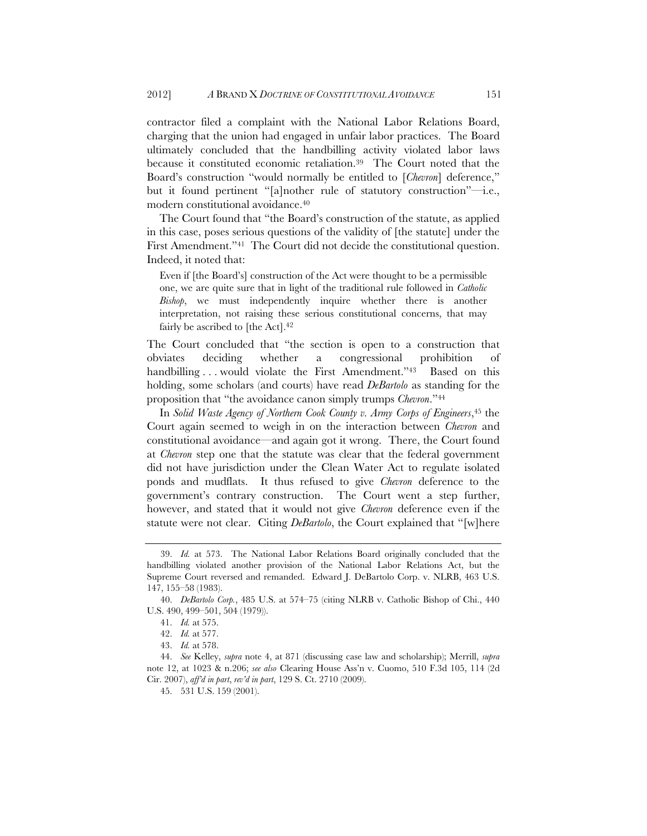contractor filed a complaint with the National Labor Relations Board, charging that the union had engaged in unfair labor practices. The Board ultimately concluded that the handbilling activity violated labor laws because it constituted economic retaliation.39 The Court noted that the Board's construction "would normally be entitled to [*Chevron*] deference," but it found pertinent "[a]nother rule of statutory construction"—i.e., modern constitutional avoidance.40

The Court found that "the Board's construction of the statute, as applied in this case, poses serious questions of the validity of [the statute] under the First Amendment."41 The Court did not decide the constitutional question. Indeed, it noted that:

Even if [the Board's] construction of the Act were thought to be a permissible one, we are quite sure that in light of the traditional rule followed in *Catholic Bishop*, we must independently inquire whether there is another interpretation, not raising these serious constitutional concerns, that may fairly be ascribed to [the Act].<sup>42</sup>

The Court concluded that "the section is open to a construction that obviates deciding whether a congressional prohibition of handbilling ... would violate the First Amendment."<sup>43</sup> Based on this holding, some scholars (and courts) have read *DeBartolo* as standing for the proposition that "the avoidance canon simply trumps *Chevron*."44

In *Solid Waste Agency of Northern Cook County v. Army Corps of Engineers*,45 the Court again seemed to weigh in on the interaction between *Chevron* and constitutional avoidance—and again got it wrong. There, the Court found at *Chevron* step one that the statute was clear that the federal government did not have jurisdiction under the Clean Water Act to regulate isolated ponds and mudflats. It thus refused to give *Chevron* deference to the government's contrary construction. The Court went a step further, however, and stated that it would not give *Chevron* deference even if the statute were not clear. Citing *DeBartolo*, the Court explained that "[w]here

<sup>39.</sup> *Id.* at 573. The National Labor Relations Board originally concluded that the handbilling violated another provision of the National Labor Relations Act, but the Supreme Court reversed and remanded. Edward J. DeBartolo Corp. v. NLRB, 463 U.S. 147, 155–58 (1983).

<sup>40.</sup> *DeBartolo Corp.*, 485 U.S. at 574–75 (citing NLRB v. Catholic Bishop of Chi., 440 U.S. 490, 499–501, 504 (1979)).

<sup>41.</sup> *Id.* at 575.

<sup>42.</sup> *Id.* at 577.

<sup>43.</sup> *Id.* at 578.

<sup>44.</sup> *See* Kelley, *supra* note 4, at 871 (discussing case law and scholarship); Merrill, *supra* note 12, at 1023 & n.206; *see also* Clearing House Ass'n v. Cuomo, 510 F.3d 105, 114 (2d Cir. 2007), *aff'd in part*, *rev'd in part*, 129 S. Ct. 2710 (2009).

<sup>45. 531</sup> U.S. 159 (2001).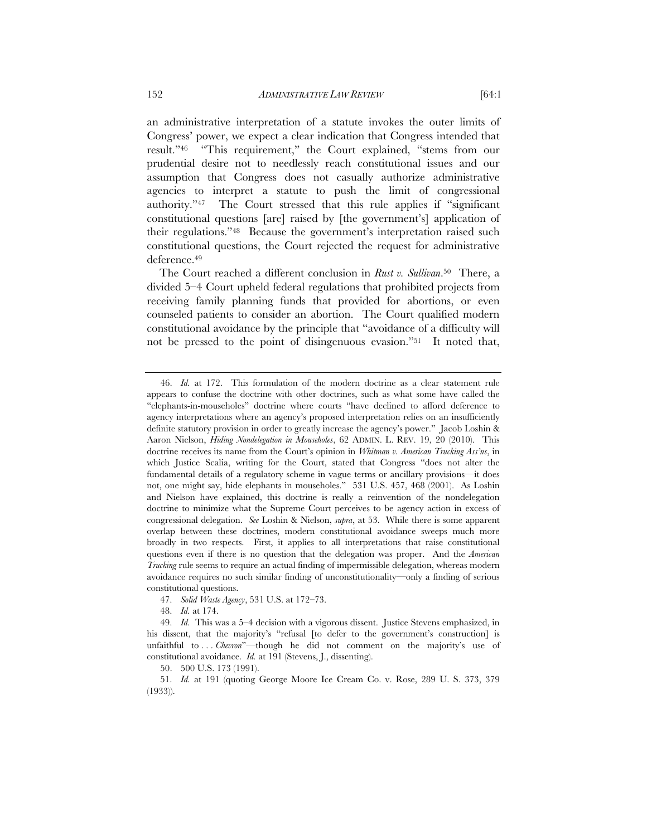an administrative interpretation of a statute invokes the outer limits of Congress' power, we expect a clear indication that Congress intended that result."46 "This requirement," the Court explained, "stems from our prudential desire not to needlessly reach constitutional issues and our assumption that Congress does not casually authorize administrative agencies to interpret a statute to push the limit of congressional authority."47 The Court stressed that this rule applies if "significant constitutional questions [are] raised by [the government's] application of their regulations."48 Because the government's interpretation raised such constitutional questions, the Court rejected the request for administrative deference.49

The Court reached a different conclusion in *Rust v. Sullivan*.50 There, a divided 5–4 Court upheld federal regulations that prohibited projects from receiving family planning funds that provided for abortions, or even counseled patients to consider an abortion. The Court qualified modern constitutional avoidance by the principle that "avoidance of a difficulty will not be pressed to the point of disingenuous evasion."51 It noted that,

48. *Id.* at 174.

50. 500 U.S. 173 (1991).

<sup>46.</sup> *Id.* at 172. This formulation of the modern doctrine as a clear statement rule appears to confuse the doctrine with other doctrines, such as what some have called the "elephants-in-mouseholes" doctrine where courts "have declined to afford deference to agency interpretations where an agency's proposed interpretation relies on an insufficiently definite statutory provision in order to greatly increase the agency's power." Jacob Loshin & Aaron Nielson, *Hiding Nondelegation in Mouseholes*, 62 ADMIN. L. REV. 19, 20 (2010). This doctrine receives its name from the Court's opinion in *Whitman v. American Trucking Ass'ns*, in which Justice Scalia, writing for the Court, stated that Congress "does not alter the fundamental details of a regulatory scheme in vague terms or ancillary provisions—it does not, one might say, hide elephants in mouseholes." 531 U.S. 457, 468 (2001). As Loshin and Nielson have explained, this doctrine is really a reinvention of the nondelegation doctrine to minimize what the Supreme Court perceives to be agency action in excess of congressional delegation. *See* Loshin & Nielson, *supra*, at 53. While there is some apparent overlap between these doctrines, modern constitutional avoidance sweeps much more broadly in two respects. First, it applies to all interpretations that raise constitutional questions even if there is no question that the delegation was proper. And the *American Trucking* rule seems to require an actual finding of impermissible delegation, whereas modern avoidance requires no such similar finding of unconstitutionality—only a finding of serious constitutional questions.

<sup>47.</sup> *Solid Waste Agency*, 531 U.S. at 172–73.

<sup>49.</sup> *Id.* This was a 5–4 decision with a vigorous dissent. Justice Stevens emphasized, in his dissent, that the majority's "refusal [to defer to the government's construction] is unfaithful to ... *Chevron*"-though he did not comment on the majority's use of constitutional avoidance. *Id.* at 191 (Stevens, J., dissenting).

<sup>51.</sup> *Id.* at 191 (quoting George Moore Ice Cream Co. v. Rose, 289 U. S. 373, 379 (1933)).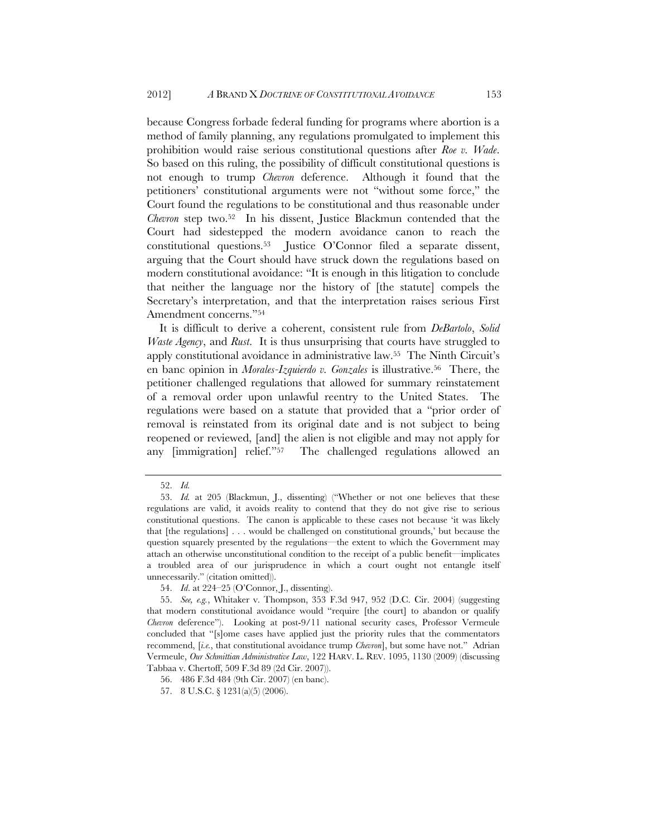because Congress forbade federal funding for programs where abortion is a method of family planning, any regulations promulgated to implement this prohibition would raise serious constitutional questions after *Roe v. Wade*. So based on this ruling, the possibility of difficult constitutional questions is not enough to trump *Chevron* deference. Although it found that the petitioners' constitutional arguments were not "without some force," the Court found the regulations to be constitutional and thus reasonable under *Chevron* step two.52 In his dissent, Justice Blackmun contended that the Court had sidestepped the modern avoidance canon to reach the constitutional questions.53 Justice O'Connor filed a separate dissent, arguing that the Court should have struck down the regulations based on modern constitutional avoidance: "It is enough in this litigation to conclude that neither the language nor the history of [the statute] compels the Secretary's interpretation, and that the interpretation raises serious First Amendment concerns."54

It is difficult to derive a coherent, consistent rule from *DeBartolo*, *Solid Waste Agency*, and *Rust*. It is thus unsurprising that courts have struggled to apply constitutional avoidance in administrative law.55 The Ninth Circuit's en banc opinion in *Morales-Izquierdo v. Gonzales* is illustrative.56 There, the petitioner challenged regulations that allowed for summary reinstatement of a removal order upon unlawful reentry to the United States. The regulations were based on a statute that provided that a "prior order of removal is reinstated from its original date and is not subject to being reopened or reviewed, [and] the alien is not eligible and may not apply for any [immigration] relief."57 The challenged regulations allowed an

<sup>52.</sup> *Id.*

<sup>53.</sup> *Id.* at 205 (Blackmun, J., dissenting) ("Whether or not one believes that these regulations are valid, it avoids reality to contend that they do not give rise to serious constitutional questions. The canon is applicable to these cases not because 'it was likely that [the regulations] . . . would be challenged on constitutional grounds,' but because the question squarely presented by the regulations—the extent to which the Government may attach an otherwise unconstitutional condition to the receipt of a public benefit—implicates a troubled area of our jurisprudence in which a court ought not entangle itself unnecessarily." (citation omitted)).

<sup>54.</sup> *Id*. at 224–25 (O'Connor, J., dissenting).

<sup>55.</sup> *See, e.g.*, Whitaker v. Thompson, 353 F.3d 947, 952 (D.C. Cir. 2004) (suggesting that modern constitutional avoidance would "require [the court] to abandon or qualify *Chevron* deference"). Looking at post-9/11 national security cases, Professor Vermeule concluded that "[s]ome cases have applied just the priority rules that the commentators recommend, [*i.e.*, that constitutional avoidance trump *Chevron*], but some have not." Adrian Vermeule, *Our Schmittian Administrative Law*, 122 HARV. L. REV. 1095, 1130 (2009) (discussing Tabbaa v. Chertoff, 509 F.3d 89 (2d Cir. 2007)).

<sup>56. 486</sup> F.3d 484 (9th Cir. 2007) (en banc).

<sup>57. 8</sup> U.S.C. § 1231(a)(5) (2006).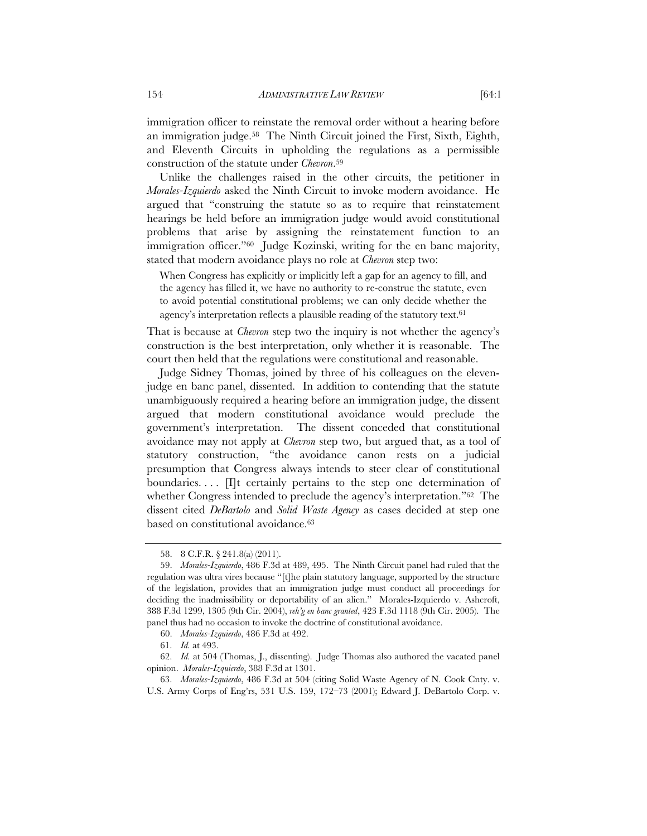immigration officer to reinstate the removal order without a hearing before an immigration judge.58 The Ninth Circuit joined the First, Sixth, Eighth, and Eleventh Circuits in upholding the regulations as a permissible construction of the statute under *Chevron*.59

Unlike the challenges raised in the other circuits, the petitioner in *Morales-Izquierdo* asked the Ninth Circuit to invoke modern avoidance. He argued that "construing the statute so as to require that reinstatement hearings be held before an immigration judge would avoid constitutional problems that arise by assigning the reinstatement function to an immigration officer."60 Judge Kozinski, writing for the en banc majority, stated that modern avoidance plays no role at *Chevron* step two:

When Congress has explicitly or implicitly left a gap for an agency to fill, and the agency has filled it, we have no authority to re-construe the statute, even to avoid potential constitutional problems; we can only decide whether the agency's interpretation reflects a plausible reading of the statutory text.<sup>61</sup>

That is because at *Chevron* step two the inquiry is not whether the agency's construction is the best interpretation, only whether it is reasonable. The court then held that the regulations were constitutional and reasonable.

Judge Sidney Thomas, joined by three of his colleagues on the elevenjudge en banc panel, dissented. In addition to contending that the statute unambiguously required a hearing before an immigration judge, the dissent argued that modern constitutional avoidance would preclude the government's interpretation. The dissent conceded that constitutional avoidance may not apply at *Chevron* step two, but argued that, as a tool of statutory construction, "the avoidance canon rests on a judicial presumption that Congress always intends to steer clear of constitutional boundaries....  $\Pi$ <sub>t</sub> certainly pertains to the step one determination of whether Congress intended to preclude the agency's interpretation."62 The dissent cited *DeBartolo* and *Solid Waste Agency* as cases decided at step one based on constitutional avoidance.<sup>63</sup>

<sup>58. 8</sup> C.F.R. § 241.8(a) (2011).

<sup>59.</sup> *Morales-Izquierdo*, 486 F.3d at 489, 495. The Ninth Circuit panel had ruled that the regulation was ultra vires because "[t]he plain statutory language, supported by the structure of the legislation, provides that an immigration judge must conduct all proceedings for deciding the inadmissibility or deportability of an alien." Morales-Izquierdo v. Ashcroft, 388 F.3d 1299, 1305 (9th Cir. 2004), *reh'g en banc granted*, 423 F.3d 1118 (9th Cir. 2005). The panel thus had no occasion to invoke the doctrine of constitutional avoidance.

<sup>60.</sup> *Morales-Izquierdo*, 486 F.3d at 492.

<sup>61.</sup> *Id.* at 493.

<sup>62.</sup> *Id.* at 504 (Thomas, J., dissenting). Judge Thomas also authored the vacated panel opinion. *Morales-Izquierdo*, 388 F.3d at 1301.

<sup>63.</sup> *Morales-Izquierdo*, 486 F.3d at 504 (citing Solid Waste Agency of N. Cook Cnty. v. U.S. Army Corps of Eng'rs, 531 U.S. 159, 172–73 (2001); Edward J. DeBartolo Corp. v.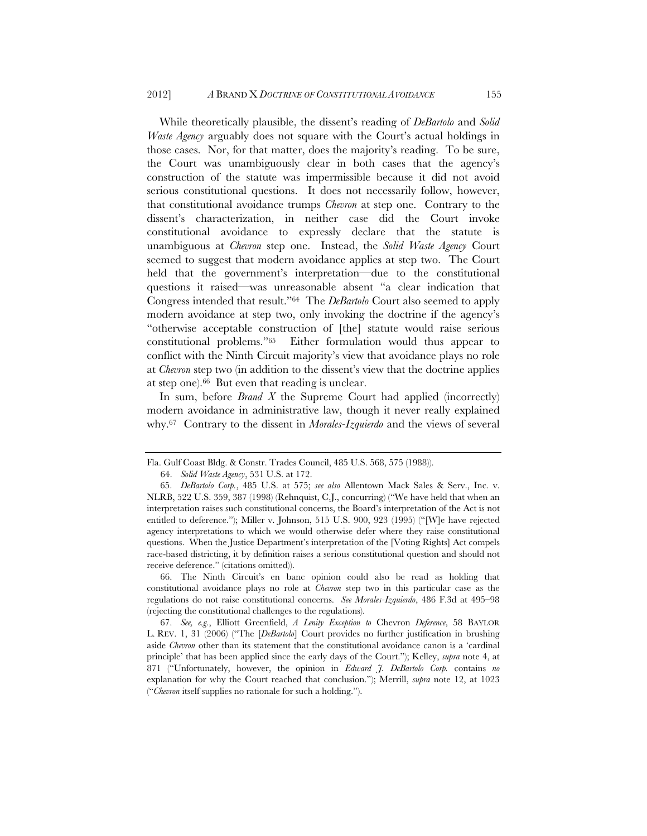While theoretically plausible, the dissent's reading of *DeBartolo* and *Solid Waste Agency* arguably does not square with the Court's actual holdings in those cases. Nor, for that matter, does the majority's reading. To be sure, the Court was unambiguously clear in both cases that the agency's construction of the statute was impermissible because it did not avoid serious constitutional questions. It does not necessarily follow, however, that constitutional avoidance trumps *Chevron* at step one. Contrary to the dissent's characterization, in neither case did the Court invoke constitutional avoidance to expressly declare that the statute is unambiguous at *Chevron* step one. Instead, the *Solid Waste Agency* Court seemed to suggest that modern avoidance applies at step two. The Court held that the government's interpretation—due to the constitutional questions it raised—was unreasonable absent "a clear indication that Congress intended that result."64 The *DeBartolo* Court also seemed to apply modern avoidance at step two, only invoking the doctrine if the agency's "otherwise acceptable construction of [the] statute would raise serious constitutional problems."65 Either formulation would thus appear to conflict with the Ninth Circuit majority's view that avoidance plays no role at *Chevron* step two (in addition to the dissent's view that the doctrine applies at step one).66 But even that reading is unclear.

In sum, before *Brand X* the Supreme Court had applied (incorrectly) modern avoidance in administrative law, though it never really explained why.67 Contrary to the dissent in *Morales-Izquierdo* and the views of several

66. The Ninth Circuit's en banc opinion could also be read as holding that constitutional avoidance plays no role at *Chevron* step two in this particular case as the regulations do not raise constitutional concerns. *See Morales-Izquierdo*, 486 F.3d at 495–98 (rejecting the constitutional challenges to the regulations).

67. *See, e.g.*, Elliott Greenfield, *A Lenity Exception to* Chevron *Deference*, 58 BAYLOR L. REV. 1, 31 (2006) ("The [*DeBartolo*] Court provides no further justification in brushing aside *Chevron* other than its statement that the constitutional avoidance canon is a 'cardinal principle' that has been applied since the early days of the Court."); Kelley, *supra* note 4, at 871 ("Unfortunately, however, the opinion in *Edward J. DeBartolo Corp.* contains *no* explanation for why the Court reached that conclusion."); Merrill, *supra* note 12, at 1023 ("*Chevron* itself supplies no rationale for such a holding.").

Fla. Gulf Coast Bldg. & Constr. Trades Council, 485 U.S. 568, 575 (1988)).

<sup>64.</sup> *Solid Waste Agency*, 531 U.S. at 172.

<sup>65.</sup> *DeBartolo Corp.*, 485 U.S. at 575; *see also* Allentown Mack Sales & Serv., Inc. v. NLRB, 522 U.S. 359, 387 (1998) (Rehnquist, C.J., concurring) ("We have held that when an interpretation raises such constitutional concerns, the Board's interpretation of the Act is not entitled to deference."); Miller v. Johnson, 515 U.S. 900, 923 (1995) ("[W]e have rejected agency interpretations to which we would otherwise defer where they raise constitutional questions. When the Justice Department's interpretation of the [Voting Rights] Act compels race-based districting, it by definition raises a serious constitutional question and should not receive deference." (citations omitted)).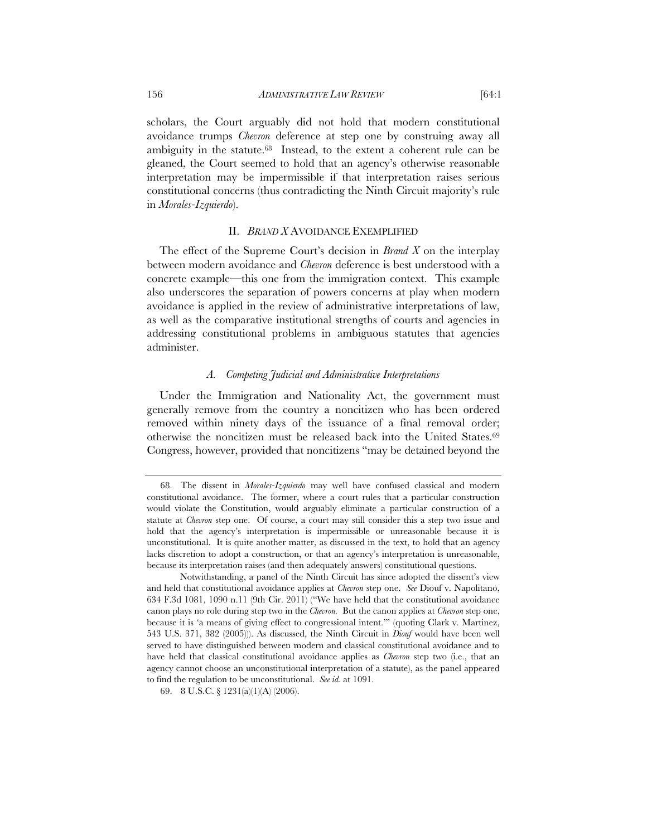scholars, the Court arguably did not hold that modern constitutional avoidance trumps *Chevron* deference at step one by construing away all ambiguity in the statute.68 Instead, to the extent a coherent rule can be gleaned, the Court seemed to hold that an agency's otherwise reasonable interpretation may be impermissible if that interpretation raises serious constitutional concerns (thus contradicting the Ninth Circuit majority's rule in *Morales-Izquierdo*).

# II. *BRAND X* AVOIDANCE EXEMPLIFIED

The effect of the Supreme Court's decision in *Brand X* on the interplay between modern avoidance and *Chevron* deference is best understood with a concrete example—this one from the immigration context. This example also underscores the separation of powers concerns at play when modern avoidance is applied in the review of administrative interpretations of law, as well as the comparative institutional strengths of courts and agencies in addressing constitutional problems in ambiguous statutes that agencies administer.

## *A. Competing Judicial and Administrative Interpretations*

Under the Immigration and Nationality Act, the government must generally remove from the country a noncitizen who has been ordered removed within ninety days of the issuance of a final removal order; otherwise the noncitizen must be released back into the United States.69 Congress, however, provided that noncitizens "may be detained beyond the

<sup>68.</sup> The dissent in *Morales-Izquierdo* may well have confused classical and modern constitutional avoidance. The former, where a court rules that a particular construction would violate the Constitution, would arguably eliminate a particular construction of a statute at *Chevron* step one. Of course, a court may still consider this a step two issue and hold that the agency's interpretation is impermissible or unreasonable because it is unconstitutional. It is quite another matter, as discussed in the text, to hold that an agency lacks discretion to adopt a construction, or that an agency's interpretation is unreasonable, because its interpretation raises (and then adequately answers) constitutional questions.

Notwithstanding, a panel of the Ninth Circuit has since adopted the dissent's view and held that constitutional avoidance applies at *Chevron* step one. *See* Diouf v. Napolitano, 634 F.3d 1081, 1090 n.11 (9th Cir. 2011) ("We have held that the constitutional avoidance canon plays no role during step two in the *Chevron.* But the canon applies at *Chevron* step one, because it is 'a means of giving effect to congressional intent.'" (quoting Clark v. Martinez, 543 U.S. 371, 382 (2005))). As discussed, the Ninth Circuit in *Diouf* would have been well served to have distinguished between modern and classical constitutional avoidance and to have held that classical constitutional avoidance applies as *Chevron* step two (i.e., that an agency cannot choose an unconstitutional interpretation of a statute), as the panel appeared to find the regulation to be unconstitutional. *See id.* at 1091.

<sup>69. 8</sup> U.S.C. § 1231(a)(1)(A) (2006).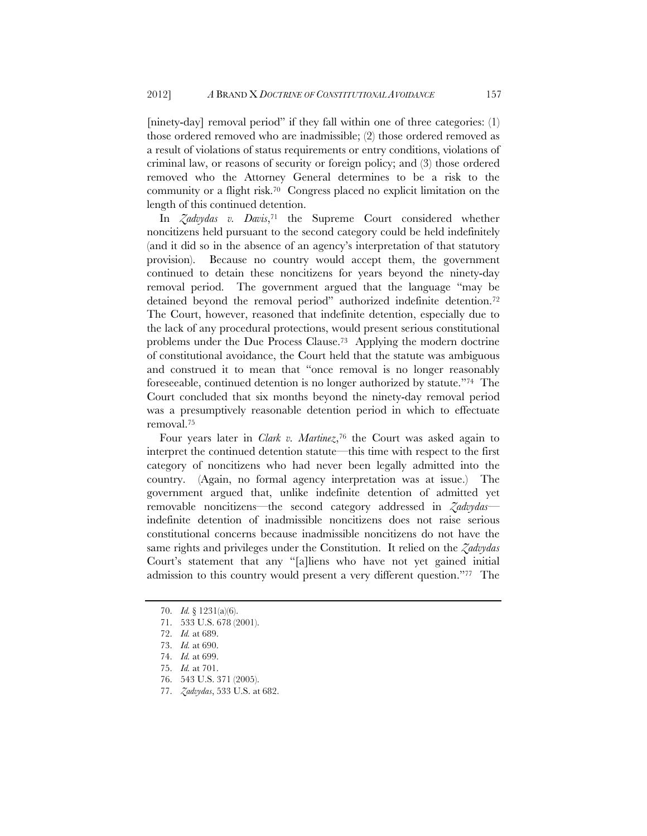[ninety-day] removal period" if they fall within one of three categories: (1) those ordered removed who are inadmissible; (2) those ordered removed as a result of violations of status requirements or entry conditions, violations of criminal law, or reasons of security or foreign policy; and (3) those ordered removed who the Attorney General determines to be a risk to the community or a flight risk.70 Congress placed no explicit limitation on the length of this continued detention.

In *Zadvydas v. Davis*,71 the Supreme Court considered whether noncitizens held pursuant to the second category could be held indefinitely (and it did so in the absence of an agency's interpretation of that statutory provision). Because no country would accept them, the government continued to detain these noncitizens for years beyond the ninety-day removal period. The government argued that the language "may be detained beyond the removal period" authorized indefinite detention.<sup>72</sup> The Court, however, reasoned that indefinite detention, especially due to the lack of any procedural protections, would present serious constitutional problems under the Due Process Clause.73 Applying the modern doctrine of constitutional avoidance, the Court held that the statute was ambiguous and construed it to mean that "once removal is no longer reasonably foreseeable, continued detention is no longer authorized by statute."74 The Court concluded that six months beyond the ninety-day removal period was a presumptively reasonable detention period in which to effectuate removal.75

Four years later in *Clark v. Martinez*,76 the Court was asked again to interpret the continued detention statute—this time with respect to the first category of noncitizens who had never been legally admitted into the country. (Again, no formal agency interpretation was at issue.) The government argued that, unlike indefinite detention of admitted yet removable noncitizens—the second category addressed in *Zadvydas* indefinite detention of inadmissible noncitizens does not raise serious constitutional concerns because inadmissible noncitizens do not have the same rights and privileges under the Constitution. It relied on the *Zadvydas* Court's statement that any "[a]liens who have not yet gained initial admission to this country would present a very different question."77 The

<sup>70.</sup> *Id.* § 1231(a)(6).

<sup>71.</sup> 533 U.S. 678 (2001).

<sup>72.</sup> *Id.* at 689.

<sup>73.</sup> *Id.* at 690.

<sup>74.</sup> *Id.* at 699.

<sup>75.</sup> *Id.* at 701.

<sup>76. 543</sup> U.S. 371 (2005).

<sup>77.</sup> *Zadvydas*, 533 U.S. at 682.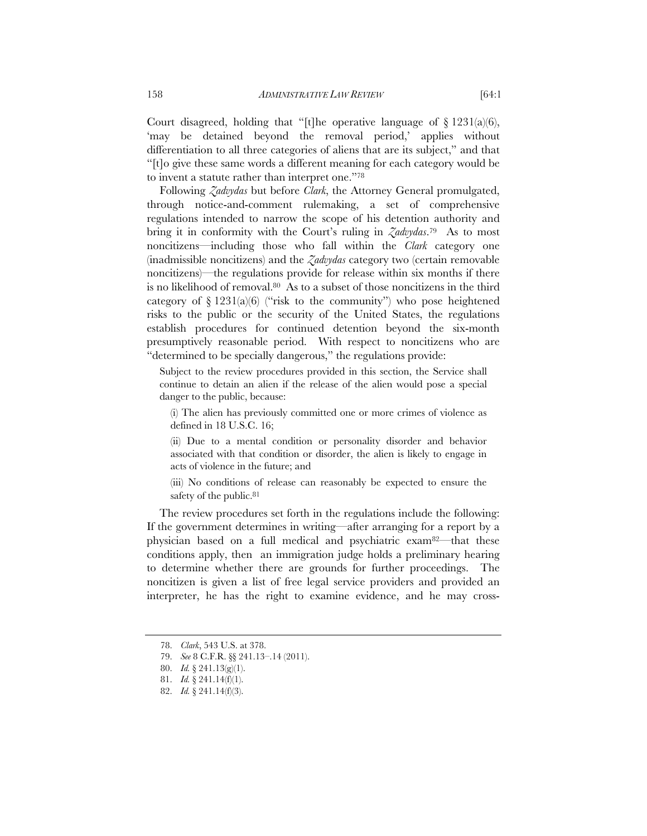Court disagreed, holding that "[t]he operative language of  $\S 1231(a)(6)$ , 'may be detained beyond the removal period,' applies without differentiation to all three categories of aliens that are its subject," and that "[t]o give these same words a different meaning for each category would be to invent a statute rather than interpret one."78

Following *Zadvydas* but before *Clark*, the Attorney General promulgated, through notice-and-comment rulemaking, a set of comprehensive regulations intended to narrow the scope of his detention authority and bring it in conformity with the Court's ruling in *Zadvydas*.79 As to most noncitizens—including those who fall within the *Clark* category one (inadmissible noncitizens) and the *Zadvydas* category two (certain removable noncitizens)—the regulations provide for release within six months if there is no likelihood of removal.80 As to a subset of those noncitizens in the third category of  $\S 1231(a)(6)$  ("risk to the community") who pose heightened risks to the public or the security of the United States, the regulations establish procedures for continued detention beyond the six-month presumptively reasonable period. With respect to noncitizens who are "determined to be specially dangerous," the regulations provide:

Subject to the review procedures provided in this section, the Service shall continue to detain an alien if the release of the alien would pose a special danger to the public, because:

(i) The alien has previously committed one or more crimes of violence as defined in 18 U.S.C. 16;

(ii) Due to a mental condition or personality disorder and behavior associated with that condition or disorder, the alien is likely to engage in acts of violence in the future; and

(iii) No conditions of release can reasonably be expected to ensure the safety of the public.<sup>81</sup>

The review procedures set forth in the regulations include the following: If the government determines in writing—after arranging for a report by a physician based on a full medical and psychiatric exam82—that these conditions apply, then an immigration judge holds a preliminary hearing to determine whether there are grounds for further proceedings. The noncitizen is given a list of free legal service providers and provided an interpreter, he has the right to examine evidence, and he may cross-

<sup>78.</sup> *Clark*, 543 U.S. at 378.

<sup>79.</sup> *See* 8 C.F.R. §§ 241.13–.14 (2011).

<sup>80.</sup> *Id.* § 241.13(g)(1).

<sup>81.</sup> *Id.* § 241.14(f)(1).

<sup>82.</sup> *Id.* § 241.14(f)(3).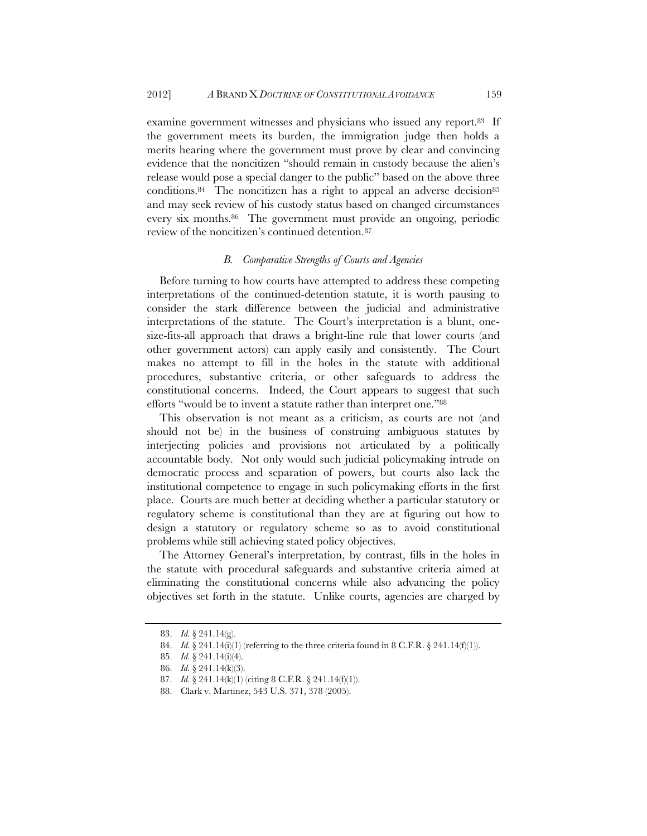examine government witnesses and physicians who issued any report.<sup>83</sup> If the government meets its burden, the immigration judge then holds a merits hearing where the government must prove by clear and convincing evidence that the noncitizen "should remain in custody because the alien's release would pose a special danger to the public" based on the above three conditions.<sup>84</sup> The noncitizen has a right to appeal an adverse decision<sup>85</sup> and may seek review of his custody status based on changed circumstances every six months.86 The government must provide an ongoing, periodic review of the noncitizen's continued detention.87

#### *B. Comparative Strengths of Courts and Agencies*

Before turning to how courts have attempted to address these competing interpretations of the continued-detention statute, it is worth pausing to consider the stark difference between the judicial and administrative interpretations of the statute. The Court's interpretation is a blunt, onesize-fits-all approach that draws a bright-line rule that lower courts (and other government actors) can apply easily and consistently. The Court makes no attempt to fill in the holes in the statute with additional procedures, substantive criteria, or other safeguards to address the constitutional concerns. Indeed, the Court appears to suggest that such efforts "would be to invent a statute rather than interpret one."88

This observation is not meant as a criticism, as courts are not (and should not be) in the business of construing ambiguous statutes by interjecting policies and provisions not articulated by a politically accountable body. Not only would such judicial policymaking intrude on democratic process and separation of powers, but courts also lack the institutional competence to engage in such policymaking efforts in the first place. Courts are much better at deciding whether a particular statutory or regulatory scheme is constitutional than they are at figuring out how to design a statutory or regulatory scheme so as to avoid constitutional problems while still achieving stated policy objectives.

The Attorney General's interpretation, by contrast, fills in the holes in the statute with procedural safeguards and substantive criteria aimed at eliminating the constitutional concerns while also advancing the policy objectives set forth in the statute. Unlike courts, agencies are charged by

<sup>83.</sup> *Id.* § 241.14(g).

<sup>84.</sup> *Id.* § 241.14(i)(1) (referring to the three criteria found in 8 C.F.R. § 241.14(f)(1)).

<sup>85.</sup> *Id.* § 241.14(i)(4).

<sup>86.</sup> *Id.* § 241.14(k)(3).

<sup>87.</sup> *Id.* § 241.14(k)(1) (citing 8 C.F.R. § 241.14(f)(1)).

<sup>88.</sup> Clark v. Martinez, 543 U.S. 371, 378 (2005).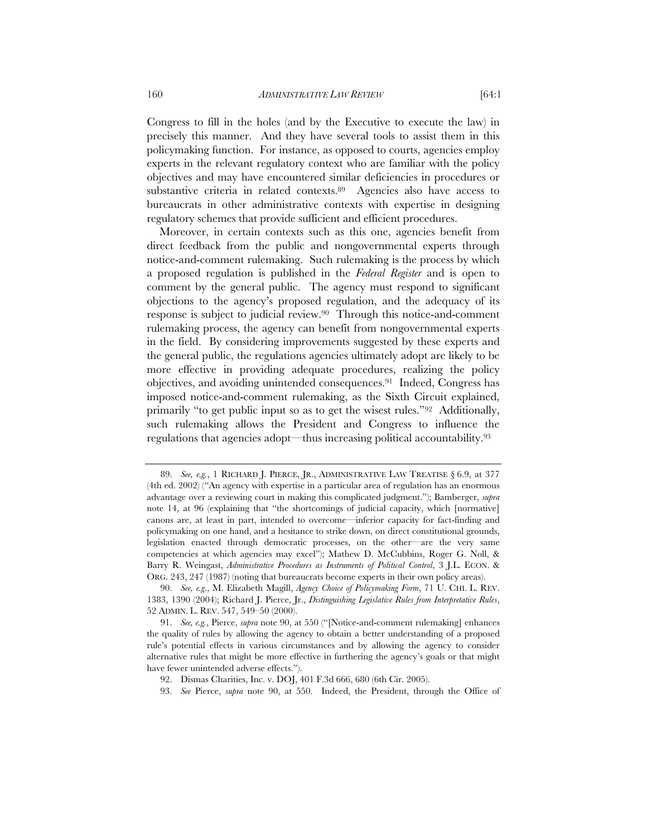Congress to fill in the holes (and by the Executive to execute the law) in precisely this manner. And they have several tools to assist them in this policymaking function. For instance, as opposed to courts, agencies employ experts in the relevant regulatory context who are familiar with the policy objectives and may have encountered similar deficiencies in procedures or substantive criteria in related contexts.89 Agencies also have access to bureaucrats in other administrative contexts with expertise in designing regulatory schemes that provide sufficient and efficient procedures.

Moreover, in certain contexts such as this one, agencies benefit from direct feedback from the public and nongovernmental experts through notice-and-comment rulemaking. Such rulemaking is the process by which a proposed regulation is published in the *Federal Register* and is open to comment by the general public. The agency must respond to significant objections to the agency's proposed regulation, and the adequacy of its response is subject to judicial review.90 Through this notice-and-comment rulemaking process, the agency can benefit from nongovernmental experts in the field. By considering improvements suggested by these experts and the general public, the regulations agencies ultimately adopt are likely to be more effective in providing adequate procedures, realizing the policy objectives, and avoiding unintended consequences.91 Indeed, Congress has imposed notice-and-comment rulemaking, as the Sixth Circuit explained, primarily "to get public input so as to get the wisest rules."92 Additionally, such rulemaking allows the President and Congress to influence the regulations that agencies adopt—thus increasing political accountability.93

<sup>89.</sup> *See, e.g.*, 1 RICHARD J. PIERCE, JR., ADMINISTRATIVE LAW TREATISE § 6.9, at 377 (4th ed. 2002) ("An agency with expertise in a particular area of regulation has an enormous advantage over a reviewing court in making this complicated judgment."); Bamberger, *supra* note 14, at 96 (explaining that "the shortcomings of judicial capacity, which [normative] canons are, at least in part, intended to overcome—inferior capacity for fact-finding and policymaking on one hand, and a hesitance to strike down, on direct constitutional grounds, legislation enacted through democratic processes, on the other—are the very same competencies at which agencies may excel"); Mathew D. McCubbins, Roger G. Noll, & Barry R. Weingast, *Administrative Procedures as Instruments of Political Control*, 3 J.L. ECON. & ORG. 243, 247 (1987) (noting that bureaucrats become experts in their own policy areas).

<sup>90.</sup> *See, e.g.*, M. Elizabeth Magill, *Agency Choice of Policymaking Form*, 71 U. CHI. L. REV. 1383, 1390 (2004); Richard J. Pierce, Jr., *Distinguishing Legislative Rules from Interpretative Rules*, 52 ADMIN. L. REV. 547, 549–50 (2000).

<sup>91.</sup> *See, e.g.*, Pierce, *supra* note 90, at 550 ("[Notice-and-comment rulemaking] enhances the quality of rules by allowing the agency to obtain a better understanding of a proposed rule's potential effects in various circumstances and by allowing the agency to consider alternative rules that might be more effective in furthering the agency's goals or that might have fewer unintended adverse effects.").

<sup>92.</sup> Dismas Charities, Inc. v. DOJ, 401 F.3d 666, 680 (6th Cir. 2005).

<sup>93.</sup> *See* Pierce, *supra* note 90, at 550. Indeed, the President, through the Office of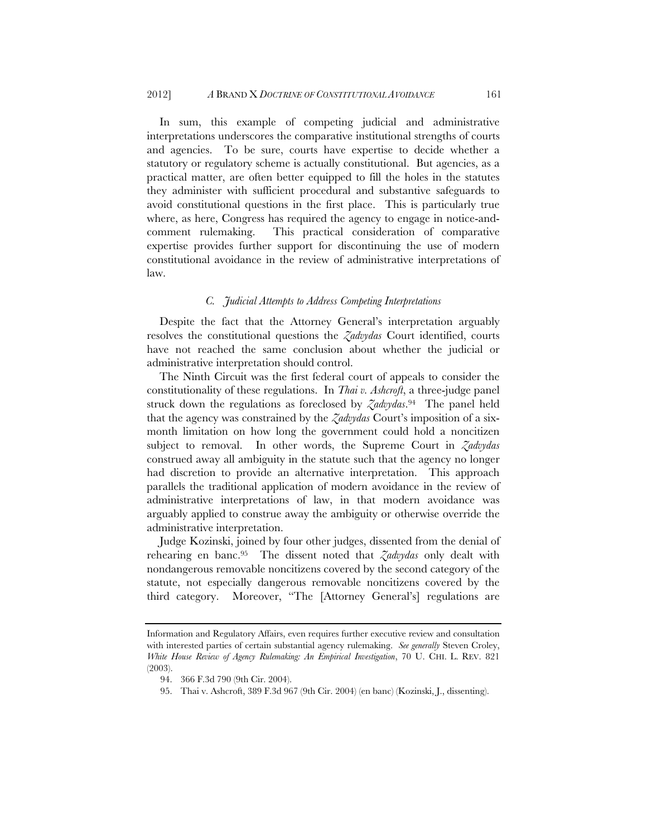In sum, this example of competing judicial and administrative interpretations underscores the comparative institutional strengths of courts and agencies. To be sure, courts have expertise to decide whether a statutory or regulatory scheme is actually constitutional. But agencies, as a practical matter, are often better equipped to fill the holes in the statutes they administer with sufficient procedural and substantive safeguards to avoid constitutional questions in the first place. This is particularly true where, as here, Congress has required the agency to engage in notice-andcomment rulemaking. This practical consideration of comparative expertise provides further support for discontinuing the use of modern constitutional avoidance in the review of administrative interpretations of law.

## *C. Judicial Attempts to Address Competing Interpretations*

Despite the fact that the Attorney General's interpretation arguably resolves the constitutional questions the *Zadvydas* Court identified, courts have not reached the same conclusion about whether the judicial or administrative interpretation should control.

The Ninth Circuit was the first federal court of appeals to consider the constitutionality of these regulations. In *Thai v. Ashcroft*, a three-judge panel struck down the regulations as foreclosed by *Zadvydas*.94 The panel held that the agency was constrained by the *Zadvydas* Court's imposition of a sixmonth limitation on how long the government could hold a noncitizen subject to removal. In other words, the Supreme Court in *Zadvydas* construed away all ambiguity in the statute such that the agency no longer had discretion to provide an alternative interpretation. This approach parallels the traditional application of modern avoidance in the review of administrative interpretations of law, in that modern avoidance was arguably applied to construe away the ambiguity or otherwise override the administrative interpretation.

Judge Kozinski, joined by four other judges, dissented from the denial of rehearing en banc.95 The dissent noted that *Zadvydas* only dealt with nondangerous removable noncitizens covered by the second category of the statute, not especially dangerous removable noncitizens covered by the third category. Moreover, "The [Attorney General's] regulations are

Information and Regulatory Affairs, even requires further executive review and consultation with interested parties of certain substantial agency rulemaking. *See generally* Steven Croley, *White House Review of Agency Rulemaking: An Empirical Investigation*, 70 U. CHI. L. REV. 821 (2003).

<sup>94. 366</sup> F.3d 790 (9th Cir. 2004).

<sup>95.</sup> Thai v. Ashcroft, 389 F.3d 967 (9th Cir. 2004) (en banc) (Kozinski, J., dissenting).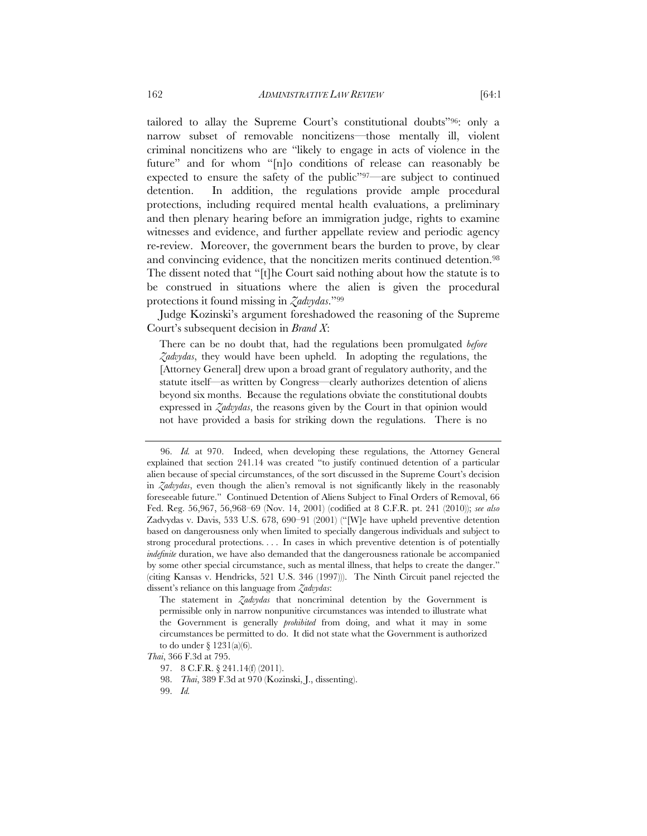tailored to allay the Supreme Court's constitutional doubts"96: only a narrow subset of removable noncitizens—those mentally ill, violent criminal noncitizens who are "likely to engage in acts of violence in the future" and for whom "[n]o conditions of release can reasonably be expected to ensure the safety of the public"97—are subject to continued detention. In addition, the regulations provide ample procedural protections, including required mental health evaluations, a preliminary and then plenary hearing before an immigration judge, rights to examine witnesses and evidence, and further appellate review and periodic agency re-review. Moreover, the government bears the burden to prove, by clear and convincing evidence, that the noncitizen merits continued detention.<sup>98</sup> The dissent noted that "[t]he Court said nothing about how the statute is to be construed in situations where the alien is given the procedural protections it found missing in *Zadvydas*."99

Judge Kozinski's argument foreshadowed the reasoning of the Supreme Court's subsequent decision in *Brand X*:

There can be no doubt that, had the regulations been promulgated *before Zadvydas*, they would have been upheld. In adopting the regulations, the [Attorney General] drew upon a broad grant of regulatory authority, and the statute itself—as written by Congress—clearly authorizes detention of aliens beyond six months. Because the regulations obviate the constitutional doubts expressed in *Zadvydas*, the reasons given by the Court in that opinion would not have provided a basis for striking down the regulations. There is no

<sup>96.</sup> *Id.* at 970. Indeed, when developing these regulations, the Attorney General explained that section 241.14 was created "to justify continued detention of a particular alien because of special circumstances, of the sort discussed in the Supreme Court's decision in *Zadvydas*, even though the alien's removal is not significantly likely in the reasonably foreseeable future." Continued Detention of Aliens Subject to Final Orders of Removal, 66 Fed. Reg. 56,967, 56,968–69 (Nov. 14, 2001) (codified at 8 C.F.R. pt. 241 (2010)); *see also* Zadvydas v. Davis, 533 U.S. 678, 690–91 (2001) ("[W]e have upheld preventive detention based on dangerousness only when limited to specially dangerous individuals and subject to strong procedural protections. . . . In cases in which preventive detention is of potentially *indefinite* duration, we have also demanded that the dangerousness rationale be accompanied by some other special circumstance, such as mental illness, that helps to create the danger." (citing Kansas v. Hendricks, 521 U.S. 346 (1997))). The Ninth Circuit panel rejected the dissent's reliance on this language from *Zadvydas*:

The statement in *Zadvydas* that noncriminal detention by the Government is permissible only in narrow nonpunitive circumstances was intended to illustrate what the Government is generally *prohibited* from doing, and what it may in some circumstances be permitted to do. It did not state what the Government is authorized to do under  $\S 1231(a)(6)$ .

*Thai*, 366 F.3d at 795.

<sup>97. 8</sup> C.F.R. § 241.14(f) (2011).

<sup>98.</sup> *Thai*, 389 F.3d at 970 (Kozinski, J., dissenting).

<sup>99.</sup> *Id.*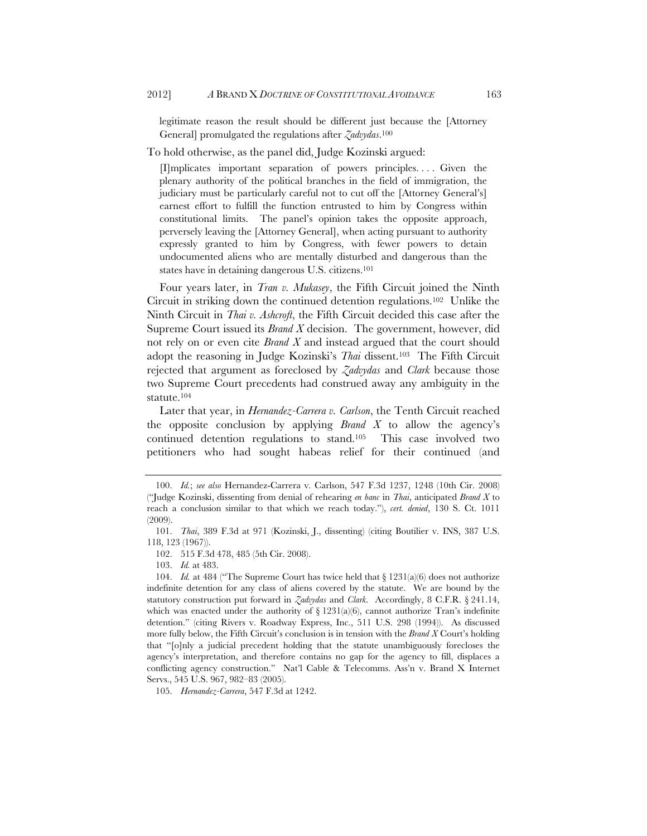legitimate reason the result should be different just because the [Attorney General] promulgated the regulations after *Zadvydas*. 100

To hold otherwise, as the panel did, Judge Kozinski argued:

[I]mplicates important separation of powers principles. . . . Given the plenary authority of the political branches in the field of immigration, the judiciary must be particularly careful not to cut off the [Attorney General's] earnest effort to fulfill the function entrusted to him by Congress within constitutional limits. The panel's opinion takes the opposite approach, perversely leaving the [Attorney General], when acting pursuant to authority expressly granted to him by Congress, with fewer powers to detain undocumented aliens who are mentally disturbed and dangerous than the states have in detaining dangerous U.S. citizens.<sup>101</sup>

Four years later, in *Tran v. Mukasey*, the Fifth Circuit joined the Ninth Circuit in striking down the continued detention regulations.102 Unlike the Ninth Circuit in *Thai v. Ashcroft*, the Fifth Circuit decided this case after the Supreme Court issued its *Brand X* decision. The government, however, did not rely on or even cite *Brand X* and instead argued that the court should adopt the reasoning in Judge Kozinski's *Thai* dissent.103 The Fifth Circuit rejected that argument as foreclosed by *Zadvydas* and *Clark* because those two Supreme Court precedents had construed away any ambiguity in the statute.104

Later that year, in *Hernandez-Carrera v. Carlson*, the Tenth Circuit reached the opposite conclusion by applying *Brand X* to allow the agency's continued detention regulations to stand.105 This case involved two petitioners who had sought habeas relief for their continued (and

103. *Id.* at 483.

105. *Hernandez-Carrera*, 547 F.3d at 1242.

 <sup>100.</sup> *Id.*; *see also* Hernandez-Carrera v. Carlson, 547 F.3d 1237, 1248 (10th Cir. 2008) ("Judge Kozinski, dissenting from denial of rehearing *en banc* in *Thai*, anticipated *Brand X* to reach a conclusion similar to that which we reach today."), *cert. denied*, 130 S. Ct. 1011 (2009).

 <sup>101.</sup> *Thai*, 389 F.3d at 971 (Kozinski, J., dissenting) (citing Boutilier v. INS, 387 U.S. 118, 123 (1967)).

<sup>102. 515</sup> F.3d 478, 485 (5th Cir. 2008).

 <sup>104.</sup> *Id.* at 484 ("The Supreme Court has twice held that § 1231(a)(6) does not authorize indefinite detention for any class of aliens covered by the statute. We are bound by the statutory construction put forward in *Zadvydas* and *Clark*. Accordingly, 8 C.F.R. § 241.14, which was enacted under the authority of  $\S 1231(a)(6)$ , cannot authorize Tran's indefinite detention." (citing Rivers v. Roadway Express, Inc., 511 U.S. 298 (1994)). As discussed more fully below, the Fifth Circuit's conclusion is in tension with the *Brand X* Court's holding that "[o]nly a judicial precedent holding that the statute unambiguously forecloses the agency's interpretation, and therefore contains no gap for the agency to fill, displaces a conflicting agency construction." Nat'l Cable & Telecomms. Ass'n v. Brand X Internet Servs., 545 U.S. 967, 982–83 (2005).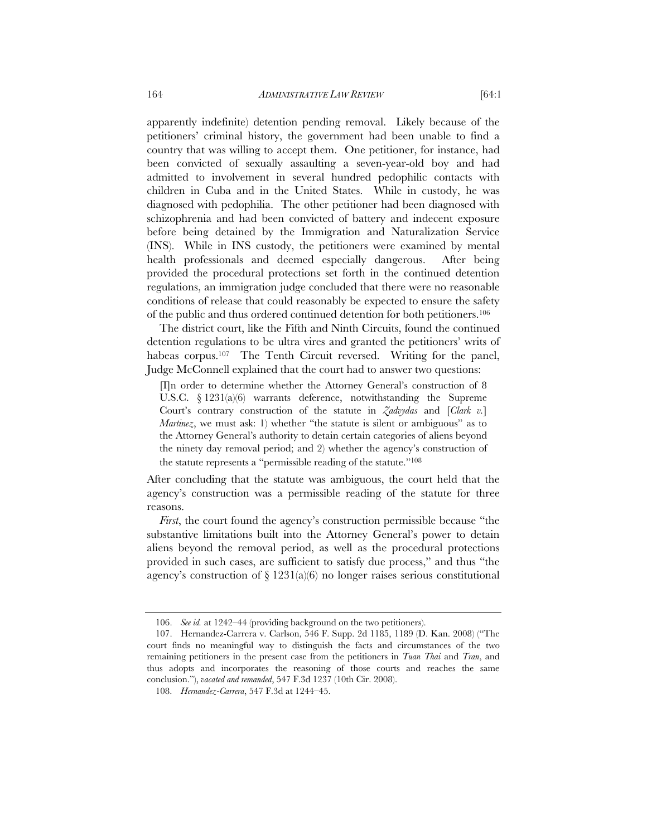apparently indefinite) detention pending removal. Likely because of the petitioners' criminal history, the government had been unable to find a country that was willing to accept them. One petitioner, for instance, had been convicted of sexually assaulting a seven-year-old boy and had admitted to involvement in several hundred pedophilic contacts with children in Cuba and in the United States. While in custody, he was diagnosed with pedophilia. The other petitioner had been diagnosed with schizophrenia and had been convicted of battery and indecent exposure before being detained by the Immigration and Naturalization Service (INS). While in INS custody, the petitioners were examined by mental health professionals and deemed especially dangerous. After being provided the procedural protections set forth in the continued detention regulations, an immigration judge concluded that there were no reasonable conditions of release that could reasonably be expected to ensure the safety of the public and thus ordered continued detention for both petitioners.106

The district court, like the Fifth and Ninth Circuits, found the continued detention regulations to be ultra vires and granted the petitioners' writs of habeas corpus.<sup>107</sup> The Tenth Circuit reversed. Writing for the panel, Judge McConnell explained that the court had to answer two questions:

[I]n order to determine whether the Attorney General's construction of 8 U.S.C. § 1231(a)(6) warrants deference, notwithstanding the Supreme Court's contrary construction of the statute in *Zadvydas* and [*Clark v.*] *Martinez*, we must ask: 1) whether "the statute is silent or ambiguous" as to the Attorney General's authority to detain certain categories of aliens beyond the ninety day removal period; and 2) whether the agency's construction of the statute represents a "permissible reading of the statute."108

After concluding that the statute was ambiguous, the court held that the agency's construction was a permissible reading of the statute for three reasons.

*First*, the court found the agency's construction permissible because "the substantive limitations built into the Attorney General's power to detain aliens beyond the removal period, as well as the procedural protections provided in such cases, are sufficient to satisfy due process," and thus "the agency's construction of  $\S 1231(a)(6)$  no longer raises serious constitutional

 <sup>106.</sup> *See id.* at 1242–44 (providing background on the two petitioners).

 <sup>107.</sup> Hernandez-Carrera v. Carlson, 546 F. Supp. 2d 1185, 1189 (D. Kan. 2008) ("The court finds no meaningful way to distinguish the facts and circumstances of the two remaining petitioners in the present case from the petitioners in *Tuan Thai* and *Tran*, and thus adopts and incorporates the reasoning of those courts and reaches the same conclusion."), *vacated and remanded*, 547 F.3d 1237 (10th Cir. 2008).

 <sup>108.</sup> *Hernandez-Carrera*, 547 F.3d at 1244–45.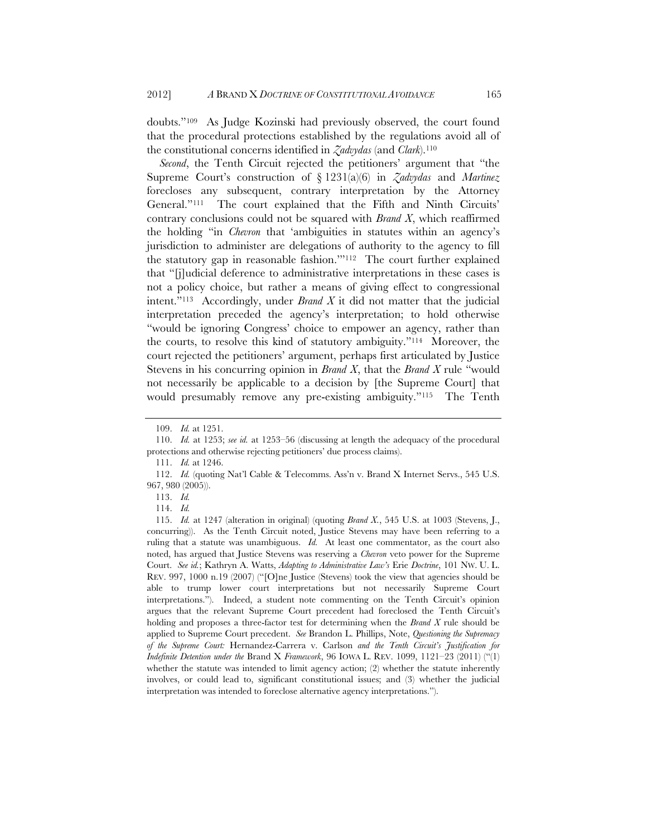doubts."109 As Judge Kozinski had previously observed, the court found that the procedural protections established by the regulations avoid all of the constitutional concerns identified in *Zadvydas* (and *Clark*).110

*Second*, the Tenth Circuit rejected the petitioners' argument that "the Supreme Court's construction of § 1231(a)(6) in *Zadvydas* and *Martinez* forecloses any subsequent, contrary interpretation by the Attorney General."111 The court explained that the Fifth and Ninth Circuits' contrary conclusions could not be squared with *Brand X*, which reaffirmed the holding "in *Chevron* that 'ambiguities in statutes within an agency's jurisdiction to administer are delegations of authority to the agency to fill the statutory gap in reasonable fashion.'"112 The court further explained that "[j]udicial deference to administrative interpretations in these cases is not a policy choice, but rather a means of giving effect to congressional intent."113 Accordingly, under *Brand X* it did not matter that the judicial interpretation preceded the agency's interpretation; to hold otherwise "would be ignoring Congress' choice to empower an agency, rather than the courts, to resolve this kind of statutory ambiguity."114 Moreover, the court rejected the petitioners' argument, perhaps first articulated by Justice Stevens in his concurring opinion in *Brand X*, that the *Brand X* rule "would not necessarily be applicable to a decision by [the Supreme Court] that would presumably remove any pre-existing ambiguity."115 The Tenth

 <sup>109.</sup> *Id.* at 1251.

 <sup>110.</sup> *Id.* at 1253; *see id.* at 1253–56 (discussing at length the adequacy of the procedural protections and otherwise rejecting petitioners' due process claims).

 <sup>111.</sup> *Id.* at 1246.

 <sup>112.</sup> *Id.* (quoting Nat'l Cable & Telecomms. Ass'n v. Brand X Internet Servs., 545 U.S. 967, 980 (2005)).

 <sup>113.</sup> *Id.*

 <sup>114.</sup> *Id.*

 <sup>115.</sup> *Id.* at 1247 (alteration in original) (quoting *Brand X.*, 545 U.S. at 1003 (Stevens, J., concurring)). As the Tenth Circuit noted, Justice Stevens may have been referring to a ruling that a statute was unambiguous. *Id.* At least one commentator, as the court also noted, has argued that Justice Stevens was reserving a *Chevron* veto power for the Supreme Court. *See id.*; Kathryn A. Watts, *Adapting to Administrative Law's* Erie *Doctrine*, 101 NW. U. L. REV. 997, 1000 n.19 (2007) ("[O]ne Justice (Stevens) took the view that agencies should be able to trump lower court interpretations but not necessarily Supreme Court interpretations."). Indeed, a student note commenting on the Tenth Circuit's opinion argues that the relevant Supreme Court precedent had foreclosed the Tenth Circuit's holding and proposes a three-factor test for determining when the *Brand X* rule should be applied to Supreme Court precedent. *See* Brandon L. Phillips, Note, *Questioning the Supremacy of the Supreme Court:* Hernandez-Carrera v. Carlson *and the Tenth Circuit's Justification for Indefinite Detention under the* Brand X *Framework*, 96 IOWA L. REV. 1099, 1121–23 (2011) ("(1) whether the statute was intended to limit agency action; (2) whether the statute inherently involves, or could lead to, significant constitutional issues; and (3) whether the judicial interpretation was intended to foreclose alternative agency interpretations.").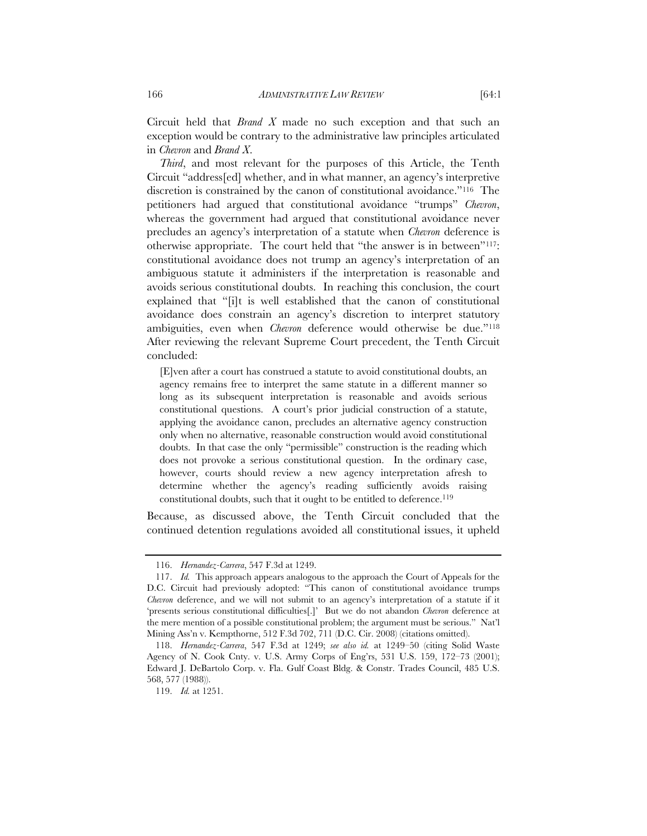Circuit held that *Brand X* made no such exception and that such an exception would be contrary to the administrative law principles articulated in *Chevron* and *Brand X*.

*Third*, and most relevant for the purposes of this Article, the Tenth Circuit "address[ed] whether, and in what manner, an agency's interpretive discretion is constrained by the canon of constitutional avoidance."116 The petitioners had argued that constitutional avoidance "trumps" *Chevron*, whereas the government had argued that constitutional avoidance never precludes an agency's interpretation of a statute when *Chevron* deference is otherwise appropriate. The court held that "the answer is in between"117: constitutional avoidance does not trump an agency's interpretation of an ambiguous statute it administers if the interpretation is reasonable and avoids serious constitutional doubts. In reaching this conclusion, the court explained that "[i]t is well established that the canon of constitutional avoidance does constrain an agency's discretion to interpret statutory ambiguities, even when *Chevron* deference would otherwise be due."118 After reviewing the relevant Supreme Court precedent, the Tenth Circuit concluded:

[E]ven after a court has construed a statute to avoid constitutional doubts, an agency remains free to interpret the same statute in a different manner so long as its subsequent interpretation is reasonable and avoids serious constitutional questions. A court's prior judicial construction of a statute, applying the avoidance canon, precludes an alternative agency construction only when no alternative, reasonable construction would avoid constitutional doubts. In that case the only "permissible" construction is the reading which does not provoke a serious constitutional question. In the ordinary case, however, courts should review a new agency interpretation afresh to determine whether the agency's reading sufficiently avoids raising constitutional doubts, such that it ought to be entitled to deference.<sup>119</sup>

Because, as discussed above, the Tenth Circuit concluded that the continued detention regulations avoided all constitutional issues, it upheld

 <sup>116.</sup> *Hernandez-Carrera*, 547 F.3d at 1249.

 <sup>117.</sup> *Id.* This approach appears analogous to the approach the Court of Appeals for the D.C. Circuit had previously adopted: "This canon of constitutional avoidance trumps *Chevron* deference, and we will not submit to an agency's interpretation of a statute if it 'presents serious constitutional difficulties[.]' But we do not abandon *Chevron* deference at the mere mention of a possible constitutional problem; the argument must be serious." Nat'l Mining Ass'n v. Kempthorne, 512 F.3d 702, 711 (D.C. Cir. 2008) (citations omitted).

 <sup>118.</sup> *Hernandez-Carrera*, 547 F.3d at 1249; *see also id.* at 1249–50 (citing Solid Waste Agency of N. Cook Cnty. v. U.S. Army Corps of Eng'rs, 531 U.S. 159, 172–73 (2001); Edward J. DeBartolo Corp. v. Fla. Gulf Coast Bldg. & Constr. Trades Council, 485 U.S. 568, 577 (1988)).

 <sup>119.</sup> *Id.* at 1251.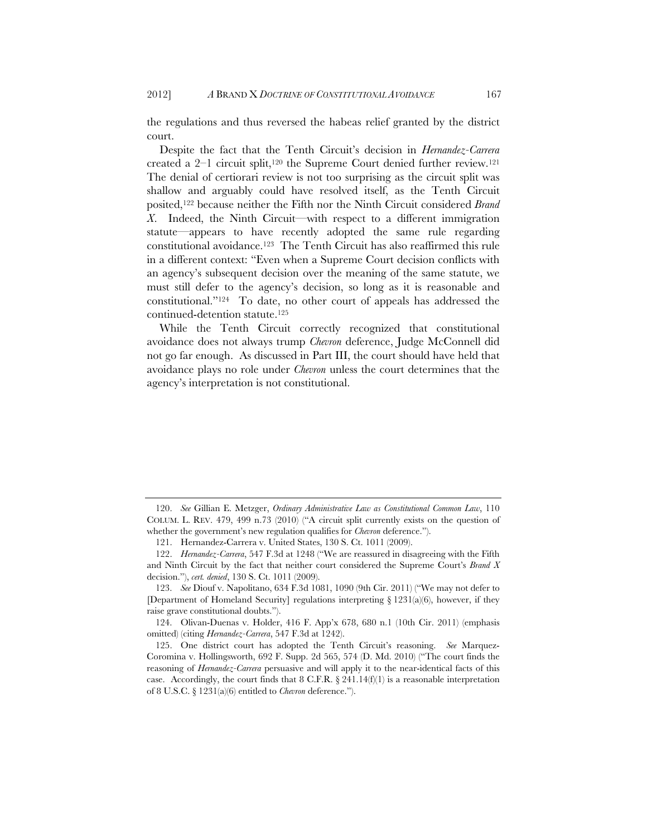the regulations and thus reversed the habeas relief granted by the district court.

Despite the fact that the Tenth Circuit's decision in *Hernandez-Carrera* created a  $2-1$  circuit split,<sup>120</sup> the Supreme Court denied further review.<sup>121</sup> The denial of certiorari review is not too surprising as the circuit split was shallow and arguably could have resolved itself, as the Tenth Circuit posited,122 because neither the Fifth nor the Ninth Circuit considered *Brand X*. Indeed, the Ninth Circuit—with respect to a different immigration statute—appears to have recently adopted the same rule regarding constitutional avoidance.123 The Tenth Circuit has also reaffirmed this rule in a different context: "Even when a Supreme Court decision conflicts with an agency's subsequent decision over the meaning of the same statute, we must still defer to the agency's decision, so long as it is reasonable and constitutional."124 To date, no other court of appeals has addressed the continued-detention statute.125

While the Tenth Circuit correctly recognized that constitutional avoidance does not always trump *Chevron* deference, Judge McConnell did not go far enough. As discussed in Part III, the court should have held that avoidance plays no role under *Chevron* unless the court determines that the agency's interpretation is not constitutional.

 <sup>120.</sup> *See* Gillian E. Metzger, *Ordinary Administrative Law as Constitutional Common Law*, 110 COLUM. L. REV. 479, 499 n.73 (2010) ("A circuit split currently exists on the question of whether the government's new regulation qualifies for *Chevron* deference.").

<sup>121.</sup> Hernandez-Carrera v. United States, 130 S. Ct. 1011 (2009).

 <sup>122.</sup> *Hernandez-Carrera*, 547 F.3d at 1248 ("We are reassured in disagreeing with the Fifth and Ninth Circuit by the fact that neither court considered the Supreme Court's *Brand X* decision."), *cert. denied*, 130 S. Ct. 1011 (2009).

 <sup>123.</sup> *See* Diouf v. Napolitano, 634 F.3d 1081, 1090 (9th Cir. 2011) ("We may not defer to [Department of Homeland Security] regulations interpreting  $\S 1231(a)(6)$ , however, if they raise grave constitutional doubts.").

 <sup>124.</sup> Olivan-Duenas v. Holder, 416 F. App'x 678, 680 n.1 (10th Cir. 2011) (emphasis omitted) (citing *Hernandez-Carrera*, 547 F.3d at 1242).

 <sup>125.</sup> One district court has adopted the Tenth Circuit's reasoning. *See* Marquez-Coromina v. Hollingsworth, 692 F. Supp. 2d 565, 574 (D. Md. 2010) ("The court finds the reasoning of *Hernandez-Carrera* persuasive and will apply it to the near-identical facts of this case. Accordingly, the court finds that 8 C.F.R.  $\S 241.14(f)(1)$  is a reasonable interpretation of 8 U.S.C. § 1231(a)(6) entitled to *Chevron* deference.").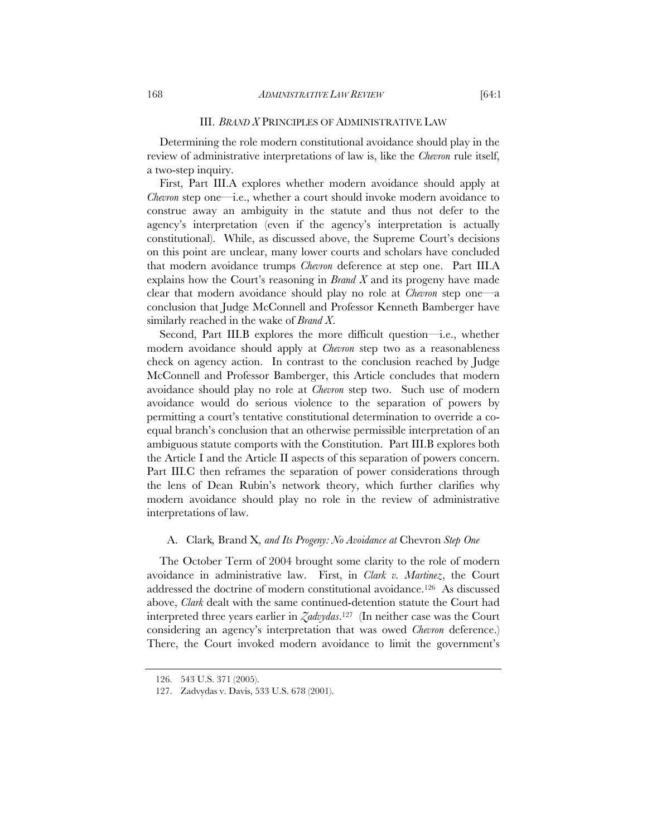#### III. *BRAND X* PRINCIPLES OF ADMINISTRATIVE LAW

Determining the role modern constitutional avoidance should play in the review of administrative interpretations of law is, like the *Chevron* rule itself, a two-step inquiry.

First, Part III.A explores whether modern avoidance should apply at *Chevron* step one—i.e., whether a court should invoke modern avoidance to construe away an ambiguity in the statute and thus not defer to the agency's interpretation (even if the agency's interpretation is actually constitutional). While, as discussed above, the Supreme Court's decisions on this point are unclear, many lower courts and scholars have concluded that modern avoidance trumps *Chevron* deference at step one. Part III.A explains how the Court's reasoning in *Brand X* and its progeny have made clear that modern avoidance should play no role at *Chevron* step one—a conclusion that Judge McConnell and Professor Kenneth Bamberger have similarly reached in the wake of *Brand X*.

Second, Part III.B explores the more difficult question—i.e., whether modern avoidance should apply at *Chevron* step two as a reasonableness check on agency action. In contrast to the conclusion reached by Judge McConnell and Professor Bamberger, this Article concludes that modern avoidance should play no role at *Chevron* step two. Such use of modern avoidance would do serious violence to the separation of powers by permitting a court's tentative constitutional determination to override a coequal branch's conclusion that an otherwise permissible interpretation of an ambiguous statute comports with the Constitution. Part III.B explores both the Article I and the Article II aspects of this separation of powers concern. Part III.C then reframes the separation of power considerations through the lens of Dean Rubin's network theory, which further clarifies why modern avoidance should play no role in the review of administrative interpretations of law.

## A. Clark*,* Brand X*, and Its Progeny: No Avoidance at* Chevron *Step One*

The October Term of 2004 brought some clarity to the role of modern avoidance in administrative law. First, in *Clark v. Martinez*, the Court addressed the doctrine of modern constitutional avoidance.126 As discussed above, *Clark* dealt with the same continued-detention statute the Court had interpreted three years earlier in *Zadvydas*.127 (In neither case was the Court considering an agency's interpretation that was owed *Chevron* deference.) There, the Court invoked modern avoidance to limit the government's

<sup>126. 543</sup> U.S. 371 (2005).

<sup>127.</sup> Zadvydas v. Davis, 533 U.S. 678 (2001).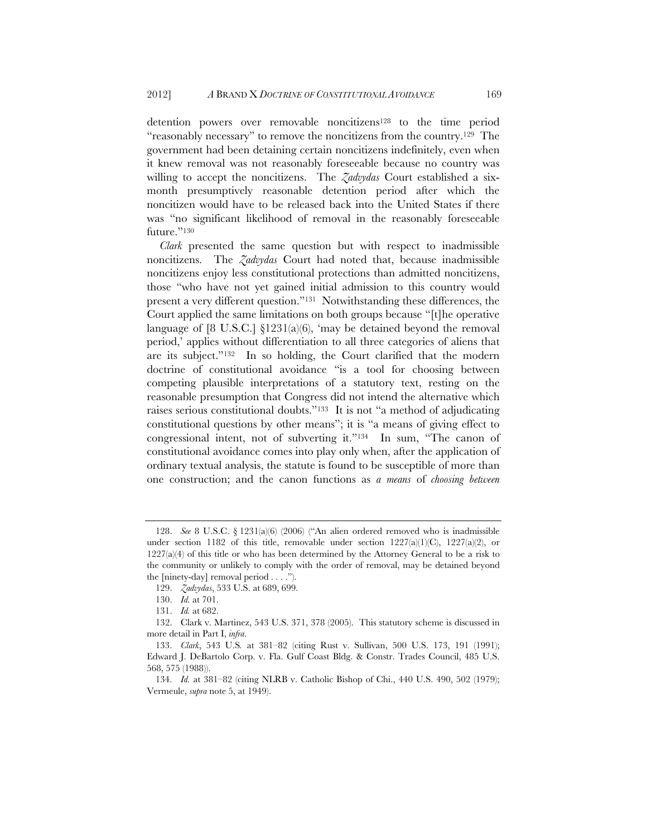detention powers over removable noncitizens<sup>128</sup> to the time period "reasonably necessary" to remove the noncitizens from the country.129 The government had been detaining certain noncitizens indefinitely, even when it knew removal was not reasonably foreseeable because no country was willing to accept the noncitizens. The *Zadvydas* Court established a sixmonth presumptively reasonable detention period after which the noncitizen would have to be released back into the United States if there was "no significant likelihood of removal in the reasonably foreseeable future."130

*Clark* presented the same question but with respect to inadmissible noncitizens. The *Zadvydas* Court had noted that, because inadmissible noncitizens enjoy less constitutional protections than admitted noncitizens, those "who have not yet gained initial admission to this country would present a very different question."131 Notwithstanding these differences, the Court applied the same limitations on both groups because "[t]he operative language of  $[8 \text{ U.S.C.}]$   $\S 1231(a)(6)$ , 'may be detained beyond the removal period,' applies without differentiation to all three categories of aliens that are its subject."132 In so holding, the Court clarified that the modern doctrine of constitutional avoidance "is a tool for choosing between competing plausible interpretations of a statutory text, resting on the reasonable presumption that Congress did not intend the alternative which raises serious constitutional doubts."133 It is not "a method of adjudicating constitutional questions by other means"; it is "a means of giving effect to congressional intent, not of subverting it."134 In sum, "The canon of constitutional avoidance comes into play only when, after the application of ordinary textual analysis, the statute is found to be susceptible of more than one construction; and the canon functions as *a means* of *choosing between* 

 <sup>128.</sup> *See* 8 U.S.C. § 1231(a)(6) (2006) ("An alien ordered removed who is inadmissible under section 1182 of this title, removable under section  $1227(a)(1)(C)$ ,  $1227(a)(2)$ , or  $1227(a)(4)$  of this title or who has been determined by the Attorney General to be a risk to the community or unlikely to comply with the order of removal, may be detained beyond the [ninety-day] removal period . . . .").

 <sup>129.</sup> *Zadvydas*, 533 U.S. at 689, 699.

 <sup>130.</sup> *Id.* at 701.

 <sup>131.</sup> *Id.* at 682.

<sup>132.</sup> Clark v. Martinez, 543 U.S. 371, 378 (2005). This statutory scheme is discussed in more detail in Part I, *infra*.

 <sup>133.</sup> *Clark*, 543 U.S*.* at 381–82 (citing Rust v. Sullivan, 500 U.S. 173, 191 (1991); Edward J. DeBartolo Corp. v. Fla. Gulf Coast Bldg. & Constr. Trades Council, 485 U.S. 568, 575 (1988)).

 <sup>134.</sup> *Id.* at 381–82 (citing NLRB v. Catholic Bishop of Chi., 440 U.S. 490, 502 (1979); Vermeule, *supra* note 5, at 1949).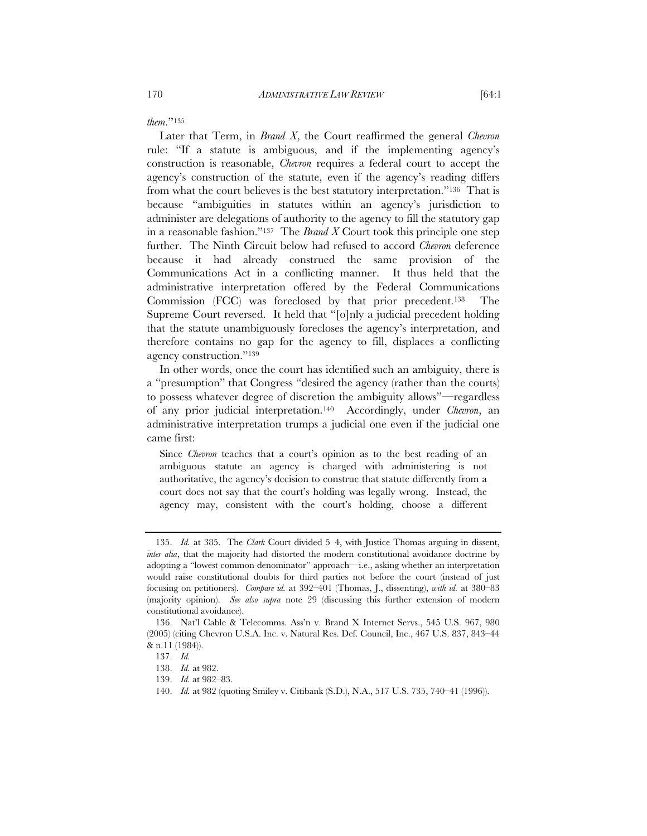*them*."135

Later that Term, in *Brand X*, the Court reaffirmed the general *Chevron* rule: "If a statute is ambiguous, and if the implementing agency's construction is reasonable, *Chevron* requires a federal court to accept the agency's construction of the statute, even if the agency's reading differs from what the court believes is the best statutory interpretation."136 That is because "ambiguities in statutes within an agency's jurisdiction to administer are delegations of authority to the agency to fill the statutory gap in a reasonable fashion."137 The *Brand X* Court took this principle one step further. The Ninth Circuit below had refused to accord *Chevron* deference because it had already construed the same provision of the Communications Act in a conflicting manner. It thus held that the administrative interpretation offered by the Federal Communications Commission (FCC) was foreclosed by that prior precedent.138 The Supreme Court reversed. It held that "[o]nly a judicial precedent holding that the statute unambiguously forecloses the agency's interpretation, and therefore contains no gap for the agency to fill, displaces a conflicting agency construction."139

In other words, once the court has identified such an ambiguity, there is a "presumption" that Congress "desired the agency (rather than the courts) to possess whatever degree of discretion the ambiguity allows"—regardless of any prior judicial interpretation.140 Accordingly, under *Chevron*, an administrative interpretation trumps a judicial one even if the judicial one came first:

Since *Chevron* teaches that a court's opinion as to the best reading of an ambiguous statute an agency is charged with administering is not authoritative, the agency's decision to construe that statute differently from a court does not say that the court's holding was legally wrong. Instead, the agency may, consistent with the court's holding, choose a different

 <sup>135.</sup> *Id.* at 385. The *Clark* Court divided 5–4, with Justice Thomas arguing in dissent, *inter alia*, that the majority had distorted the modern constitutional avoidance doctrine by adopting a "lowest common denominator" approach—i.e., asking whether an interpretation would raise constitutional doubts for third parties not before the court (instead of just focusing on petitioners). *Compare id.* at 392–401 (Thomas, J., dissenting), *with id.* at 380–83 (majority opinion). *See also supra* note 29 (discussing this further extension of modern constitutional avoidance).

 <sup>136.</sup> Nat'l Cable & Telecomms. Ass'n v. Brand X Internet Servs., 545 U.S. 967, 980 (2005) (citing Chevron U.S.A. Inc. v. Natural Res. Def. Council, Inc., 467 U.S. 837, 843–44 & n.11 (1984)).

 <sup>137.</sup> *Id.*

 <sup>138.</sup> *Id.* at 982.

 <sup>139.</sup> *Id.* at 982–83.

 <sup>140.</sup> *Id.* at 982 (quoting Smiley v. Citibank (S.D.), N.A., 517 U.S. 735, 740–41 (1996)).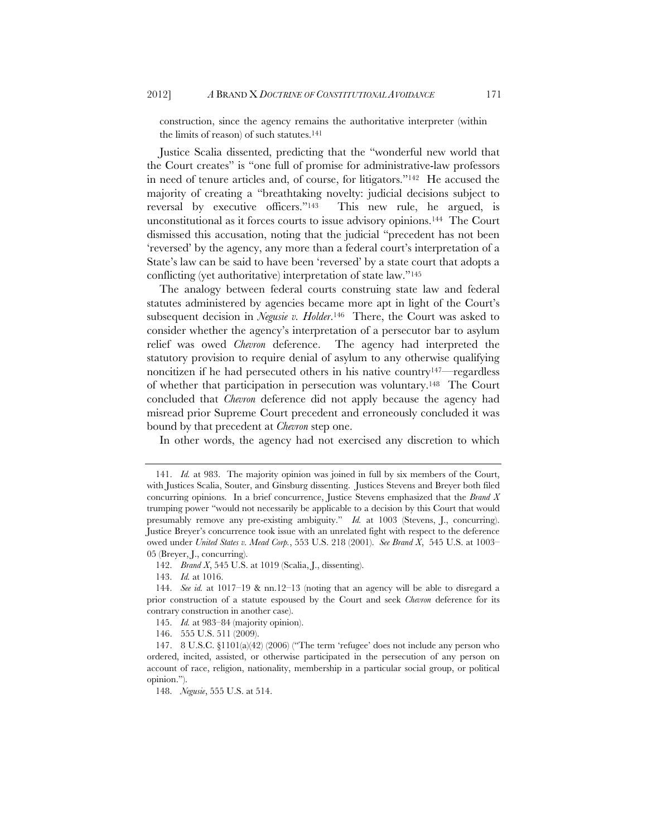construction, since the agency remains the authoritative interpreter (within the limits of reason) of such statutes.<sup>141</sup>

Justice Scalia dissented, predicting that the "wonderful new world that the Court creates" is "one full of promise for administrative-law professors in need of tenure articles and, of course, for litigators."142 He accused the majority of creating a "breathtaking novelty: judicial decisions subject to reversal by executive officers."143 This new rule, he argued, is unconstitutional as it forces courts to issue advisory opinions.144 The Court dismissed this accusation, noting that the judicial "precedent has not been 'reversed' by the agency, any more than a federal court's interpretation of a State's law can be said to have been 'reversed' by a state court that adopts a conflicting (yet authoritative) interpretation of state law."145

The analogy between federal courts construing state law and federal statutes administered by agencies became more apt in light of the Court's subsequent decision in *Negusie v. Holder*.146 There, the Court was asked to consider whether the agency's interpretation of a persecutor bar to asylum relief was owed *Chevron* deference. The agency had interpreted the statutory provision to require denial of asylum to any otherwise qualifying noncitizen if he had persecuted others in his native country147—regardless of whether that participation in persecution was voluntary.148 The Court concluded that *Chevron* deference did not apply because the agency had misread prior Supreme Court precedent and erroneously concluded it was bound by that precedent at *Chevron* step one.

In other words, the agency had not exercised any discretion to which

142. *Brand X*, 545 U.S. at 1019 (Scalia, J., dissenting).

143. *Id.* at 1016.

146. 555 U.S. 511 (2009).

 <sup>141.</sup> *Id.* at 983. The majority opinion was joined in full by six members of the Court, with Justices Scalia, Souter, and Ginsburg dissenting. Justices Stevens and Breyer both filed concurring opinions. In a brief concurrence, Justice Stevens emphasized that the *Brand X* trumping power "would not necessarily be applicable to a decision by this Court that would presumably remove any pre-existing ambiguity." *Id.* at 1003 (Stevens, J., concurring). Justice Breyer's concurrence took issue with an unrelated fight with respect to the deference owed under *United States v. Mead Corp.*, 553 U.S. 218 (2001). *See Brand X*, 545 U.S. at 1003– 05 (Breyer, J., concurring).

 <sup>144.</sup> *See id.* at 1017–19 & nn.12–13 (noting that an agency will be able to disregard a prior construction of a statute espoused by the Court and seek *Chevron* deference for its contrary construction in another case).

 <sup>145.</sup> *Id.* at 983–84 (majority opinion).

<sup>147. 8</sup> U.S.C. §1101(a)(42) (2006) ("The term 'refugee' does not include any person who ordered, incited, assisted, or otherwise participated in the persecution of any person on account of race, religion, nationality, membership in a particular social group, or political opinion.").

 <sup>148.</sup> *Negusie*, 555 U.S. at 514.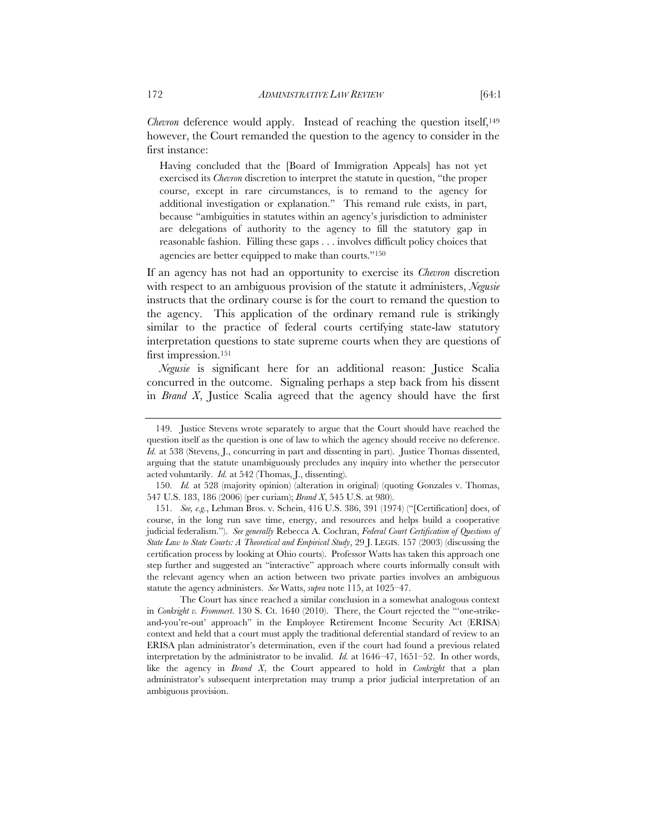*Chevron* deference would apply. Instead of reaching the question itself,<sup>149</sup> however, the Court remanded the question to the agency to consider in the first instance:

Having concluded that the [Board of Immigration Appeals] has not yet exercised its *Chevron* discretion to interpret the statute in question, "the proper course, except in rare circumstances, is to remand to the agency for additional investigation or explanation." This remand rule exists, in part, because "ambiguities in statutes within an agency's jurisdiction to administer are delegations of authority to the agency to fill the statutory gap in reasonable fashion. Filling these gaps . . . involves difficult policy choices that agencies are better equipped to make than courts."150

If an agency has not had an opportunity to exercise its *Chevron* discretion with respect to an ambiguous provision of the statute it administers, *Negusie* instructs that the ordinary course is for the court to remand the question to the agency. This application of the ordinary remand rule is strikingly similar to the practice of federal courts certifying state-law statutory interpretation questions to state supreme courts when they are questions of first impression.<sup>151</sup>

*Negusie* is significant here for an additional reason: Justice Scalia concurred in the outcome. Signaling perhaps a step back from his dissent in *Brand X*, Justice Scalia agreed that the agency should have the first

The Court has since reached a similar conclusion in a somewhat analogous context in *Conkright v. Frommert*. 130 S. Ct. 1640 (2010). There, the Court rejected the "'one-strikeand-you're-out' approach" in the Employee Retirement Income Security Act (ERISA) context and held that a court must apply the traditional deferential standard of review to an ERISA plan administrator's determination, even if the court had found a previous related interpretation by the administrator to be invalid. *Id.* at 1646–47, 1651–52. In other words, like the agency in *Brand X*, the Court appeared to hold in *Conkright* that a plan administrator's subsequent interpretation may trump a prior judicial interpretation of an ambiguous provision.

 <sup>149.</sup> Justice Stevens wrote separately to argue that the Court should have reached the question itself as the question is one of law to which the agency should receive no deference. *Id.* at 538 (Stevens, J., concurring in part and dissenting in part). Justice Thomas dissented, arguing that the statute unambiguously precludes any inquiry into whether the persecutor acted voluntarily. *Id.* at 542 (Thomas, J., dissenting).

 <sup>150.</sup> *Id.* at 528 (majority opinion) (alteration in original) (quoting Gonzales v. Thomas, 547 U.S. 183, 186 (2006) (per curiam); *Brand X*, 545 U.S. at 980).

 <sup>151.</sup> *See, e.g.*, Lehman Bros. v. Schein, 416 U.S. 386, 391 (1974) ("[Certification] does, of course, in the long run save time, energy, and resources and helps build a cooperative judicial federalism."). *See generally* Rebecca A. Cochran, *Federal Court Certification of Questions of State Law to State Courts: A Theoretical and Empirical Study*, 29 J. LEGIS. 157 (2003) (discussing the certification process by looking at Ohio courts). Professor Watts has taken this approach one step further and suggested an "interactive" approach where courts informally consult with the relevant agency when an action between two private parties involves an ambiguous statute the agency administers. *See* Watts, *supra* note 115, at 1025–47.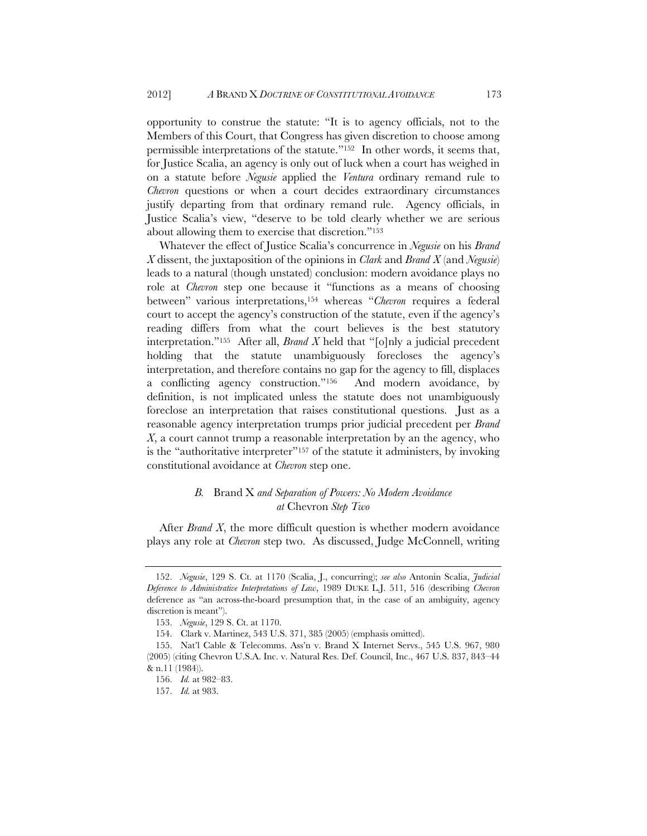opportunity to construe the statute: "It is to agency officials, not to the Members of this Court, that Congress has given discretion to choose among permissible interpretations of the statute."152 In other words, it seems that, for Justice Scalia, an agency is only out of luck when a court has weighed in on a statute before *Negusie* applied the *Ventura* ordinary remand rule to *Chevron* questions or when a court decides extraordinary circumstances justify departing from that ordinary remand rule. Agency officials, in Justice Scalia's view, "deserve to be told clearly whether we are serious about allowing them to exercise that discretion."153

Whatever the effect of Justice Scalia's concurrence in *Negusie* on his *Brand X* dissent, the juxtaposition of the opinions in *Clark* and *Brand X* (and *Negusie*) leads to a natural (though unstated) conclusion: modern avoidance plays no role at *Chevron* step one because it "functions as a means of choosing between" various interpretations,154 whereas "*Chevron* requires a federal court to accept the agency's construction of the statute, even if the agency's reading differs from what the court believes is the best statutory interpretation."155 After all, *Brand X* held that "[o]nly a judicial precedent holding that the statute unambiguously forecloses the agency's interpretation, and therefore contains no gap for the agency to fill, displaces a conflicting agency construction."156 And modern avoidance, by definition, is not implicated unless the statute does not unambiguously foreclose an interpretation that raises constitutional questions. Just as a reasonable agency interpretation trumps prior judicial precedent per *Brand X*, a court cannot trump a reasonable interpretation by an the agency, who is the "authoritative interpreter"<sup>157</sup> of the statute it administers, by invoking constitutional avoidance at *Chevron* step one.

# *B.* Brand X *and Separation of Powers: No Modern Avoidance at* Chevron *Step Two*

After *Brand X*, the more difficult question is whether modern avoidance plays any role at *Chevron* step two. As discussed, Judge McConnell, writing

 <sup>152.</sup> *Negusie*, 129 S. Ct. at 1170 (Scalia, J., concurring); *see also* Antonin Scalia, *Judicial Deference to Administrative Interpretations of Law*, 1989 DUKE L.J. 511, 516 (describing *Chevron* deference as "an across-the-board presumption that, in the case of an ambiguity, agency discretion is meant").

 <sup>153.</sup> *Negusie*, 129 S. Ct. at 1170.

<sup>154.</sup> Clark v. Martinez, 543 U.S. 371, 385 (2005) (emphasis omitted).

<sup>155.</sup> Nat'l Cable & Telecomms. Ass'n v. Brand X Internet Servs., 545 U.S. 967, 980 (2005) (citing Chevron U.S.A. Inc. v. Natural Res. Def. Council, Inc., 467 U.S. 837, 843–44 & n.11 (1984)).

 <sup>156.</sup> *Id.* at 982–83.

 <sup>157.</sup> *Id.* at 983.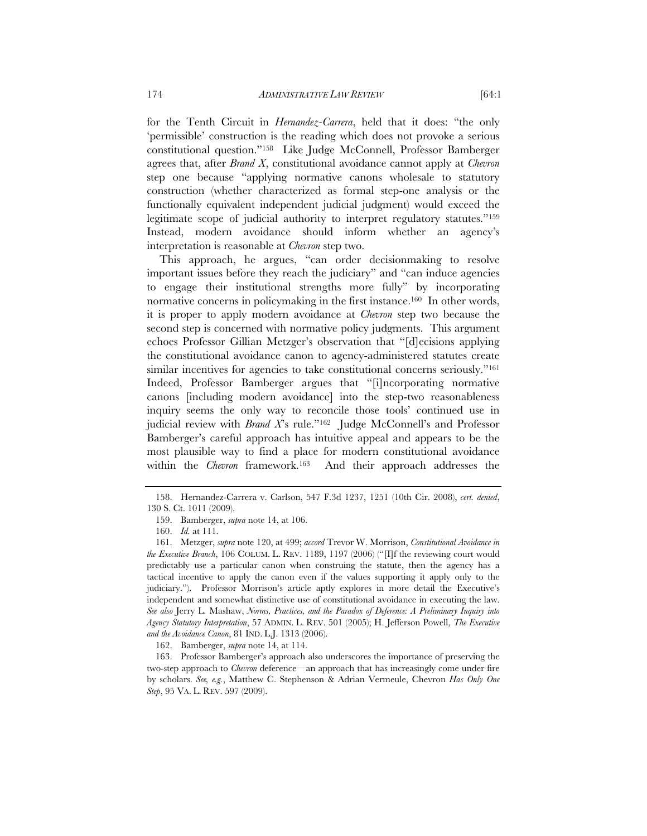for the Tenth Circuit in *Hernandez-Carrera*, held that it does: "the only 'permissible' construction is the reading which does not provoke a serious constitutional question."158 Like Judge McConnell, Professor Bamberger agrees that, after *Brand X*, constitutional avoidance cannot apply at *Chevron* step one because "applying normative canons wholesale to statutory construction (whether characterized as formal step-one analysis or the functionally equivalent independent judicial judgment) would exceed the legitimate scope of judicial authority to interpret regulatory statutes."159 Instead, modern avoidance should inform whether an agency's interpretation is reasonable at *Chevron* step two.

This approach, he argues, "can order decisionmaking to resolve important issues before they reach the judiciary" and "can induce agencies to engage their institutional strengths more fully" by incorporating normative concerns in policymaking in the first instance.<sup>160</sup> In other words, it is proper to apply modern avoidance at *Chevron* step two because the second step is concerned with normative policy judgments. This argument echoes Professor Gillian Metzger's observation that "[d]ecisions applying the constitutional avoidance canon to agency-administered statutes create similar incentives for agencies to take constitutional concerns seriously."<sup>161</sup> Indeed, Professor Bamberger argues that "[i]ncorporating normative canons [including modern avoidance] into the step-two reasonableness inquiry seems the only way to reconcile those tools' continued use in judicial review with *Brand X*'s rule."162 Judge McConnell's and Professor Bamberger's careful approach has intuitive appeal and appears to be the most plausible way to find a place for modern constitutional avoidance within the *Chevron* framework.163 And their approach addresses the

162. Bamberger, *supra* note 14, at 114.

 163. Professor Bamberger's approach also underscores the importance of preserving the two-step approach to *Chevron* deference—an approach that has increasingly come under fire by scholars. *See, e.g.*, Matthew C. Stephenson & Adrian Vermeule, Chevron *Has Only One Step*, 95 VA. L. REV. 597 (2009).

 <sup>158.</sup> Hernandez-Carrera v. Carlson, 547 F.3d 1237, 1251 (10th Cir. 2008), *cert. denied*, 130 S. Ct. 1011 (2009).

 <sup>159.</sup> Bamberger, *supra* note 14, at 106.

 <sup>160.</sup> *Id.* at 111.

 <sup>161.</sup> Metzger, *supra* note 120, at 499; *accord* Trevor W. Morrison, *Constitutional Avoidance in the Executive Branch*, 106 COLUM. L. REV. 1189, 1197 (2006) ("[I]f the reviewing court would predictably use a particular canon when construing the statute, then the agency has a tactical incentive to apply the canon even if the values supporting it apply only to the judiciary."). Professor Morrison's article aptly explores in more detail the Executive's independent and somewhat distinctive use of constitutional avoidance in executing the law. *See also* Jerry L. Mashaw, *Norms, Practices, and the Paradox of Deference: A Preliminary Inquiry into Agency Statutory Interpretation*, 57 ADMIN. L. REV. 501 (2005); H. Jefferson Powell, *The Executive and the Avoidance Canon*, 81 IND. L.J. 1313 (2006).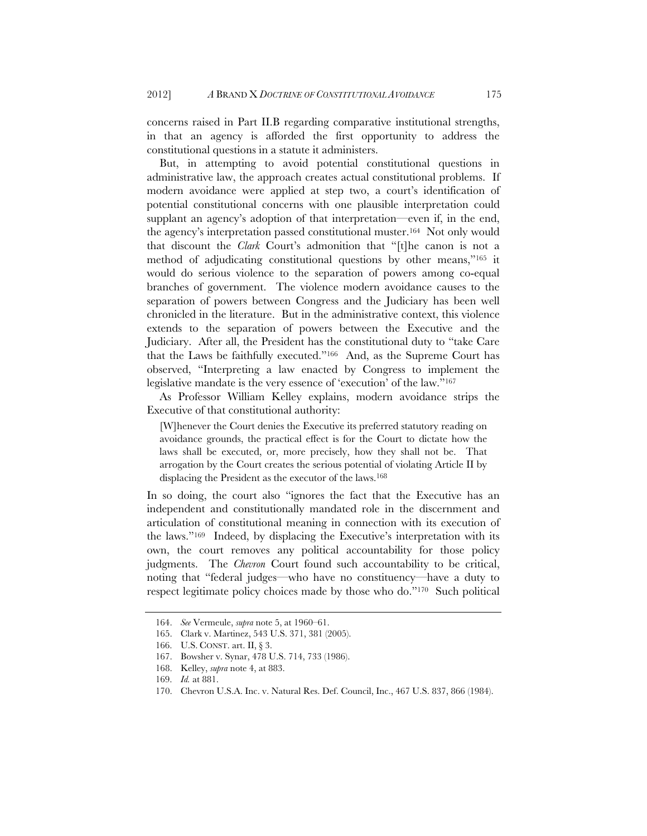concerns raised in Part II.B regarding comparative institutional strengths, in that an agency is afforded the first opportunity to address the constitutional questions in a statute it administers.

But, in attempting to avoid potential constitutional questions in administrative law, the approach creates actual constitutional problems. If modern avoidance were applied at step two, a court's identification of potential constitutional concerns with one plausible interpretation could supplant an agency's adoption of that interpretation—even if, in the end, the agency's interpretation passed constitutional muster.164 Not only would that discount the *Clark* Court's admonition that "[t]he canon is not a method of adjudicating constitutional questions by other means,"165 it would do serious violence to the separation of powers among co-equal branches of government. The violence modern avoidance causes to the separation of powers between Congress and the Judiciary has been well chronicled in the literature. But in the administrative context, this violence extends to the separation of powers between the Executive and the Judiciary. After all, the President has the constitutional duty to "take Care that the Laws be faithfully executed."166 And, as the Supreme Court has observed, "Interpreting a law enacted by Congress to implement the legislative mandate is the very essence of 'execution' of the law."167

As Professor William Kelley explains, modern avoidance strips the Executive of that constitutional authority:

[W]henever the Court denies the Executive its preferred statutory reading on avoidance grounds, the practical effect is for the Court to dictate how the laws shall be executed, or, more precisely, how they shall not be. That arrogation by the Court creates the serious potential of violating Article II by displacing the President as the executor of the laws.<sup>168</sup>

In so doing, the court also "ignores the fact that the Executive has an independent and constitutionally mandated role in the discernment and articulation of constitutional meaning in connection with its execution of the laws."169 Indeed, by displacing the Executive's interpretation with its own, the court removes any political accountability for those policy judgments. The *Chevron* Court found such accountability to be critical, noting that "federal judges—who have no constituency—have a duty to respect legitimate policy choices made by those who do."170 Such political

 <sup>164.</sup> *See* Vermeule, *supra* note 5, at 1960–61.

<sup>165.</sup> Clark v. Martinez, 543 U.S. 371, 381 (2005).

 <sup>166.</sup> U.S. CONST. art. II, § 3.

<sup>167.</sup> Bowsher v. Synar, 478 U.S. 714, 733 (1986).

 <sup>168.</sup> Kelley, *supra* note 4, at 883.

 <sup>169.</sup> *Id.* at 881.

 <sup>170.</sup> Chevron U.S.A. Inc. v. Natural Res. Def. Council, Inc., 467 U.S. 837, 866 (1984).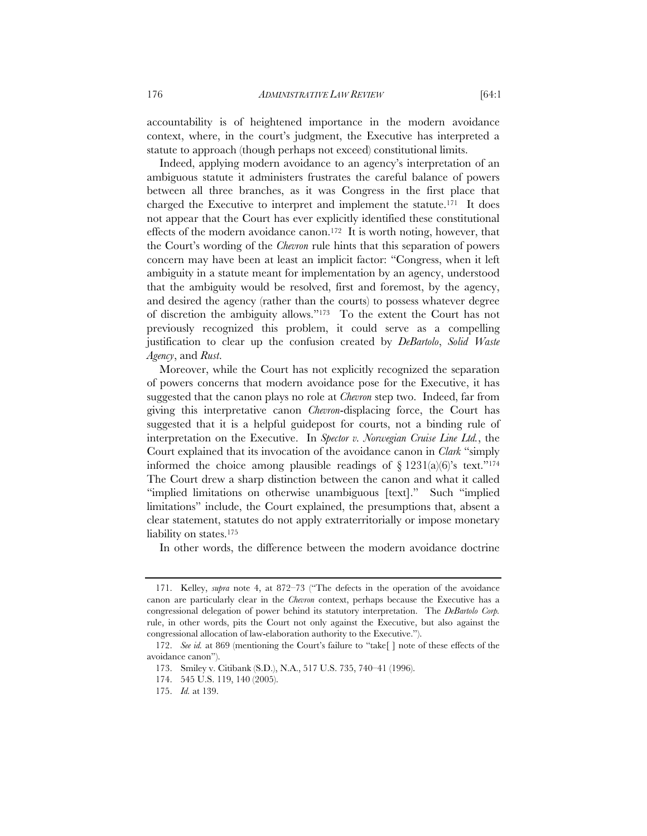accountability is of heightened importance in the modern avoidance context, where, in the court's judgment, the Executive has interpreted a statute to approach (though perhaps not exceed) constitutional limits.

Indeed, applying modern avoidance to an agency's interpretation of an ambiguous statute it administers frustrates the careful balance of powers between all three branches, as it was Congress in the first place that charged the Executive to interpret and implement the statute.171 It does not appear that the Court has ever explicitly identified these constitutional effects of the modern avoidance canon.172 It is worth noting, however, that the Court's wording of the *Chevron* rule hints that this separation of powers concern may have been at least an implicit factor: "Congress, when it left ambiguity in a statute meant for implementation by an agency, understood that the ambiguity would be resolved, first and foremost, by the agency, and desired the agency (rather than the courts) to possess whatever degree of discretion the ambiguity allows."173 To the extent the Court has not previously recognized this problem, it could serve as a compelling justification to clear up the confusion created by *DeBartolo*, *Solid Waste Agency*, and *Rust*.

Moreover, while the Court has not explicitly recognized the separation of powers concerns that modern avoidance pose for the Executive, it has suggested that the canon plays no role at *Chevron* step two. Indeed, far from giving this interpretative canon *Chevron*-displacing force, the Court has suggested that it is a helpful guidepost for courts, not a binding rule of interpretation on the Executive. In *Spector v. Norwegian Cruise Line Ltd.*, the Court explained that its invocation of the avoidance canon in *Clark* "simply informed the choice among plausible readings of  $\S$  1231(a)(6)'s text."<sup>174</sup> The Court drew a sharp distinction between the canon and what it called "implied limitations on otherwise unambiguous [text]." Such "implied limitations" include, the Court explained, the presumptions that, absent a clear statement, statutes do not apply extraterritorially or impose monetary liability on states.<sup>175</sup>

In other words, the difference between the modern avoidance doctrine

 <sup>171.</sup> Kelley, *supra* note 4, at 872–73 ("The defects in the operation of the avoidance canon are particularly clear in the *Chevron* context, perhaps because the Executive has a congressional delegation of power behind its statutory interpretation. The *DeBartolo Corp.* rule, in other words, pits the Court not only against the Executive, but also against the congressional allocation of law-elaboration authority to the Executive.").

 <sup>172.</sup> *See id.* at 869 (mentioning the Court's failure to "take[ ] note of these effects of the avoidance canon").

<sup>173.</sup> Smiley v. Citibank (S.D.), N.A., 517 U.S. 735, 740–41 (1996).

<sup>174. 545</sup> U.S. 119, 140 (2005).

 <sup>175.</sup> *Id.* at 139.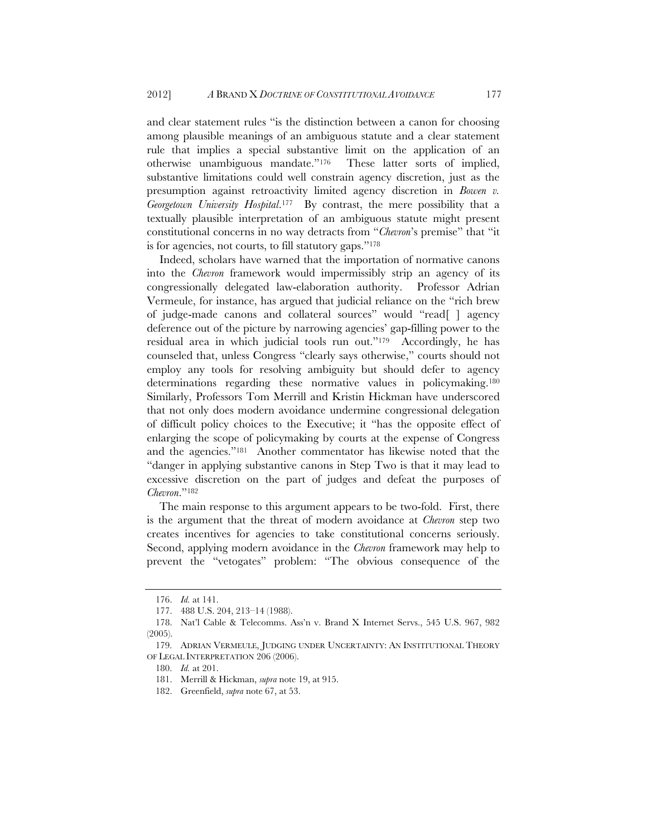and clear statement rules "is the distinction between a canon for choosing among plausible meanings of an ambiguous statute and a clear statement rule that implies a special substantive limit on the application of an otherwise unambiguous mandate."176 These latter sorts of implied, substantive limitations could well constrain agency discretion, just as the presumption against retroactivity limited agency discretion in *Bowen v. Georgetown University Hospital*.177 By contrast, the mere possibility that a textually plausible interpretation of an ambiguous statute might present constitutional concerns in no way detracts from "*Chevron*'s premise" that "it is for agencies, not courts, to fill statutory gaps."178

Indeed, scholars have warned that the importation of normative canons into the *Chevron* framework would impermissibly strip an agency of its congressionally delegated law-elaboration authority. Professor Adrian Vermeule, for instance, has argued that judicial reliance on the "rich brew of judge-made canons and collateral sources" would "read[ ] agency deference out of the picture by narrowing agencies' gap-filling power to the residual area in which judicial tools run out."179 Accordingly, he has counseled that, unless Congress "clearly says otherwise," courts should not employ any tools for resolving ambiguity but should defer to agency determinations regarding these normative values in policymaking.180 Similarly, Professors Tom Merrill and Kristin Hickman have underscored that not only does modern avoidance undermine congressional delegation of difficult policy choices to the Executive; it "has the opposite effect of enlarging the scope of policymaking by courts at the expense of Congress and the agencies."181 Another commentator has likewise noted that the "danger in applying substantive canons in Step Two is that it may lead to excessive discretion on the part of judges and defeat the purposes of *Chevron*."182

The main response to this argument appears to be two-fold. First, there is the argument that the threat of modern avoidance at *Chevron* step two creates incentives for agencies to take constitutional concerns seriously. Second, applying modern avoidance in the *Chevron* framework may help to prevent the "vetogates" problem: "The obvious consequence of the

 <sup>176.</sup> *Id.* at 141.

<sup>177. 488</sup> U.S. 204, 213–14 (1988).

<sup>178.</sup> Nat'l Cable & Telecomms. Ass'n v. Brand X Internet Servs., 545 U.S. 967, 982 (2005).

 <sup>179.</sup> ADRIAN VERMEULE, JUDGING UNDER UNCERTAINTY: AN INSTITUTIONAL THEORY OF LEGAL INTERPRETATION 206 (2006).

 <sup>180.</sup> *Id.* at 201.

<sup>181.</sup> Merrill & Hickman, *supra* note 19, at 915.

 <sup>182.</sup> Greenfield, *supra* note 67, at 53.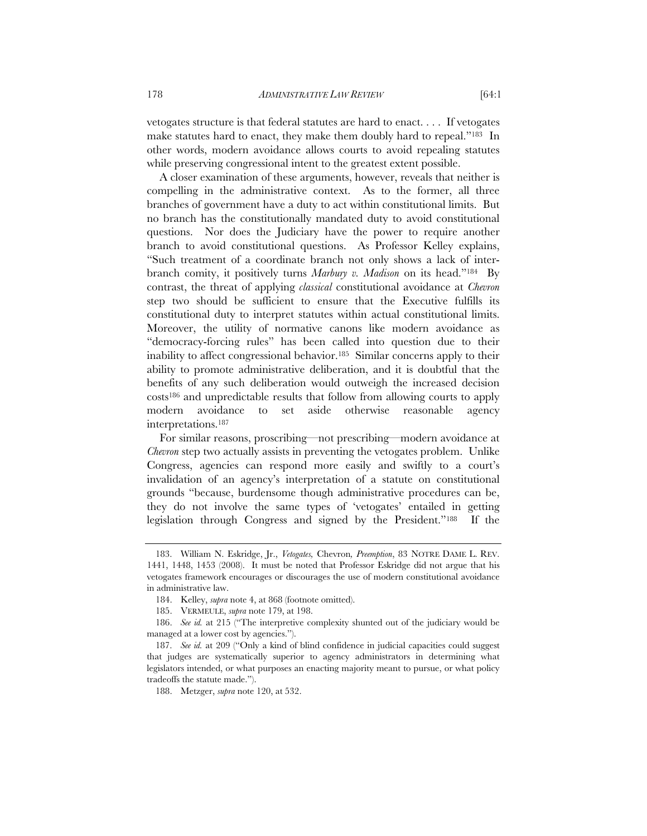vetogates structure is that federal statutes are hard to enact. . . . If vetogates make statutes hard to enact, they make them doubly hard to repeal."183 In other words, modern avoidance allows courts to avoid repealing statutes while preserving congressional intent to the greatest extent possible.

A closer examination of these arguments, however, reveals that neither is compelling in the administrative context. As to the former, all three branches of government have a duty to act within constitutional limits. But no branch has the constitutionally mandated duty to avoid constitutional questions. Nor does the Judiciary have the power to require another branch to avoid constitutional questions. As Professor Kelley explains, "Such treatment of a coordinate branch not only shows a lack of interbranch comity, it positively turns *Marbury v. Madison* on its head."184 By contrast, the threat of applying *classical* constitutional avoidance at *Chevron* step two should be sufficient to ensure that the Executive fulfills its constitutional duty to interpret statutes within actual constitutional limits. Moreover, the utility of normative canons like modern avoidance as "democracy-forcing rules" has been called into question due to their inability to affect congressional behavior.185 Similar concerns apply to their ability to promote administrative deliberation, and it is doubtful that the benefits of any such deliberation would outweigh the increased decision costs186 and unpredictable results that follow from allowing courts to apply modern avoidance to set aside otherwise reasonable agency interpretations.187

For similar reasons, proscribing—not prescribing—modern avoidance at *Chevron* step two actually assists in preventing the vetogates problem. Unlike Congress, agencies can respond more easily and swiftly to a court's invalidation of an agency's interpretation of a statute on constitutional grounds "because, burdensome though administrative procedures can be, they do not involve the same types of 'vetogates' entailed in getting legislation through Congress and signed by the President."188 If the

 <sup>183.</sup> William N. Eskridge, Jr., *Vetogates,* Chevron*, Preemption*, 83 NOTRE DAME L. REV. 1441, 1448, 1453 (2008). It must be noted that Professor Eskridge did not argue that his vetogates framework encourages or discourages the use of modern constitutional avoidance in administrative law.

 <sup>184.</sup> Kelley, *supra* note 4, at 868 (footnote omitted).

 <sup>185.</sup> VERMEULE, *supra* note 179, at 198.

 <sup>186.</sup> *See id.* at 215 ("The interpretive complexity shunted out of the judiciary would be managed at a lower cost by agencies.").

 <sup>187.</sup> *See id.* at 209 ("Only a kind of blind confidence in judicial capacities could suggest that judges are systematically superior to agency administrators in determining what legislators intended, or what purposes an enacting majority meant to pursue, or what policy tradeoffs the statute made.").

 <sup>188.</sup> Metzger, *supra* note 120, at 532.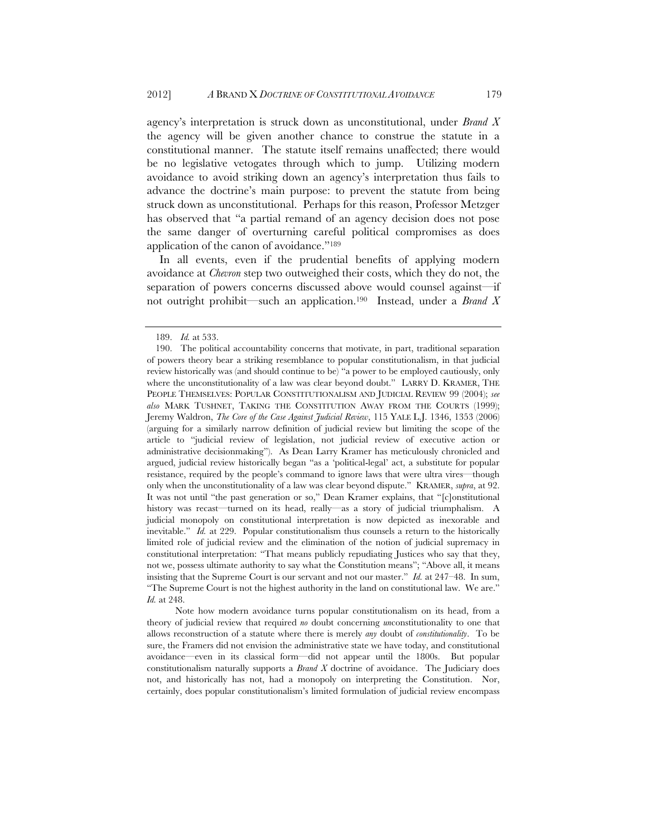agency's interpretation is struck down as unconstitutional, under *Brand X* the agency will be given another chance to construe the statute in a constitutional manner. The statute itself remains unaffected; there would be no legislative vetogates through which to jump. Utilizing modern avoidance to avoid striking down an agency's interpretation thus fails to advance the doctrine's main purpose: to prevent the statute from being struck down as unconstitutional. Perhaps for this reason, Professor Metzger has observed that "a partial remand of an agency decision does not pose the same danger of overturning careful political compromises as does application of the canon of avoidance."189

In all events, even if the prudential benefits of applying modern avoidance at *Chevron* step two outweighed their costs, which they do not, the separation of powers concerns discussed above would counsel against—if not outright prohibit—such an application.190 Instead, under a *Brand X*

Note how modern avoidance turns popular constitutionalism on its head, from a theory of judicial review that required *no* doubt concerning *un*constitutionality to one that allows reconstruction of a statute where there is merely *any* doubt of *constitutionality*. To be sure, the Framers did not envision the administrative state we have today, and constitutional avoidance—even in its classical form—did not appear until the 1800s. But popular constitutionalism naturally supports a *Brand X* doctrine of avoidance. The Judiciary does not, and historically has not, had a monopoly on interpreting the Constitution. Nor, certainly, does popular constitutionalism's limited formulation of judicial review encompass

 <sup>189.</sup> *Id.* at 533.

 <sup>190.</sup> The political accountability concerns that motivate, in part, traditional separation of powers theory bear a striking resemblance to popular constitutionalism, in that judicial review historically was (and should continue to be) "a power to be employed cautiously, only where the unconstitutionality of a law was clear beyond doubt." LARRY D. KRAMER, THE PEOPLE THEMSELVES: POPULAR CONSTITUTIONALISM AND JUDICIAL REVIEW 99 (2004); *see also* MARK TUSHNET, TAKING THE CONSTITUTION AWAY FROM THE COURTS (1999); Jeremy Waldron, *The Core of the Case Against Judicial Review*, 115 YALE L.J. 1346, 1353 (2006) (arguing for a similarly narrow definition of judicial review but limiting the scope of the article to "judicial review of legislation, not judicial review of executive action or administrative decisionmaking"). As Dean Larry Kramer has meticulously chronicled and argued, judicial review historically began "as a 'political-legal' act, a substitute for popular resistance, required by the people's command to ignore laws that were ultra vires—though only when the unconstitutionality of a law was clear beyond dispute." KRAMER, *supra*, at 92. It was not until "the past generation or so," Dean Kramer explains, that "[c]onstitutional history was recast—turned on its head, really—as a story of judicial triumphalism. A judicial monopoly on constitutional interpretation is now depicted as inexorable and inevitable." *Id.* at 229. Popular constitutionalism thus counsels a return to the historically limited role of judicial review and the elimination of the notion of judicial supremacy in constitutional interpretation: "That means publicly repudiating Justices who say that they, not we, possess ultimate authority to say what the Constitution means"; "Above all, it means insisting that the Supreme Court is our servant and not our master." *Id.* at 247–48. In sum, "The Supreme Court is not the highest authority in the land on constitutional law. We are." *Id.* at 248.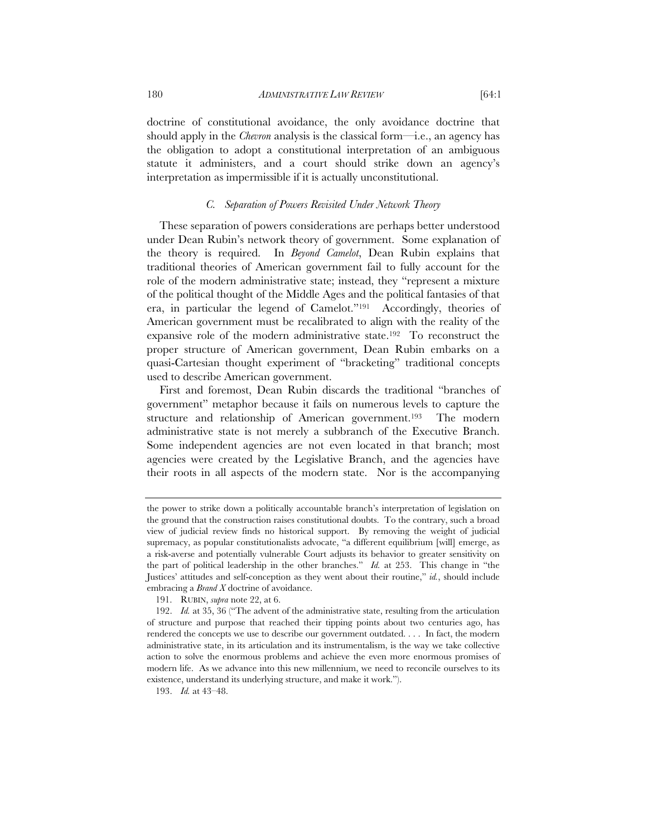doctrine of constitutional avoidance, the only avoidance doctrine that should apply in the *Chevron* analysis is the classical form—i.e., an agency has the obligation to adopt a constitutional interpretation of an ambiguous statute it administers, and a court should strike down an agency's interpretation as impermissible if it is actually unconstitutional.

# *C. Separation of Powers Revisited Under Network Theory*

These separation of powers considerations are perhaps better understood under Dean Rubin's network theory of government. Some explanation of the theory is required. In *Beyond Camelot*, Dean Rubin explains that traditional theories of American government fail to fully account for the role of the modern administrative state; instead, they "represent a mixture of the political thought of the Middle Ages and the political fantasies of that era, in particular the legend of Camelot."191 Accordingly, theories of American government must be recalibrated to align with the reality of the expansive role of the modern administrative state.192 To reconstruct the proper structure of American government, Dean Rubin embarks on a quasi-Cartesian thought experiment of "bracketing" traditional concepts used to describe American government.

First and foremost, Dean Rubin discards the traditional "branches of government" metaphor because it fails on numerous levels to capture the structure and relationship of American government.<sup>193</sup> The modern administrative state is not merely a subbranch of the Executive Branch. Some independent agencies are not even located in that branch; most agencies were created by the Legislative Branch, and the agencies have their roots in all aspects of the modern state. Nor is the accompanying

the power to strike down a politically accountable branch's interpretation of legislation on the ground that the construction raises constitutional doubts. To the contrary, such a broad view of judicial review finds no historical support. By removing the weight of judicial supremacy, as popular constitutionalists advocate, "a different equilibrium [will] emerge, as a risk-averse and potentially vulnerable Court adjusts its behavior to greater sensitivity on the part of political leadership in the other branches." *Id.* at 253. This change in "the Justices' attitudes and self-conception as they went about their routine," *id.*, should include embracing a *Brand X* doctrine of avoidance.

 <sup>191.</sup> RUBIN, *supra* note 22, at 6.

 <sup>192.</sup> *Id.* at 35, 36 ("The advent of the administrative state, resulting from the articulation of structure and purpose that reached their tipping points about two centuries ago, has rendered the concepts we use to describe our government outdated. . . . In fact, the modern administrative state, in its articulation and its instrumentalism, is the way we take collective action to solve the enormous problems and achieve the even more enormous promises of modern life. As we advance into this new millennium, we need to reconcile ourselves to its existence, understand its underlying structure, and make it work.").

 <sup>193.</sup> *Id.* at 43–48.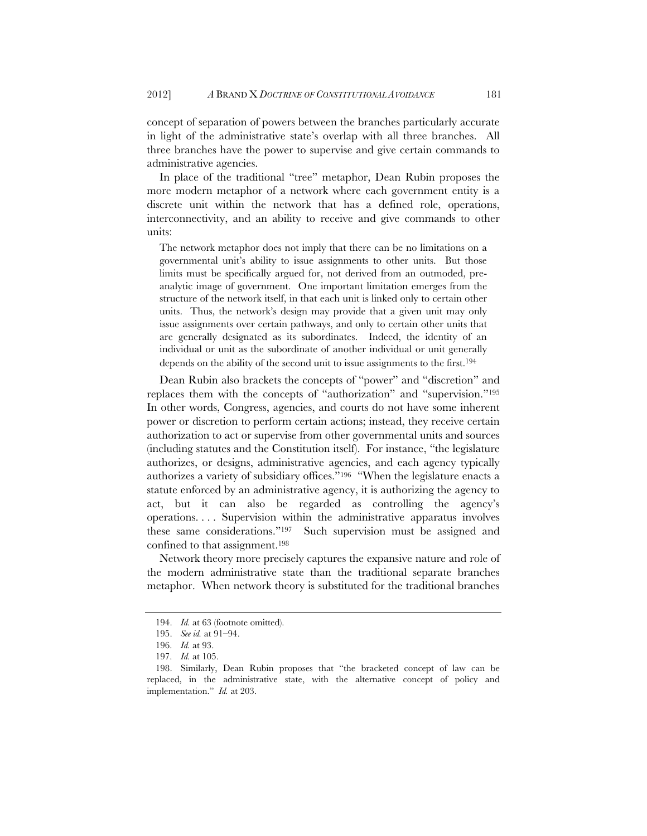concept of separation of powers between the branches particularly accurate in light of the administrative state's overlap with all three branches. All three branches have the power to supervise and give certain commands to administrative agencies.

In place of the traditional "tree" metaphor, Dean Rubin proposes the more modern metaphor of a network where each government entity is a discrete unit within the network that has a defined role, operations, interconnectivity, and an ability to receive and give commands to other units:

The network metaphor does not imply that there can be no limitations on a governmental unit's ability to issue assignments to other units. But those limits must be specifically argued for, not derived from an outmoded, preanalytic image of government. One important limitation emerges from the structure of the network itself, in that each unit is linked only to certain other units. Thus, the network's design may provide that a given unit may only issue assignments over certain pathways, and only to certain other units that are generally designated as its subordinates. Indeed, the identity of an individual or unit as the subordinate of another individual or unit generally depends on the ability of the second unit to issue assignments to the first.<sup>194</sup>

Dean Rubin also brackets the concepts of "power" and "discretion" and replaces them with the concepts of "authorization" and "supervision."195 In other words, Congress, agencies, and courts do not have some inherent power or discretion to perform certain actions; instead, they receive certain authorization to act or supervise from other governmental units and sources (including statutes and the Constitution itself). For instance, "the legislature authorizes, or designs, administrative agencies, and each agency typically authorizes a variety of subsidiary offices."196 "When the legislature enacts a statute enforced by an administrative agency, it is authorizing the agency to act, but it can also be regarded as controlling the agency's operations. . . . Supervision within the administrative apparatus involves these same considerations."197 Such supervision must be assigned and confined to that assignment.198

Network theory more precisely captures the expansive nature and role of the modern administrative state than the traditional separate branches metaphor. When network theory is substituted for the traditional branches

 <sup>194.</sup> *Id.* at 63 (footnote omitted).

 <sup>195.</sup> *See id.* at 91–94.

 <sup>196.</sup> *Id.* at 93.

 <sup>197.</sup> *Id.* at 105.

<sup>198.</sup> Similarly, Dean Rubin proposes that "the bracketed concept of law can be replaced, in the administrative state, with the alternative concept of policy and implementation." *Id.* at 203.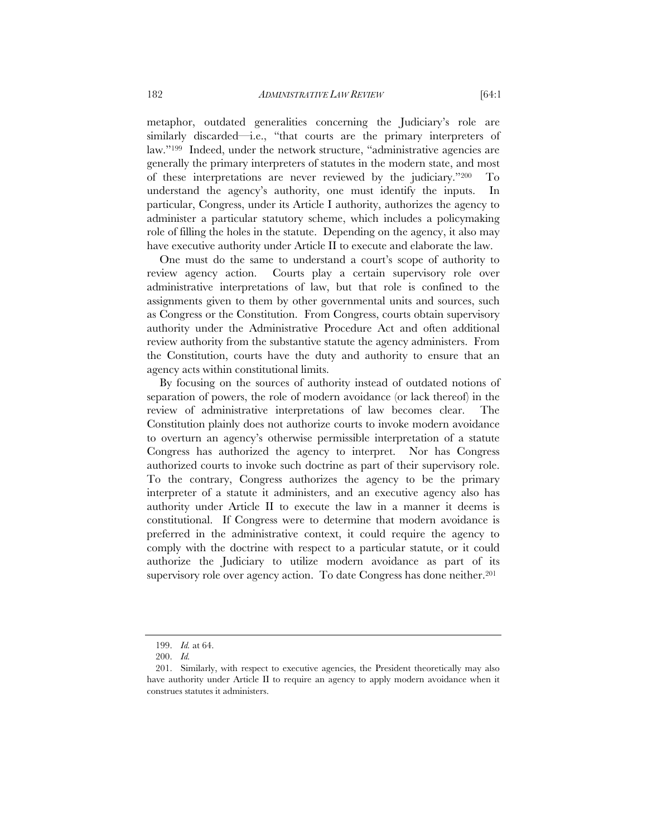metaphor, outdated generalities concerning the Judiciary's role are similarly discarded—i.e., "that courts are the primary interpreters of law."199 Indeed, under the network structure, "administrative agencies are generally the primary interpreters of statutes in the modern state, and most of these interpretations are never reviewed by the judiciary."200 To understand the agency's authority, one must identify the inputs. In particular, Congress, under its Article I authority, authorizes the agency to administer a particular statutory scheme, which includes a policymaking role of filling the holes in the statute. Depending on the agency, it also may have executive authority under Article II to execute and elaborate the law.

One must do the same to understand a court's scope of authority to review agency action. Courts play a certain supervisory role over administrative interpretations of law, but that role is confined to the assignments given to them by other governmental units and sources, such as Congress or the Constitution. From Congress, courts obtain supervisory authority under the Administrative Procedure Act and often additional review authority from the substantive statute the agency administers. From the Constitution, courts have the duty and authority to ensure that an agency acts within constitutional limits.

By focusing on the sources of authority instead of outdated notions of separation of powers, the role of modern avoidance (or lack thereof) in the review of administrative interpretations of law becomes clear. The Constitution plainly does not authorize courts to invoke modern avoidance to overturn an agency's otherwise permissible interpretation of a statute Congress has authorized the agency to interpret. Nor has Congress authorized courts to invoke such doctrine as part of their supervisory role. To the contrary, Congress authorizes the agency to be the primary interpreter of a statute it administers, and an executive agency also has authority under Article II to execute the law in a manner it deems is constitutional. If Congress were to determine that modern avoidance is preferred in the administrative context, it could require the agency to comply with the doctrine with respect to a particular statute, or it could authorize the Judiciary to utilize modern avoidance as part of its supervisory role over agency action. To date Congress has done neither.<sup>201</sup>

 <sup>199.</sup> *Id.* at 64.

 <sup>200.</sup> *Id.*

 <sup>201.</sup> Similarly, with respect to executive agencies, the President theoretically may also have authority under Article II to require an agency to apply modern avoidance when it construes statutes it administers.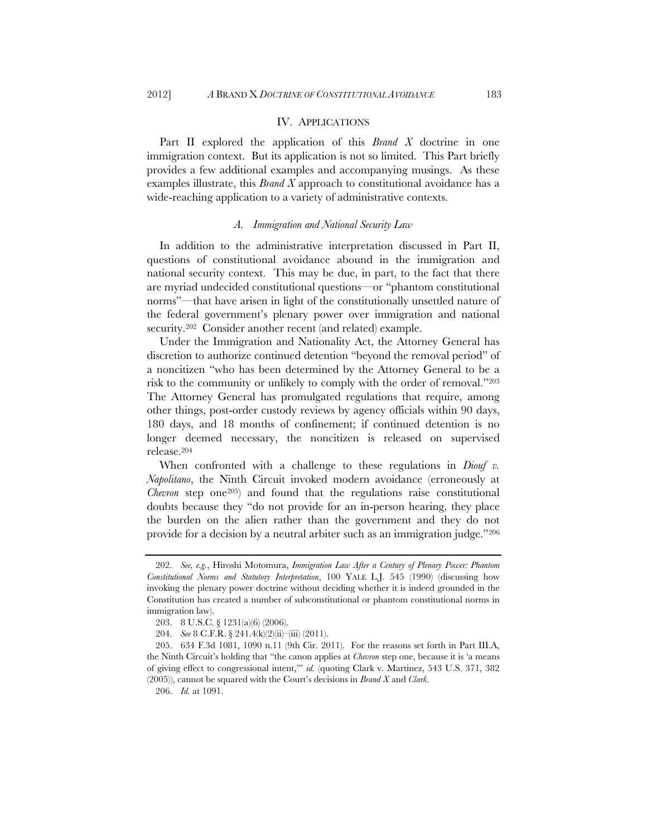# IV. APPLICATIONS

Part II explored the application of this *Brand X* doctrine in one immigration context. But its application is not so limited. This Part briefly provides a few additional examples and accompanying musings. As these examples illustrate, this *Brand X* approach to constitutional avoidance has a wide-reaching application to a variety of administrative contexts.

#### *A. Immigration and National Security Law*

In addition to the administrative interpretation discussed in Part II, questions of constitutional avoidance abound in the immigration and national security context. This may be due, in part, to the fact that there are myriad undecided constitutional questions—or "phantom constitutional norms"—that have arisen in light of the constitutionally unsettled nature of the federal government's plenary power over immigration and national security.202 Consider another recent (and related) example.

Under the Immigration and Nationality Act, the Attorney General has discretion to authorize continued detention "beyond the removal period" of a noncitizen "who has been determined by the Attorney General to be a risk to the community or unlikely to comply with the order of removal."203 The Attorney General has promulgated regulations that require, among other things, post-order custody reviews by agency officials within 90 days, 180 days, and 18 months of confinement; if continued detention is no longer deemed necessary, the noncitizen is released on supervised release.204

When confronted with a challenge to these regulations in *Diouf v. Napolitano*, the Ninth Circuit invoked modern avoidance (erroneously at *Chevron* step one<sup>205</sup>) and found that the regulations raise constitutional doubts because they "do not provide for an in-person hearing, they place the burden on the alien rather than the government and they do not provide for a decision by a neutral arbiter such as an immigration judge."206

 <sup>202.</sup> *See, e.g.*, Hiroshi Motomura, *Immigration Law After a Century of Plenary Power: Phantom Constitutional Norms and Statutory Interpretation*, 100 YALE L.J. 545 (1990) (discussing how invoking the plenary power doctrine without deciding whether it is indeed grounded in the Constitution has created a number of subconstitutional or phantom constitutional norms in immigration law).

<sup>203. 8</sup> U.S.C. § 1231(a)(6) (2006).

 <sup>204.</sup> *See* 8 C.F.R. § 241.4(k)(2)(ii)–(iii) (2011).

<sup>205. 634</sup> F.3d 1081, 1090 n.11 (9th Cir. 2011). For the reasons set forth in Part III.A, the Ninth Circuit's holding that "the canon applies at *Chevron* step one, because it is 'a means of giving effect to congressional intent,'" *id.* (quoting Clark v. Martinez, 543 U.S. 371, 382 (2005)), cannot be squared with the Court's decisions in *Brand X* and *Clark*.

 <sup>206.</sup> *Id.* at 1091.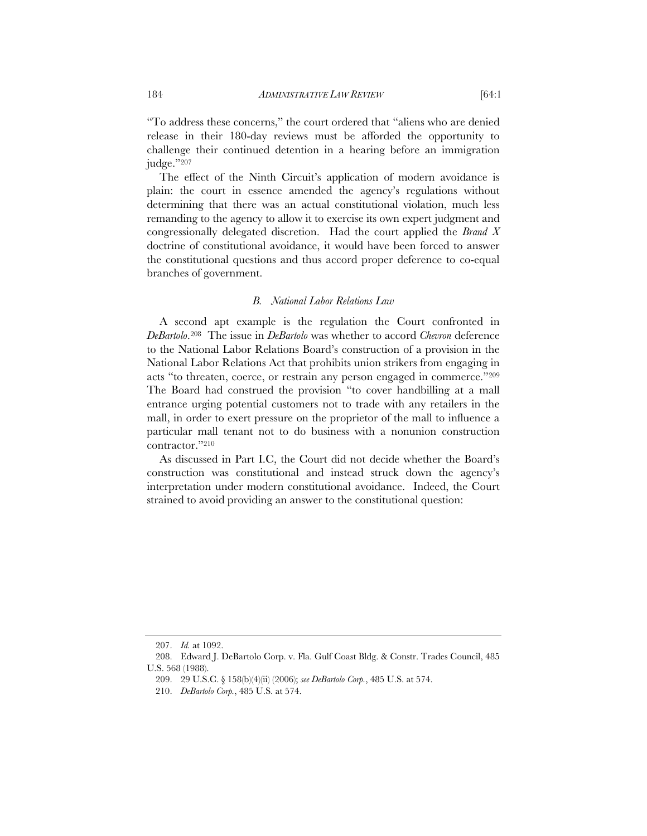"To address these concerns," the court ordered that "aliens who are denied release in their 180-day reviews must be afforded the opportunity to challenge their continued detention in a hearing before an immigration judge."207

The effect of the Ninth Circuit's application of modern avoidance is plain: the court in essence amended the agency's regulations without determining that there was an actual constitutional violation, much less remanding to the agency to allow it to exercise its own expert judgment and congressionally delegated discretion. Had the court applied the *Brand X* doctrine of constitutional avoidance, it would have been forced to answer the constitutional questions and thus accord proper deference to co-equal branches of government.

#### *B. National Labor Relations Law*

A second apt example is the regulation the Court confronted in *DeBartolo*.208 The issue in *DeBartolo* was whether to accord *Chevron* deference to the National Labor Relations Board's construction of a provision in the National Labor Relations Act that prohibits union strikers from engaging in acts "to threaten, coerce, or restrain any person engaged in commerce."209 The Board had construed the provision "to cover handbilling at a mall entrance urging potential customers not to trade with any retailers in the mall, in order to exert pressure on the proprietor of the mall to influence a particular mall tenant not to do business with a nonunion construction contractor."210

As discussed in Part I.C, the Court did not decide whether the Board's construction was constitutional and instead struck down the agency's interpretation under modern constitutional avoidance. Indeed, the Court strained to avoid providing an answer to the constitutional question:

 <sup>207.</sup> *Id.* at 1092.

 <sup>208.</sup> Edward J. DeBartolo Corp. v. Fla. Gulf Coast Bldg. & Constr. Trades Council, 485 U.S. 568 (1988).

<sup>209. 29</sup> U.S.C. § 158(b)(4)(ii) (2006); *see DeBartolo Corp.*, 485 U.S. at 574.

 <sup>210.</sup> *DeBartolo Corp.*, 485 U.S. at 574.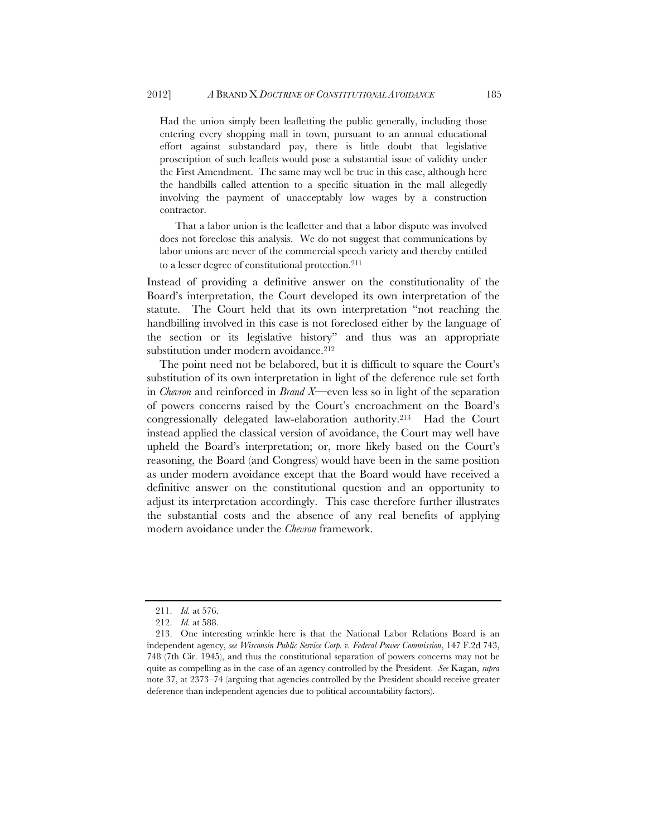Had the union simply been leafletting the public generally, including those entering every shopping mall in town, pursuant to an annual educational effort against substandard pay, there is little doubt that legislative proscription of such leaflets would pose a substantial issue of validity under the First Amendment. The same may well be true in this case, although here the handbills called attention to a specific situation in the mall allegedly involving the payment of unacceptably low wages by a construction contractor.

That a labor union is the leafletter and that a labor dispute was involved does not foreclose this analysis. We do not suggest that communications by labor unions are never of the commercial speech variety and thereby entitled to a lesser degree of constitutional protection.211

Instead of providing a definitive answer on the constitutionality of the Board's interpretation, the Court developed its own interpretation of the statute. The Court held that its own interpretation "not reaching the handbilling involved in this case is not foreclosed either by the language of the section or its legislative history" and thus was an appropriate substitution under modern avoidance.<sup>212</sup>

The point need not be belabored, but it is difficult to square the Court's substitution of its own interpretation in light of the deference rule set forth in *Chevron* and reinforced in *Brand X*—even less so in light of the separation of powers concerns raised by the Court's encroachment on the Board's congressionally delegated law-elaboration authority.213 Had the Court instead applied the classical version of avoidance, the Court may well have upheld the Board's interpretation; or, more likely based on the Court's reasoning, the Board (and Congress) would have been in the same position as under modern avoidance except that the Board would have received a definitive answer on the constitutional question and an opportunity to adjust its interpretation accordingly. This case therefore further illustrates the substantial costs and the absence of any real benefits of applying modern avoidance under the *Chevron* framework.

 <sup>211.</sup> *Id.* at 576.

 <sup>212.</sup> *Id.* at 588.

 <sup>213.</sup> One interesting wrinkle here is that the National Labor Relations Board is an independent agency, *see Wisconsin Public Service Corp. v. Federal Power Commission*, 147 F.2d 743, 748 (7th Cir. 1945), and thus the constitutional separation of powers concerns may not be quite as compelling as in the case of an agency controlled by the President. *See* Kagan, *supra* note 37, at 2373–74 (arguing that agencies controlled by the President should receive greater deference than independent agencies due to political accountability factors).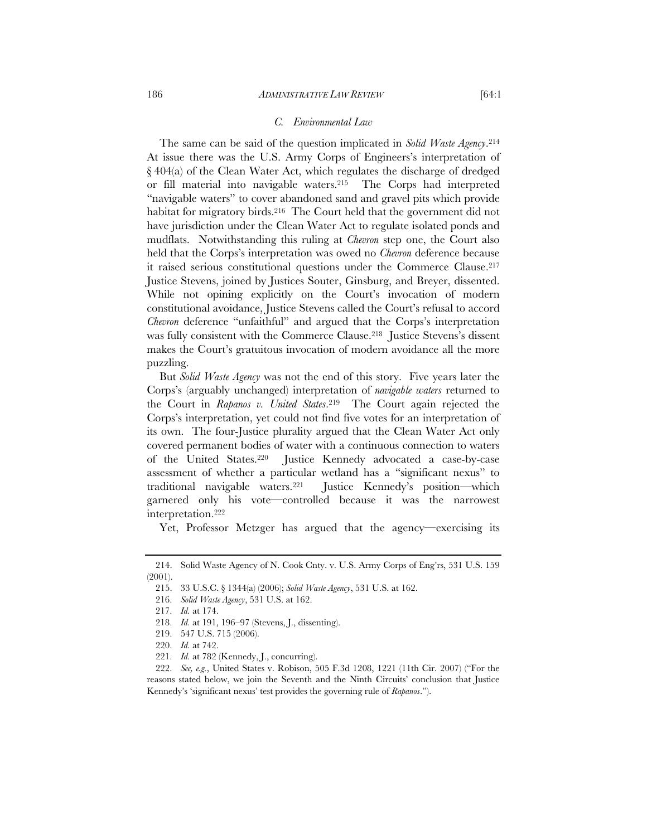## *C. Environmental Law*

The same can be said of the question implicated in *Solid Waste Agency*.214 At issue there was the U.S. Army Corps of Engineers's interpretation of § 404(a) of the Clean Water Act, which regulates the discharge of dredged or fill material into navigable waters.215 The Corps had interpreted "navigable waters" to cover abandoned sand and gravel pits which provide habitat for migratory birds.<sup>216</sup> The Court held that the government did not have jurisdiction under the Clean Water Act to regulate isolated ponds and mudflats. Notwithstanding this ruling at *Chevron* step one, the Court also held that the Corps's interpretation was owed no *Chevron* deference because it raised serious constitutional questions under the Commerce Clause.217 Justice Stevens, joined by Justices Souter, Ginsburg, and Breyer, dissented. While not opining explicitly on the Court's invocation of modern constitutional avoidance, Justice Stevens called the Court's refusal to accord *Chevron* deference "unfaithful" and argued that the Corps's interpretation was fully consistent with the Commerce Clause.<sup>218</sup> Justice Stevens's dissent makes the Court's gratuitous invocation of modern avoidance all the more puzzling.

But *Solid Waste Agency* was not the end of this story. Five years later the Corps's (arguably unchanged) interpretation of *navigable waters* returned to the Court in *Rapanos v. United States*.219 The Court again rejected the Corps's interpretation, yet could not find five votes for an interpretation of its own. The four-Justice plurality argued that the Clean Water Act only covered permanent bodies of water with a continuous connection to waters of the United States.220 Justice Kennedy advocated a case-by-case assessment of whether a particular wetland has a "significant nexus" to traditional navigable waters.221 Justice Kennedy's position—which garnered only his vote—controlled because it was the narrowest interpretation.222

Yet, Professor Metzger has argued that the agency—exercising its

 <sup>214.</sup> Solid Waste Agency of N. Cook Cnty. v. U.S. Army Corps of Eng'rs, 531 U.S. 159 (2001).

<sup>215. 33</sup> U.S.C. § 1344(a) (2006); *Solid Waste Agency*, 531 U.S. at 162.

 <sup>216.</sup> *Solid Waste Agency*, 531 U.S. at 162.

 <sup>217.</sup> *Id.* at 174.

 <sup>218.</sup> *Id.* at 191, 196–97 (Stevens, J., dissenting).

<sup>219. 547</sup> U.S. 715 (2006).

 <sup>220.</sup> *Id.* at 742.

 <sup>221.</sup> *Id.* at 782 (Kennedy, J., concurring).

 <sup>222.</sup> *See, e.g.*, United States v. Robison, 505 F.3d 1208, 1221 (11th Cir. 2007) ("For the reasons stated below, we join the Seventh and the Ninth Circuits' conclusion that Justice Kennedy's 'significant nexus' test provides the governing rule of *Rapanos*.").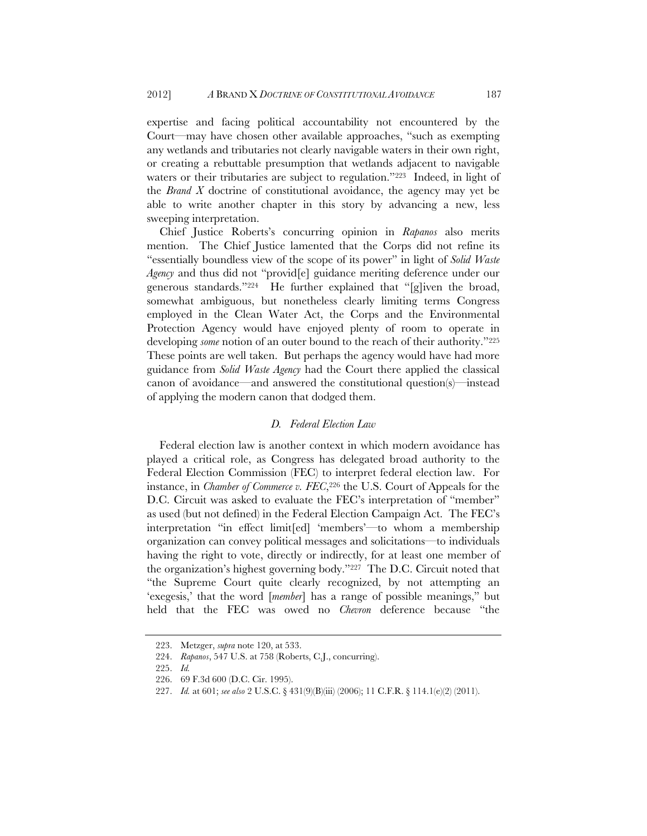expertise and facing political accountability not encountered by the Court—may have chosen other available approaches, "such as exempting any wetlands and tributaries not clearly navigable waters in their own right, or creating a rebuttable presumption that wetlands adjacent to navigable waters or their tributaries are subject to regulation."<sup>223</sup> Indeed, in light of the *Brand X* doctrine of constitutional avoidance, the agency may yet be able to write another chapter in this story by advancing a new, less sweeping interpretation.

Chief Justice Roberts's concurring opinion in *Rapanos* also merits mention. The Chief Justice lamented that the Corps did not refine its "essentially boundless view of the scope of its power" in light of *Solid Waste Agency* and thus did not "provid[e] guidance meriting deference under our generous standards."224 He further explained that "[g]iven the broad, somewhat ambiguous, but nonetheless clearly limiting terms Congress employed in the Clean Water Act, the Corps and the Environmental Protection Agency would have enjoyed plenty of room to operate in developing *some* notion of an outer bound to the reach of their authority."<sup>225</sup> These points are well taken. But perhaps the agency would have had more guidance from *Solid Waste Agency* had the Court there applied the classical canon of avoidance—and answered the constitutional question(s)—instead of applying the modern canon that dodged them.

# *D. Federal Election Law*

Federal election law is another context in which modern avoidance has played a critical role, as Congress has delegated broad authority to the Federal Election Commission (FEC) to interpret federal election law. For instance, in *Chamber of Commerce v. FEC*,<sup>226</sup> the U.S. Court of Appeals for the D.C. Circuit was asked to evaluate the FEC's interpretation of "member" as used (but not defined) in the Federal Election Campaign Act. The FEC's interpretation "in effect limit[ed] 'members'—to whom a membership organization can convey political messages and solicitations—to individuals having the right to vote, directly or indirectly, for at least one member of the organization's highest governing body."227 The D.C. Circuit noted that "the Supreme Court quite clearly recognized, by not attempting an 'exegesis,' that the word [*member*] has a range of possible meanings," but held that the FEC was owed no *Chevron* deference because "the

 <sup>223.</sup> Metzger, *supra* note 120, at 533.

 <sup>224.</sup> *Rapanos*, 547 U.S. at 758 (Roberts, C.J., concurring).

 <sup>225.</sup> *Id.*

<sup>226. 69</sup> F.3d 600 (D.C. Cir. 1995).

 <sup>227.</sup> *Id.* at 601; *see also* 2 U.S.C. § 431(9)(B)(iii) (2006); 11 C.F.R. § 114.1(e)(2) (2011).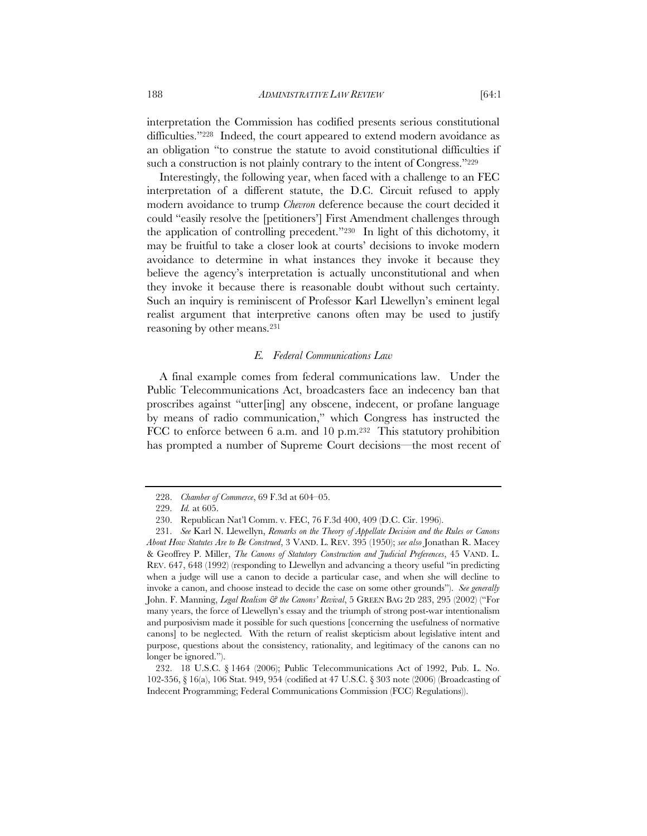interpretation the Commission has codified presents serious constitutional difficulties."228 Indeed, the court appeared to extend modern avoidance as an obligation "to construe the statute to avoid constitutional difficulties if such a construction is not plainly contrary to the intent of Congress."<sup>229</sup>

Interestingly, the following year, when faced with a challenge to an FEC interpretation of a different statute, the D.C. Circuit refused to apply modern avoidance to trump *Chevron* deference because the court decided it could "easily resolve the [petitioners'] First Amendment challenges through the application of controlling precedent."230 In light of this dichotomy, it may be fruitful to take a closer look at courts' decisions to invoke modern avoidance to determine in what instances they invoke it because they believe the agency's interpretation is actually unconstitutional and when they invoke it because there is reasonable doubt without such certainty. Such an inquiry is reminiscent of Professor Karl Llewellyn's eminent legal realist argument that interpretive canons often may be used to justify reasoning by other means.231

## *E. Federal Communications Law*

A final example comes from federal communications law. Under the Public Telecommunications Act, broadcasters face an indecency ban that proscribes against "utter[ing] any obscene, indecent, or profane language by means of radio communication," which Congress has instructed the FCC to enforce between 6 a.m. and 10 p.m.232 This statutory prohibition has prompted a number of Supreme Court decisions—the most recent of

 <sup>228.</sup> *Chamber of Commerce*, 69 F.3d at 604–05.

 <sup>229.</sup> *Id.* at 605.

<sup>230.</sup> Republican Nat'l Comm. v. FEC, 76 F.3d 400, 409 (D.C. Cir. 1996).

 <sup>231.</sup> *See* Karl N. Llewellyn, *Remarks on the Theory of Appellate Decision and the Rules or Canons About How Statutes Are to Be Construed*, 3 VAND. L. REV. 395 (1950); *see also* Jonathan R. Macey & Geoffrey P. Miller, *The Canons of Statutory Construction and Judicial Preferences*, 45 VAND. L. REV. 647, 648 (1992) (responding to Llewellyn and advancing a theory useful "in predicting when a judge will use a canon to decide a particular case, and when she will decline to invoke a canon, and choose instead to decide the case on some other grounds"). *See generally* John. F. Manning, *Legal Realism & the Canons' Revival*, 5 GREEN BAG 2D 283, 295 (2002) ("For many years, the force of Llewellyn's essay and the triumph of strong post-war intentionalism and purposivism made it possible for such questions [concerning the usefulness of normative canons] to be neglected. With the return of realist skepticism about legislative intent and purpose, questions about the consistency, rationality, and legitimacy of the canons can no longer be ignored.").

 <sup>232. 18</sup> U.S.C. § 1464 (2006); Public Telecommunications Act of 1992, Pub. L. No. 102-356, § 16(a), 106 Stat. 949, 954 (codified at 47 U.S.C. § 303 note (2006) (Broadcasting of Indecent Programming; Federal Communications Commission (FCC) Regulations)).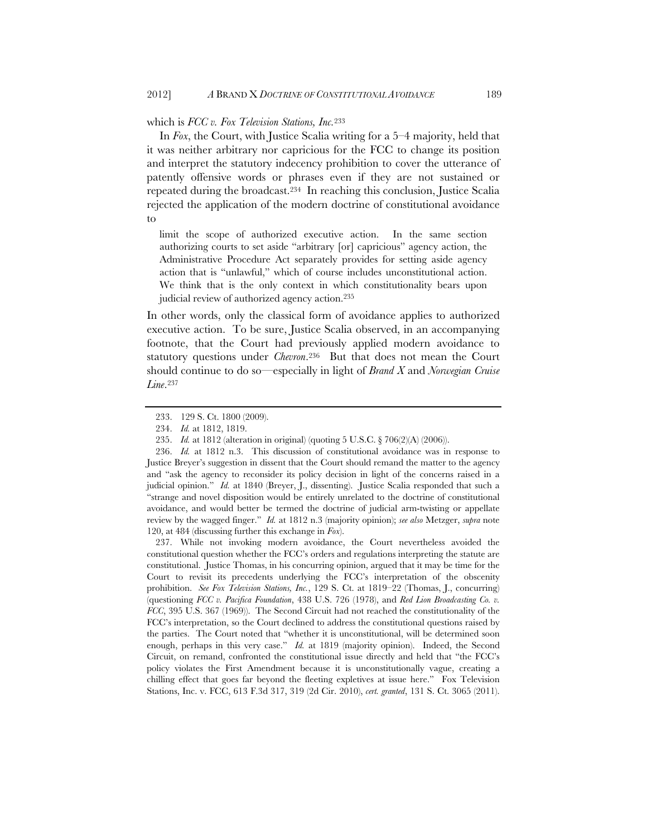which is *FCC v. Fox Television Stations, Inc.*233

In *Fox*, the Court, with Justice Scalia writing for a 5–4 majority, held that it was neither arbitrary nor capricious for the FCC to change its position and interpret the statutory indecency prohibition to cover the utterance of patently offensive words or phrases even if they are not sustained or repeated during the broadcast.234 In reaching this conclusion, Justice Scalia rejected the application of the modern doctrine of constitutional avoidance to

limit the scope of authorized executive action. In the same section authorizing courts to set aside "arbitrary [or] capricious" agency action, the Administrative Procedure Act separately provides for setting aside agency action that is "unlawful," which of course includes unconstitutional action. We think that is the only context in which constitutionality bears upon judicial review of authorized agency action.235

In other words, only the classical form of avoidance applies to authorized executive action. To be sure, Justice Scalia observed, in an accompanying footnote, that the Court had previously applied modern avoidance to statutory questions under *Chevron*.236 But that does not mean the Court should continue to do so—especially in light of *Brand X* and *Norwegian Cruise Line*.237

 237. While not invoking modern avoidance, the Court nevertheless avoided the constitutional question whether the FCC's orders and regulations interpreting the statute are constitutional. Justice Thomas, in his concurring opinion, argued that it may be time for the Court to revisit its precedents underlying the FCC's interpretation of the obscenity prohibition. *See Fox Television Stations, Inc.*, 129 S. Ct. at 1819–22 (Thomas, J., concurring) (questioning *FCC v. Pacifica Foundation*, 438 U.S. 726 (1978), and *Red Lion Broadcasting Co. v. FCC*, 395 U.S. 367 (1969)). The Second Circuit had not reached the constitutionality of the FCC's interpretation, so the Court declined to address the constitutional questions raised by the parties. The Court noted that "whether it is unconstitutional, will be determined soon enough, perhaps in this very case." *Id.* at 1819 (majority opinion). Indeed, the Second Circuit, on remand, confronted the constitutional issue directly and held that "the FCC's policy violates the First Amendment because it is unconstitutionally vague, creating a chilling effect that goes far beyond the fleeting expletives at issue here." Fox Television Stations, Inc. v. FCC, 613 F.3d 317, 319 (2d Cir. 2010), *cert. granted*, 131 S. Ct. 3065 (2011).

<sup>233. 129</sup> S. Ct. 1800 (2009).

 <sup>234.</sup> *Id.* at 1812, 1819.

 <sup>235.</sup> *Id.* at 1812 (alteration in original) (quoting 5 U.S.C. § 706(2)(A) (2006)).

 <sup>236.</sup> *Id.* at 1812 n.3. This discussion of constitutional avoidance was in response to Justice Breyer's suggestion in dissent that the Court should remand the matter to the agency and "ask the agency to reconsider its policy decision in light of the concerns raised in a judicial opinion." *Id.* at 1840 (Breyer, J., dissenting). Justice Scalia responded that such a "strange and novel disposition would be entirely unrelated to the doctrine of constitutional avoidance, and would better be termed the doctrine of judicial arm-twisting or appellate review by the wagged finger." *Id.* at 1812 n.3 (majority opinion); *see also* Metzger, *supra* note 120, at 484 (discussing further this exchange in *Fox*).